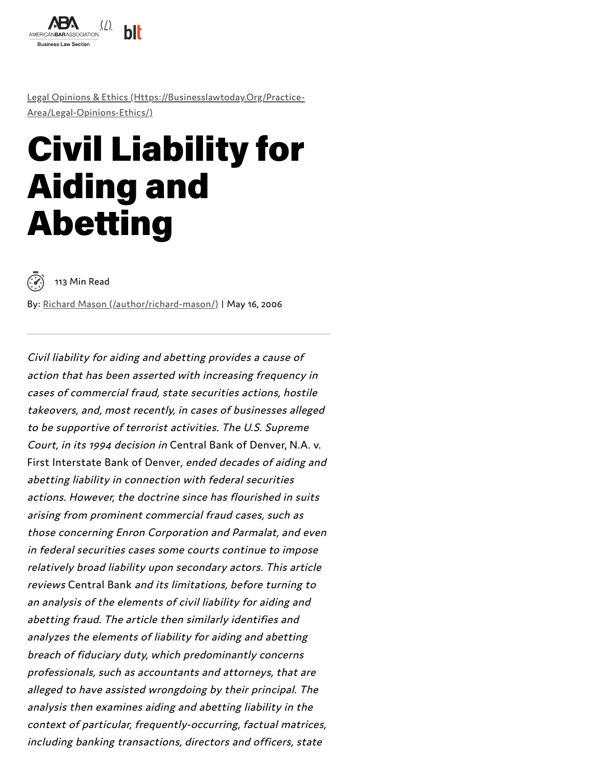

Legal Opinions & Ethics [\(Https://Businesslawtoday.Org/Practice-](https://businesslawtoday.org/practice-area/legal-opinions-ethics/)Area/Legal-Opinions-Ethics/)

# Civil Liability for Aiding and Abetting

<sup>113</sup> Min Read

By: Richard Mason [\(/author/richard-mason/\)](https://businesslawtoday.org/author/richard-mason/) | May 16, 2006

Civil liability for aiding and abetting provides <sup>a</sup> cause of action that has been asserted with increasing frequency in cases of commercial fraud, state securities actions, hostile takeovers, and, most recently, in cases of businesses alleged to be supportive of terrorist activities. The U.S. Supreme Court, in its <sup>1994</sup> decision in Central Bank of Denver, N.A. v. First Interstate Bank of Denver, ended decades of aiding and abetting liability in connection with federal securities actions. However, the doctrine since has flourished in suits arising from prominent commercial fraud cases, such as those concerning Enron Corporation and Parmalat, and even in federal securities cases some courts continue to impose relatively broad liability upon secondary actors. This article reviews Central Bank and its limitations, before turning to an analysis of the elements of civil liability for aiding and abetting fraud. The article then similarly identifies and analyzes the elements of liability for aiding and abetting breach of fiduciary duty, which predominantly concerns professionals, such as accountants and attorneys, that are alleged to have assisted wrongdoing by their principal. The analysis then examines aiding and abetting liability in the context of particular, frequently-occurring, factual matrices, including banking transactions, directors and officers, state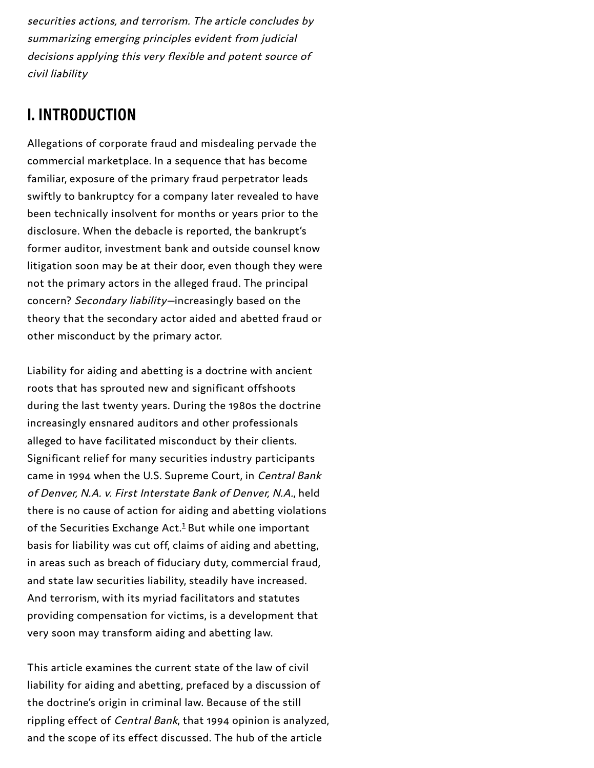securities actions, and terrorism. The article concludes by summarizing emerging principles evident from judicial decisions applying this very flexible and potent source of civil liability

### **I. INTRODUCTION**

Allegations of corporate fraud and misdealing pervade the commercial marketplace. In a sequence that has become familiar, exposure of the primary fraud perpetrator leads swiftly to bankruptcy for a company later revealed to have been technically insolvent for months or years prior to the disclosure. When the debacle is reported, the bankrupt's former auditor, investment bank and outside counsel know litigation soon may be at their door, even though they were not the primary actors in the alleged fraud. The principal concern? Secondary liability—increasingly based on the theory that the secondary actor aided and abetted fraud or other misconduct by the primary actor.

Liability for aiding and abetting is a doctrine with ancient roots that has sprouted new and significant offshoots during the last twenty years. During the 1980s the doctrine increasingly ensnared auditors and other professionals alleged to have facilitated misconduct by their clients. Significant relief for many securities industry participants came in 1994 when the U.S. Supreme Court, in Central Bank of Denver, N.A. v. First Interstate Bank of Denver, N.A., held there is no cause of action for aiding and abetting violations of the Securities Exchange Act.<sup>[1](#page-53-0)</sup> But while one important basis for liability was cut off, claims of aiding and abetting, in areas such as breach of fiduciary duty, commercial fraud, and state law securities liability, steadily have increased. And terrorism, with its myriad facilitators and statutes providing compensation for victims, is a development that very soon may transform aiding and abetting law.

This article examines the current state of the law of civil liability for aiding and abetting, prefaced by a discussion of the doctrine's origin in criminal law. Because of the still rippling effect of Central Bank, that 1994 opinion is analyzed, and the scope of its effect discussed. The hub of the article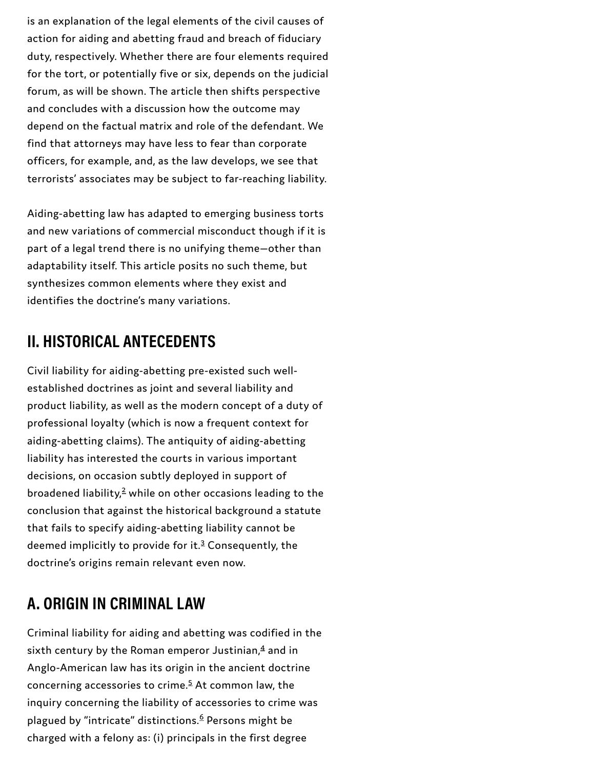is an explanation of the legal elements of the civil causes of action for aiding and abetting fraud and breach of fiduciary duty, respectively. Whether there are four elements required for the tort, or potentially five or six, depends on the judicial forum, as will be shown. The article then shifts perspective and concludes with a discussion how the outcome may depend on the factual matrix and role of the defendant. We find that attorneys may have less to fear than corporate officers, for example, and, as the law develops, we see that terrorists' associates may be subject to far-reaching liability.

Aiding-abetting law has adapted to emerging business torts and new variations of commercial misconduct though if it is part of a legal trend there is no unifying theme—other than adaptability itself. This article posits no such theme, but synthesizes common elements where they exist and identifies the doctrine's many variations.

#### **II. HISTORICAL ANTECEDENTS**

Civil liability for aiding-abetting pre-existed such wellestablished doctrines as joint and several liability and product liability, as well as the modern concept of a duty of professional loyalty (which is now a frequent context for aiding-abetting claims). The antiquity of aiding-abetting liability has interested the courts in various important decisions, on occasion subtly deployed in support of broadened liability, $2$  while on other occasions leading to the conclusion that against the historical background a statute that fails to specify aiding-abetting liability cannot be deemed implicitly to provide for it.<sup>[3](#page-53-2)</sup> Consequently, the doctrine's origins remain relevant even now.

### **A. ORIGIN IN CRIMINAL LAW**

Criminal liability for aiding and abetting was codified in the sixth century by the Roman emperor Justinian, $\frac{4}{3}$  $\frac{4}{3}$  $\frac{4}{3}$  and in Anglo-American law has its origin in the ancient doctrine concerning accessories to crime.<sup>[5](#page-54-0)</sup> At common law, the inquiry concerning the liability of accessories to crime was plagued by "intricate" distinctions.<sup>[6](#page-54-1)</sup> Persons might be charged with a felony as: (i) principals in the first degree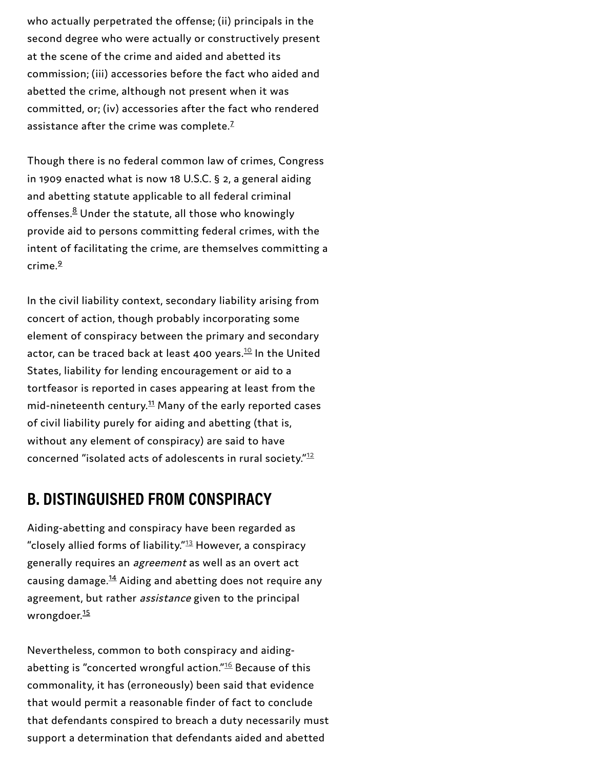who actually perpetrated the offense; (ii) principals in the second degree who were actually or constructively present at the scene of the crime and aided and abetted its commission; (iii) accessories before the fact who aided and abetted the crime, although not present when it was committed, or; (iv) accessories after the fact who rendered assistance after the crime was complete.<sup>Z</sup>

Though there is no federal common law of crimes, Congress in 1909 enacted what is now 18 U.S.C. § 2, a general aiding and abetting statute applicable to all federal criminal offenses.<sup>[8](#page-54-3)</sup> Under the statute, all those who knowingly provide aid to persons committing federal crimes, with the intent of facilitating the crime, are themselves committing a crime. [9](#page-54-4)

In the civil liability context, secondary liability arising from concert of action, though probably incorporating some element of conspiracy between the primary and secondary actor, can be traced back at least 400 years. $^{10}$  $^{10}$  $^{10}$  In the United States, liability for lending encouragement or aid to a tortfeasor is reported in cases appearing at least from the mid-nineteenth century.<sup>[11](#page-54-5)</sup> Many of the early reported cases of civil liability purely for aiding and abetting (that is, without any element of conspiracy) are said to have concerned "isolated acts of adolescents in rural society."<sup>[12](#page-54-7)</sup>

#### **B. DISTINGUISHED FROM CONSPIRACY**

Aiding-abetting and conspiracy have been regarded as "closely allied forms of liability."<sup>[13](#page-54-8)</sup> However, a conspiracy generally requires an *agreement* as well as an overt act causing damage.<sup>[14](#page-55-0)</sup> Aiding and abetting does not require any agreement, but rather assistance given to the principal wrongdoer.<sup>[15](#page-55-1)</sup>

Nevertheless, common to both conspiracy and aidingabetting is "concerted wrongful action." $^{16}$  $^{16}$  $^{16}$  Because of this commonality, it has (erroneously) been said that evidence that would permit a reasonable finder of fact to conclude that defendants conspired to breach a duty necessarily must support a determination that defendants aided and abetted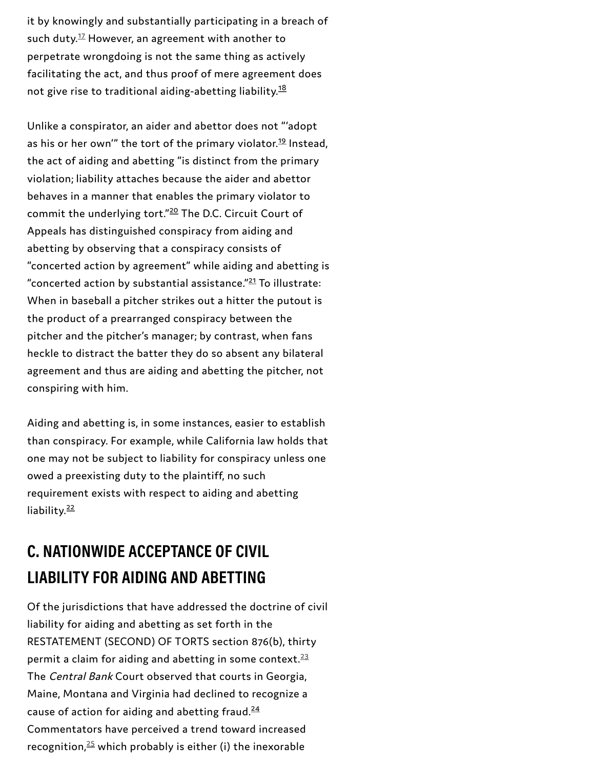it by knowingly and substantially participating in a breach of such duty. $^{1\!}{\rm Z}$  However, an agreement with another to perpetrate wrongdoing is not the same thing as actively facilitating the act, and thus proof of mere agreement does not give rise to traditional aiding-abetting liability.<sup>[18](#page-55-3)</sup>

Unlike a conspirator, an aider and abettor does not "'adopt as his or her own'" the tort of the primary violator.<sup>[19](#page-55-4)</sup> Instead, the act of aiding and abetting "is distinct from the primary violation; liability attaches because the aider and abettor behaves in a manner that enables the primary violator to commit the underlying tort."<sup>[20](#page-55-5)</sup> The D.C. Circuit Court of Appeals has distinguished conspiracy from aiding and abetting by observing that a conspiracy consists of "concerted action by agreement" while aiding and abetting is "concerted action by substantial assistance." $^{21}$  $^{21}$  $^{21}$ To illustrate: When in baseball a pitcher strikes out a hitter the putout is the product of a prearranged conspiracy between the pitcher and the pitcher's manager; by contrast, when fans heckle to distract the batter they do so absent any bilateral agreement and thus are aiding and abetting the pitcher, not conspiring with him.

Aiding and abetting is, in some instances, easier to establish than conspiracy. For example, while California law holds that one may not be subject to liability for conspiracy unless one owed a preexisting duty to the plaintiff, no such requirement exists with respect to aiding and abetting liability.<sup>[22](#page-55-7)</sup>

### **C. NATIONWIDE ACCEPTANCE OF CIVIL LIABILITY FOR AIDING AND ABETTING**

Of the jurisdictions that have addressed the doctrine of civil liability for aiding and abetting as set forth in the RESTATEMENT (SECOND) OF TORTS section 876(b), thirty permit a claim for aiding and abetting in some context. $\frac{23}{2}$  $\frac{23}{2}$  $\frac{23}{2}$ The Central Bank Court observed that courts in Georgia, Maine, Montana and Virginia had declined to recognize a cause of action for aiding and abetting fraud.<sup>[24](#page-56-0)</sup> Commentators have perceived a trend toward increased recognition, $25$  which probably is either (i) the inexorable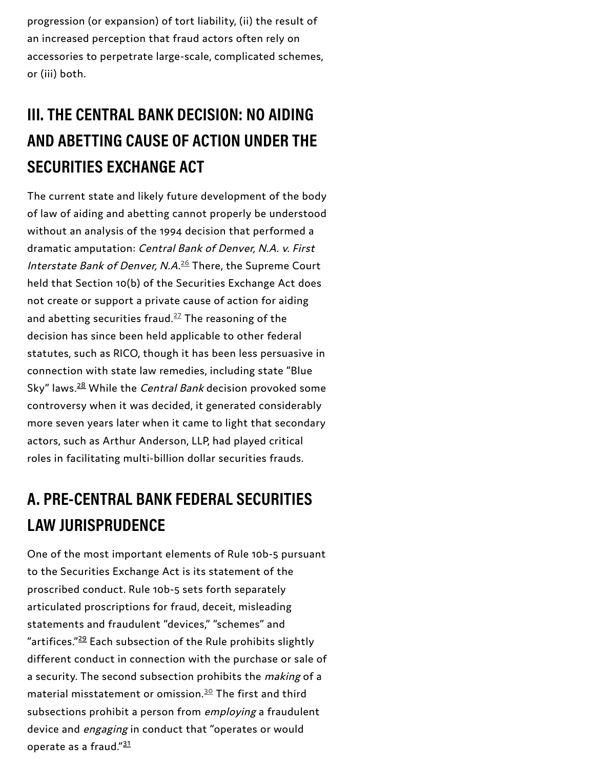progression (or expansion) of tort liability, (ii) the result of an increased perception that fraud actors often rely on accessories to perpetrate large-scale, complicated schemes, or (iii) both.

# **III. THE CENTRAL BANK DECISION: NO AIDING AND ABETTING CAUSE OF ACTION UNDER THE SECURITIES EXCHANGE ACT**

The current state and likely future development of the body of law of aiding and abetting cannot properly be understood without an analysis of the 1994 decision that performed a dramatic amputation: Central Bank of Denver, N.A. v. First *Interstate Bank of Denver, N.A.<sup>[26](#page-57-3)</sup> There, the Supreme Court* held that Section 10(b) of the Securities Exchange Act does not create or support a private cause of action for aiding and abetting securities fraud. $^{27}$  $^{27}$  $^{27}$  The reasoning of the decision has since been held applicable to other federal statutes, such as RICO, though it has been less persuasive in connection with state law remedies, including state "Blue Sky" laws.<sup>[28](#page-57-0)</sup> While the *Central Bank* decision provoked some controversy when it was decided, it generated considerably more seven years later when it came to light that secondary actors, such as Arthur Anderson, LLP, had played critical roles in facilitating multi-billion dollar securities frauds.

### **A. PRE-CENTRAL BANK FEDERAL SECURITIES LAW JURISPRUDENCE**

One of the most important elements of Rule 10b-5 pursuant to the Securities Exchange Act is its statement of the proscribed conduct. Rule 10b-5 sets forth separately articulated proscriptions for fraud, deceit, misleading statements and fraudulent "devices," "schemes" and "artifices."<sup>[29](#page-57-1)</sup> Each subsection of the Rule prohibits slightly different conduct in connection with the purchase or sale of a security. The second subsection prohibits the *making* of a material misstatement or omission. $30$  The first and third subsections prohibit a person from *employing* a fraudulent device and *engaging* in conduct that "operates or would operate as a fraud."<sup>[31](#page-57-2)</sup>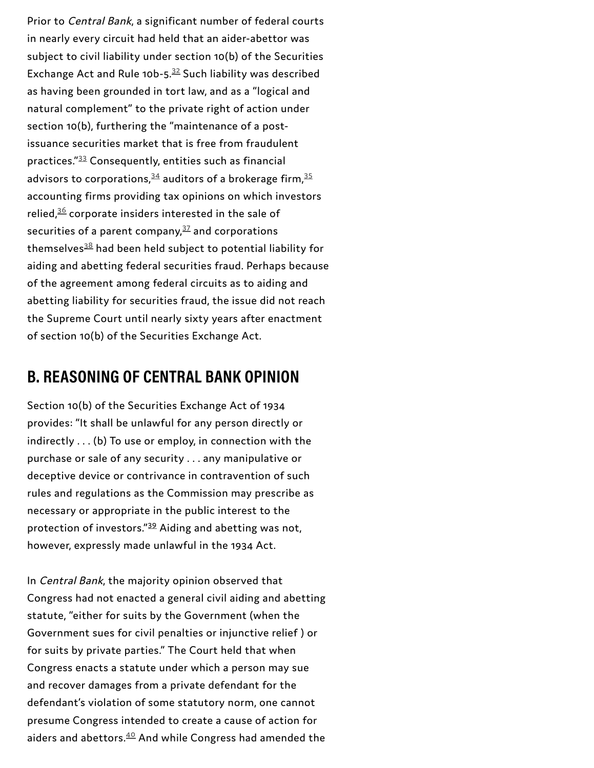Prior to *Central Bank*, a significant number of federal courts in nearly every circuit had held that an aider-abettor was subject to civil liability under section 10(b) of the Securities Exchange Act and Rule 10b-5. $^{32}$  $^{32}$  $^{32}$  Such liability was described as having been grounded in tort law, and as a "logical and natural complement" to the private right of action under section 10(b), furthering the "maintenance of a post issuance securities market that is free from fraudulent practices."[3](#page-58-1)3 Consequently, entities such as financial advisors to corporations, $^{34}$  $^{34}$  $^{34}$  auditors of a brokerage firm, $^{35}$  $^{35}$  $^{35}$ accounting firms providing tax opinions on which investors relied, $\frac{36}{3}$  $\frac{36}{3}$  $\frac{36}{3}$  corporate insiders interested in the sale of securities of a parent company, $^{37}$  $^{37}$  $^{37}$  and corporations themselves $^{\underline{38}}$  $^{\underline{38}}$  $^{\underline{38}}$  had been held subject to potential liability for aiding and abetting federal securities fraud. Perhaps becaus e of the agreement among federal circuits as to aiding and abetting liability for securities fraud, the issue did not reach the Supreme Court until nearly sixty years after enactment of section 10(b) of the Securities Exchange Act.

#### B. REASONING OF CENTRAL BANK OPINION

Section 10(b) of the Securities Exchange Act of 1 9 3 4 provides: "It shall be unlawful for any person directly or indirectly . . . (b) To use or employ, in connection with th e purchase or sale of any security . . . any manipulative or deceptive device or contrivance in contravention of such rules and regulations as the Commission may prescribe as necessary or appropriate in the public interest to the protection of investors." $^{39}$  $^{39}$  $^{39}$  Aiding and abetting was not, however, expressly made unlawful in the 1934 Act.

In Central Bank, the majority opinion observed that Congress had not enacted a general civil aiding and abetting statute, "either for suits by the Government (when the Government sues for civil penalties or injunctive relief) or for suits by private parties." The Court held that when Congress enacts a statute under which a person may sue and recover damages from a private defendant for the defendant's violation of some statutory norm, one cannot presume Congress intended to create a cause of action for aiders and abettors.<sup>4[0](#page-59-0)</sup> And while Congress had amended the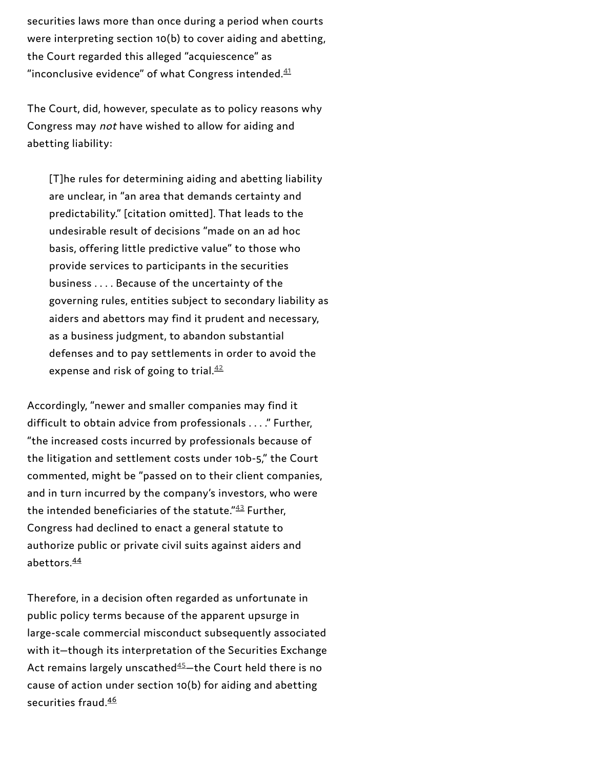securities laws more than once during a period when courts were interpreting section 10(b) to cover aiding and abetting, the Court regarded this alleged "acquiescence" as "inconclusive evidence" of what Congress intended. $\frac{41}{2}$  $\frac{41}{2}$  $\frac{41}{2}$ 

The Court, did, however, speculate as to policy reasons why Congress may not have wished to allow for aiding and abetting liability:

[T]he rules for determining aiding and abetting liability are unclear, in "an area that demands certainty and predictability." [citation omitted]. That leads to the undesirable result of decisions "made on an ad hoc basis, offering little predictive value" to those who provide services to participants in the securities business . . . . Because of the uncertainty of the governing rules, entities subject to secondary liability as aiders and abettors may find it prudent and necessary, as a business judgment, to abandon substantial defenses and to pay settlements in order to avoid the expense and risk of going to trial.<sup>[42](#page-59-3)</sup>

Accordingly, "newer and smaller companies may find it difficult to obtain advice from professionals . . . ." Further, "the increased costs incurred by professionals because of the litigation and settlement costs under 10b-5," the Court commented, might be "passed on to their client companies, and in turn incurred by the company's investors, who were the intended beneficiaries of the statute." $43$  Further, Congress had declined to enact a general statute to authorize public or private civil suits against aiders and abettors. [44](#page-59-1)

Therefore, in a decision often regarded as unfortunate in public policy terms because of the apparent upsurge in large-scale commercial misconduct subsequently associated with it—though its interpretation of the Securities Exchange Act remains largely unscathed $45 45-$ the Court held there is no cause of action under section 10(b) for aiding and abetting securities fraud. [46](#page-60-0)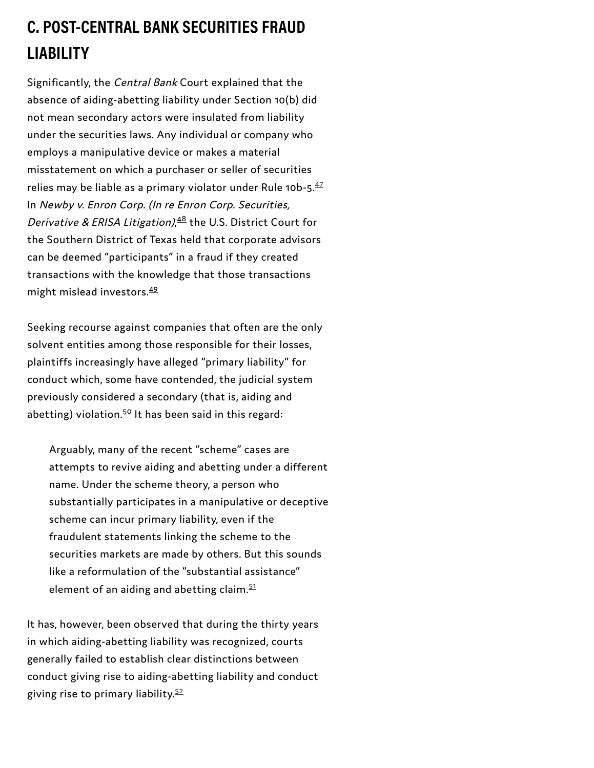### **C. POST-CENTRAL BANK SECURITIES FRAUD LIABILITY**

Significantly, the Central Bank Court explained that the absence of aiding-abetting liability under Section 10(b) did not mean secondary actors were insulated from liability under the securities laws. Any individual or company who employs a manipulative device or makes a material misstatement on which a purchaser or seller of securities relies may be liable as a primary violator under Rule 10b-5. $^{47}$  $^{47}$  $^{47}$ In Newby v. Enron Corp. (In re Enron Corp. Securities, Derivative & ERISA Litigation),<sup>[48](#page-60-1)</sup> the U.S. District Court for the Southern District of Texas held that corporate advisors can be deemed "participants" in a fraud if they created transactions with the knowledge that those transactions might mislead investors. [49](#page-60-2)

Seeking recourse against companies that often are the only solvent entities among those responsible for their losses, plaintiffs increasingly have alleged "primary liability" for conduct which, some have contended, the judicial system previously considered a secondary (that is, aiding and abetting) violation.<sup>[50](#page-60-3)</sup> It has been said in this regard:

Arguably, many of the recent "scheme" cases are attempts to revive aiding and abetting under a different name. Under the scheme theory, a person who substantially participates in a manipulative or deceptive scheme can incur primary liability, even if the fraudulent statements linking the scheme to the securities markets are made by others. But this sounds like a reformulation of the "substantial assistance" element of an aiding and abetting claim. [51](#page-60-5)

It has, however, been observed that during the thirty years in which aiding-abetting liability was recognized, courts generally failed to establish clear distinctions between conduct giving rise to aiding-abetting liability and conduct giving rise to primary liability. [52](#page-60-6)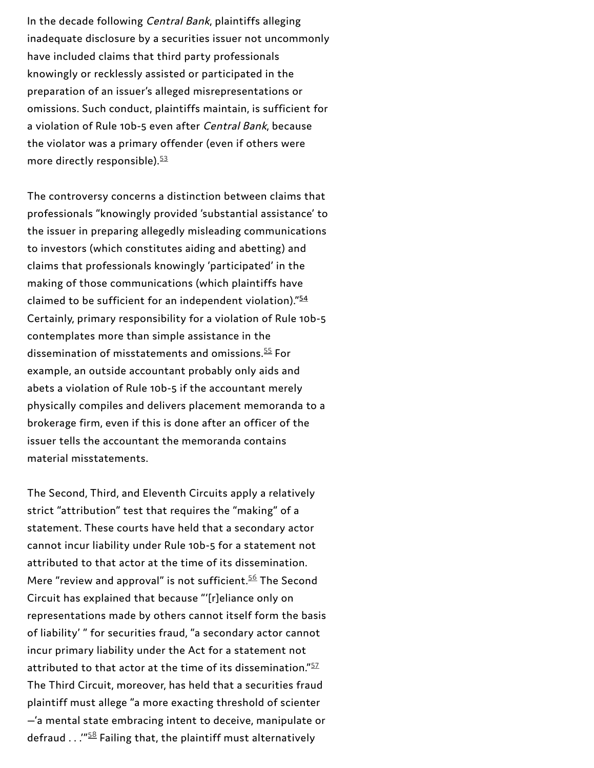in the decede following Contract Endanglement and the first a legislaries only an increase the control of the contract in the control of the street product of the street product of the street product of the street product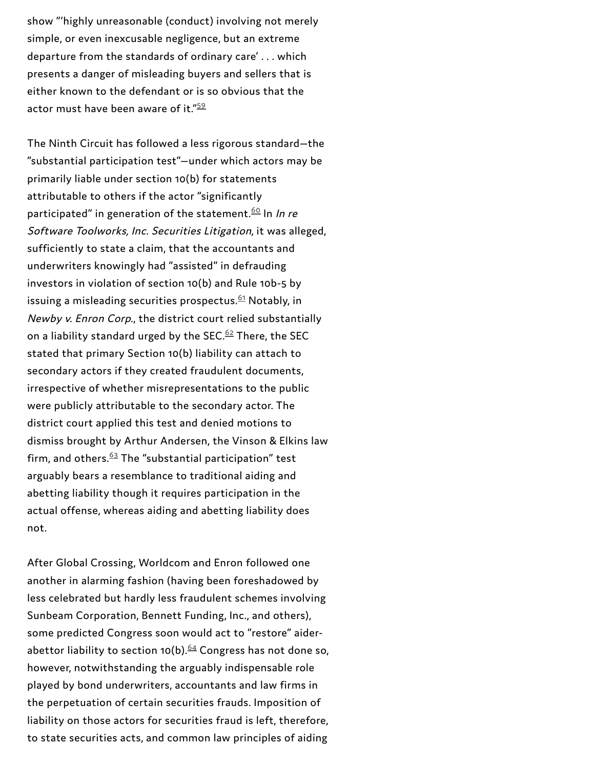show "'highly unreasonable (conduct) involving not merely simple, or even inexcusable negligence, but an extreme departure from the standards of ordinary care'... which presents a danger of misleading buyers and sellers that is either known to the defendant or is so obvious that the actor must have been aware of it." $\cdot$ 

The Ninth Circuit has followed a less rigorous standard—the  $\emph{``substantial participation test''}$ —under which actors may be primarily liable under section 10(b) for statements attributable to others if the actor "significantly participated" in generation of the statement.<sup>60</sup> In *In re* Software Toolworks, Inc. Securities Litigation, it was alleged, sufficiently to state a claim, that the accountants and underwriters knowingly had "assisted" in defrauding investors in violation of section 10(b) and Rule 10b-5 by issuing a misleading securities prospectus. $61$  Notably, in Newby v. Enron Corp., the district court relied substantially on a liability standard urged by the SEC. $62$  There, the SEC stated that primary Section 10(b) liability can attach to secondary actors if they created fraudulent documents, irrespective of whether misrepresentations to the public were publicly attributable to the secondary actor. The district court applied this test and denied motions to dismiss brought by Arthur Andersen, the Vinson & Elkins law firm, and others. $63$  The "substantial participation" test arguably bears a resemblance to traditional aiding and abetting liability though it requires participation in the actual offense, whereas aiding and abetting liability does not. actor must have been aware of it."<sup>52</sup><br>The Ninth Circuit has followed a less rigorous standard—the<br>"substantial participation test"—under which actors may be<br>primarily liable under section 10(b) for statements<br>"sutriciple

After Global Crossing, Worldcom and Enron followed one another in alarming fashion (having been foreshadowed by less celebrated but hardly less fraudulent schemes involving Sunbeam Corporation, Bennett Funding, Inc., and others), some predicted Congress soon would act to "restore" aider abettor liability to section 10(b).  $64$  Congress has not done so, however, notwithstanding the arguably indispensable role played by bond underwriters, accountants and law firms in the perpetuation of certain securities frauds. Imposition of liability on those actors for securities fraud is left, therefore,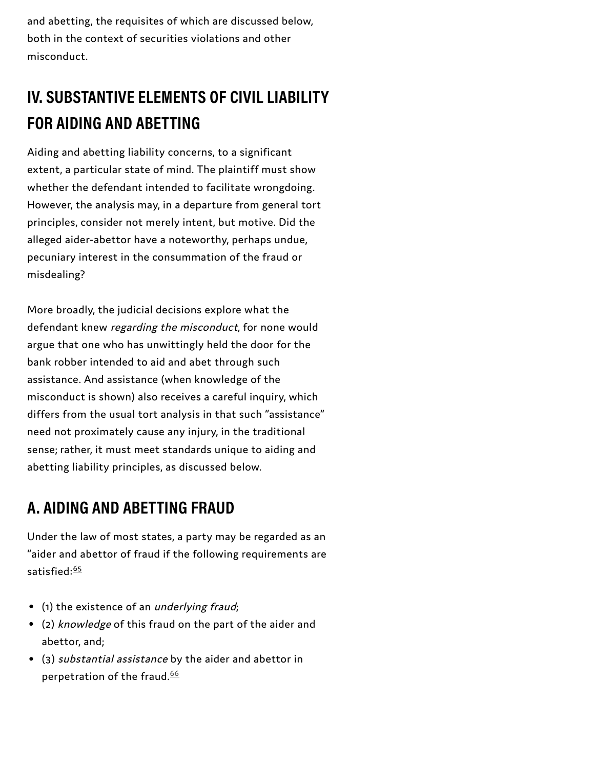and abetting, the requisites of which are discussed below, both in the context of securities violations and other misconduct.

## **IV. SUBSTANTIVE ELEMENTS OF CIVIL LIABILITY FOR AIDING AND ABETTING**

Aiding and abetting liability concerns, to a significant extent, a particular state of mind. The plaintiff must show whether the defendant intended to facilitate wrongdoing. However, the analysis may, in a departure from general tort principles, consider not merely intent, but motive. Did the alleged aider-abettor have a noteworthy, perhaps undue, pecuniary interest in the consummation of the fraud or misdealing?

More broadly, the judicial decisions explore what the defendant knew regarding the misconduct, for none would argue that one who has unwittingly held the door for the bank robber intended to aid and abet through such assistance. And assistance (when knowledge of the misconduct is shown) also receives a careful inquiry, which differs from the usual tort analysis in that such "assistance" need not proximately cause any injury, in the traditional sense; rather, it must meet standards unique to aiding and abetting liability principles, as discussed below.

### **A. AIDING AND ABETTING FRAUD**

Under the law of most states, a party may be regarded as an "aider and abettor of fraud if the following requirements are satisfied:<sup>[65](#page-61-8)</sup>

- (1) the existence of an underlying fraud;
- (2) knowledge of this fraud on the part of the aider and abettor, and;
- (3) substantial assistance by the aider and abettor in perpetration of the fraud. [66](#page-61-9)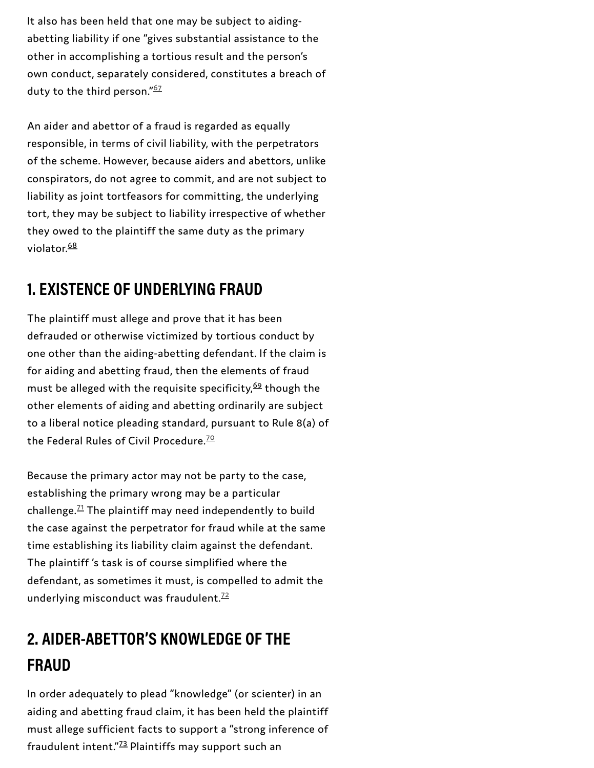It also has been held that one may be subject to aidingabetting liability if one "gives substantial assistance to the other in accomplishing a tortious result and the person's own conduct, separately considered, constitutes a breach of duty to the third person." [67](#page-61-12)

An aider and abettor of a fraud is regarded as equally responsible, in terms of civil liability, with the perpetrators of the scheme. However, because aiders and abettors, unlike conspirators, do not agree to commit, and are not subject to liability as joint tortfeasors for committing, the underlying tort, they may be subject to liability irrespective of whether they owed to the plaintiff the same duty as the primary violator. <u>[68](#page-61-10)</u>

### **1. EXISTENCE OF UNDERLYING FRAUD**

The plaintiff must allege and prove that it has been defrauded or otherwise victimized by tortious conduct by one other than the aiding-abetting defendant. If the claim is for aiding and abetting fraud, then the elements of fraud must be alleged with the requisite specificity, $^{69}$  $^{69}$  $^{69}$  though the other elements of aiding and abetting ordinarily are subject to a liberal notice pleading standard, pursuant to Rule 8(a) of the Federal Rules of Civil Procedure.<sup>[70](#page-62-1)</sup>

Because the primary actor may not be party to the case, establishing the primary wrong may be a particular challenge. $^{71}$  $^{71}$  $^{71}$  The plaintiff may need independently to build the case against the perpetrator for fraud while at the same time establishing its liability claim against the defendant. The plaintiff 's task is of course simplified where the defendant, as sometimes it must, is compelled to admit the underlying misconduct was fraudulent.<sup>[72](#page-62-3)</sup>

### **2. AIDER-ABETTOR'S KNOWLEDGE OF THE FRAUD**

In order adequately to plead "knowledge" (or scienter) in an aiding and abetting fraud claim, it has been held the plaintiff must allege sufficient facts to support a "strong inference of fraudulent intent."<sup>[73](#page-62-0)</sup> Plaintiffs may support such an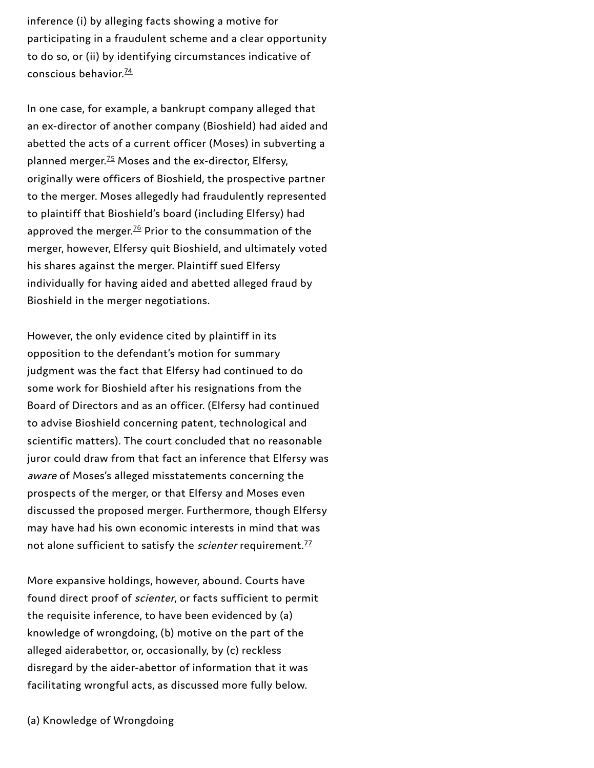inference (i) by alleging facts showing a motive for participating in a fraudulent scheme and a clear opportunity to do so, or (ii) by identifying circumstances indicative of conscious behavior. [74](#page-62-4)

In one case, for example, a bankrupt company alleged that an ex-director of another company (Bioshield) had aided and abetted the acts of a current officer (Moses) in subverting a planned merger.<sup>[75](#page-62-6)</sup> Moses and the ex-director, Elfersy, originally were officers of Bioshield, the prospective partner to the merger. Moses allegedly had fraudulently represented to plaintiff that Bioshield's board (including Elfersy) had approved the merger. $^{76}$  $^{76}$  $^{76}$  Prior to the consummation of the merger, however, Elfersy quit Bioshield, and ultimately voted his shares against the merger. Plaintiff sued Elfersy individually for having aided and abetted alleged fraud by Bioshield in the merger negotiations.

However, the only evidence cited by plaintiff in its opposition to the defendant's motion for summary judgment was the fact that Elfersy had continued to do some work for Bioshield after his resignations from the Board of Directors and as an officer. (Elfersy had continued to advise Bioshield concerning patent, technological and scientific matters). The court concluded that no reasonable juror could draw from that fact an inference that Elfersy was aware of Moses's alleged misstatements concerning the prospects of the merger, or that Elfersy and Moses even discussed the proposed merger. Furthermore, though Elfersy may have had his own economic interests in mind that was not alone sufficient to satisfy the *scienter* requirement. $^{17}$ 

More expansive holdings, however, abound. Courts have found direct proof of scienter, or facts sufficient to permit the requisite inference, to have been evidenced by (a) knowledge of wrongdoing, (b) motive on the part of the alleged aiderabettor, or, occasionally, by (c) reckless disregard by the aider-abettor of information that it was facilitating wrongful acts, as discussed more fully below.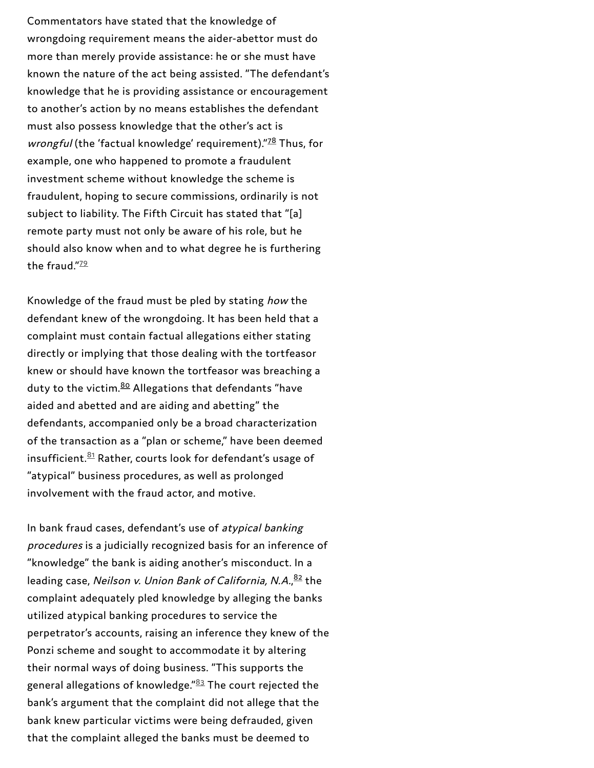Commentators have stated that the knowledge of wrongdoing requirement means the aider-abettor must do more than merely provide assistance: he or she must have known the nature of the act being assisted. "The defendant's knowledge that he is providing assistance or encouragement to another's action by no means establishes the defendant must also possess knowledge that the other's act is wrongful (the 'factual knowledge' requirement)."<sup>7[8](#page-62-8)</sup> Thus, for example, one who happened to promote a fraudulent investment scheme without knowledge the scheme is fraudulent, hoping to secure commissions, ordinarily is n o t subject to liability. The Fifth Circuit has stated that "[a] remote party must not only be aware of his role, but he should also know when and to what degree he is furthering the fraud."<sup>2[9](#page-62-11)</sup>

Knowledge of the fraud must be pled by stating *how* the defendant knew of the wrongdoing. It has been held that a complaint must contain factual allegations either stating directly or implying that those dealing with the tortfeasor knew or should have known the tortfeasor was breaching a duty to the victim.<sup>8[0](#page-62-9)</sup> Allegations that defendants "have aided and abetted and are aiding and abetting" the defendants, accompanied only be a broad characterization of the transaction as a "plan or scheme," have been deemed insufficient. $\frac{81}{1}$  $\frac{81}{1}$  $\frac{81}{1}$ Rather, courts look for defendant's usage of "atypical" business procedures, as well as prolonged involvement with the fraud actor, and motive.

In bank fraud cases, defendant's use of atypical banking procedures is a judicially recognized basis for an inference o f "knowledge" the bank is aiding another's misconduct. In a leading case, *Neilson v. Union Bank of California, N.A.,<sup>[8](#page-62-10)2</sup> the* complaint adequately pled knowledge by alleging the banks utilized atypical banking procedures to service the perpetrator's accounts, raising an inference they knew of the Ponzi scheme and sought to accommodate it by altering their normal ways of doing business. "This supports the general allegations of knowledge." $^{\underline{83}}$  $^{\underline{83}}$  $^{\underline{83}}$  The court rejected the bank's argument that the complaint did not allege that the bank knew particular victims were being defrauded, given that the complaint alleged the banks must be deemed to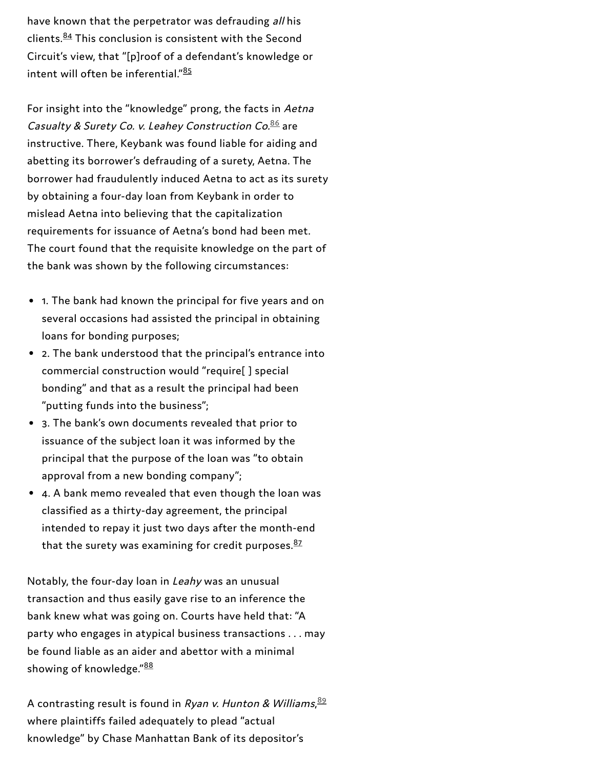have known that the perpetrator was defrauding all his clients.<sup>[84](#page-63-1)</sup> This conclusion is consistent with the Second Circuit's view, that "[p]roof of a defendant's knowledge or intent will often be inferential." [85](#page-63-2)

For insight into the "knowledge" prong, the facts in Aetna Casualty & Surety Co. v. Leahey Construction Co.<sup>[86](#page-63-5)</sup> are instructive. There, Keybank was found liable for aiding and abetting its borrower's defrauding of a surety, Aetna. The borrower had fraudulently induced Aetna to act as its surety by obtaining a four-day loan from Keybank in order to mislead Aetna into believing that the capitalization requirements for issuance of Aetna's bond had been met. The court found that the requisite knowledge on the part of the bank was shown by the following circumstances:

- 1. The bank had known the principal for five years and on several occasions had assisted the principal in obtaining loans for bonding purposes;
- 2. The bank understood that the principal's entrance into commercial construction would "require[ ] special bonding" and that as a result the principal had been "putting funds into the business";
- 3. The bank's own documents revealed that prior to issuance of the subject loan it was informed by the principal that the purpose of the loan was "to obtain approval from a new bonding company";
- 4. A bank memo revealed that even though the loan was classified as a thirty-day agreement, the principal intended to repay it just two days after the month-end that the surety was examining for credit purposes.<sup>[87](#page-63-3)</sup>

Notably, the four-day loan in Leahy was an unusual transaction and thus easily gave rise to an inference the bank knew what was going on. Courts have held that: "A party who engages in atypical business transactions . . . may be found liable as an aider and abettor with a minimal showing of knowledge."<sup>[88](#page-63-4)</sup>

A contrasting result is found in *Ryan v. Hunton & Williams*, $^{\text{89}}$  $^{\text{89}}$  $^{\text{89}}$ where plaintiffs failed adequately to plead "actual knowledge" by Chase Manhattan Bank of its depositor's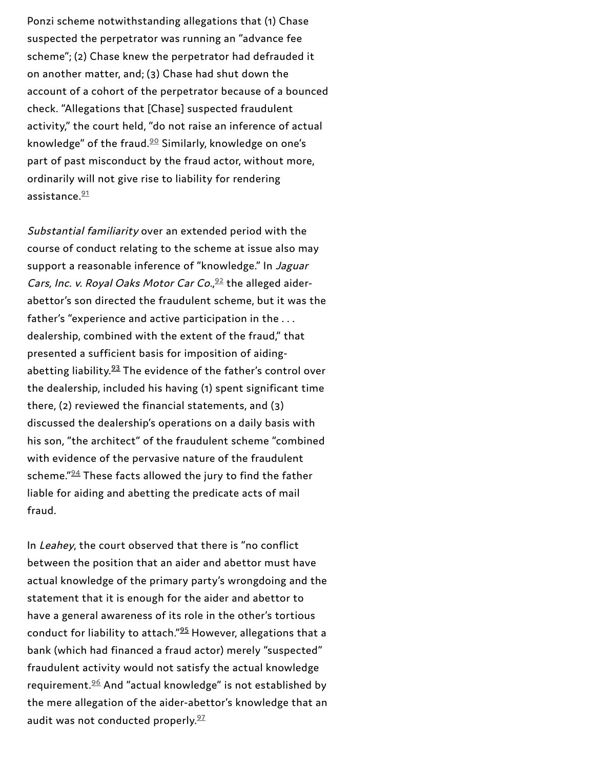Ponzi scheme notwithstanding allegations that (1) Chase suspected the perpetrator was running an "advance fee scheme"; (2) Chase knew the perpetrator had defrauded it on another matter, and; (3) Chase had shut down the account of a cohort of the perpetrator because of a bounced check. "Allegations that [Chase] suspected fraudulent activity," the court held, "do not raise an inference of actual knowledge" of the fraud. $90$  Similarly, knowledge on one's part of past misconduct by the fraud actor, without more, ordinarily will not give rise to liability for rendering assistance. $\frac{91}{2}$ 

Substantial familiarity over an extended period with the course of conduct relating to the scheme at issue also may support a reasonable inference of "knowledge." In Jaguar Cars, Inc. v. Royal Oaks Motor Car Co.,  $92$  the alleged aiderabettor's son directed the fraudulent scheme, but it was the father's "experience and active participation in the . . . dealership, combined with the extent of the fraud," that presented a sufficient basis for imposition of aiding abetting liability. $93$  The evidence of the father's control over the dealership, included his having (1) spent significant time there, (2) reviewed the financial statements, and (3) discussed the dealership's operations on a daily basis with his son, "the architect" of the fraudulent scheme "combined with evidence of the pervasive nature of the fraudulent scheme."<sup>94</sup> These facts allowed the jury to find the father liable for aiding and abetting the predicate acts of mail fraud. knowledge" of the fraud.<sup>20</sup> Similarly, kno<br>part of past misconduct by the fraud ac<br>ordinarily will not give rise to liability fo<br>assistance.<sup>21</sup><br>Substantial familiarity over an extende<br>course of conduct relating to the s

In Leahey, the court observed that there is "no conflict between the position that an aider and abettor must have actual knowledge of the primary party's wrongdoing and the statement that it is enough for the aider and abettor to have a general awareness of its role in the other's tortious conduct for liability to attach."<sup>95</sup> However, allegations that a bank (which had financed a fraud actor) merely "suspected" fraudulent activity would not satisfy the actual knowledge requirement.<sup>96</sup> And "actual knowledge" is not established by the mere allegation of the aider-abettor's knowledge that an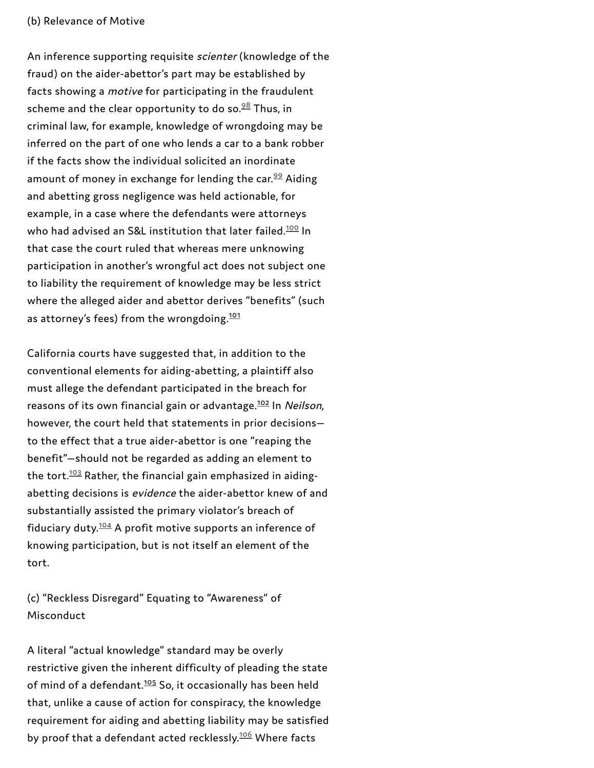An inference supporting requisite scienter (knowledge of the fraud) on the aider-abettor's part may be established by facts showing a motive for participating in the fraudulent scheme and the clear opportunity to do so. $^{98}$  $^{98}$  $^{98}$  Thus, in criminal law, for example, knowledge of wrongdoing may be inferred on the part of one who lends a car to a bank robber if the facts show the individual solicited an inordinate amount of money in exchange for lending the car.<sup>[99](#page-64-10)</sup> Aiding and abetting gross negligence was held actionable, for example, in a case where the defendants were attorneys who had advised an S&L institution that later failed. $\frac{100}{10}$  $\frac{100}{10}$  $\frac{100}{10}$  In that case the court ruled that whereas mere unknowing participation in another's wrongful act does not subject one to liability the requirement of knowledge may be less strict where the alleged aider and abettor derives "benefits" (such as attorney's fees) from the wrongdoing.<sup>[101](#page-64-6)</sup>

California courts have suggested that, in addition to the conventional elements for aiding-abetting, a plaintiff also must allege the defendant participated in the breach for reasons of its own financial gain or advantage.<sup>[102](#page-64-7)</sup> In *Neilson*, however, the court held that statements in prior decisions to the effect that a true aider-abettor is one "reaping the benefit"—should not be regarded as adding an element to the tort. $^{103}$  $^{103}$  $^{103}$  Rather, the financial gain emphasized in aidingabetting decisions is evidence the aider-abettor knew of and substantially assisted the primary violator's breach of fiduciary duty. $\frac{104}{5}$  $\frac{104}{5}$  $\frac{104}{5}$  A profit motive supports an inference of knowing participation, but is not itself an element of the tort.

(c) "Reckless Disregard" Equating to "Awareness" of Misconduct

A literal "actual knowledge" standard may be overly restrictive given the inherent difficulty of pleading the state of mind of a defendant.<sup>[105](#page-64-8)</sup> So, it occasionally has been held that, unlike a cause of action for conspiracy, the knowledge requirement for aiding and abetting liability may be satisfied by proof that a defendant acted recklessly.<sup>[106](#page-64-14)</sup> Where facts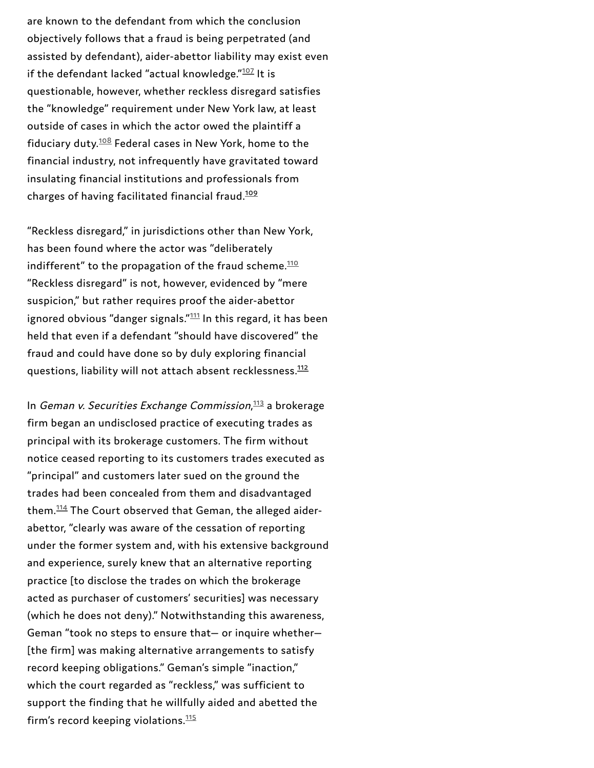are known to the defendant from which the conclusion objectively follows that a fraud is being perpetrated (and assisted by defendant), aider-abettor liability may exist even if the defendant lacked "actual knowledge." $107$  It is questionable, however, whether reckless disregard satisfies the "knowledge" requirement under New York law, at least outside of cases in which the actor owed the plaintiff a fiduciary duty. $108$  Federal cases in New York, home to the financial industry, not infrequently have gravitated toward insulating financial institutions and professionals from charges of having facilitated financial fraud.

"Reckless disregard," in jurisdictions other than New York, has been found where the actor was "deliberately indifferent" to the propagation of the fraud scheme. $\frac{110}{2}$ "Reckless disregard" is not, however, evidenced by "mere suspicion," but rather requires proof the aider-abettor ignored obvious "danger signals." $111$  In this regard, it has been held that even if a defendant "should have discovered" the fraud and could have done so by duly exploring financial questions, liability will not attach absent recklessness.<sup>112</sup>

In Geman v. Securities Exchange Commission, $\frac{113}{2}$  a brokerage firm began an undisclosed practice of executing trades as principal with its brokerage customers. The firm without notice ceased reporting to its customers trades executed as "principal" and customers later sued on the ground the trades had been concealed from them and disadvantaged them. $114$  The Court observed that Geman, the alleged aiderabettor, "clearly was aware of the cessation of reporting under the former system and, with his extensive background and experience, surely knew that an alternative reporting practice [to disclose the trades on which the brokerage acted as purchaser of customers' securities] was necessary (which he does not deny)." Notwithstanding this awareness, Geman "took no steps to ensure that— or inquire whether— [the firm] was making alternative arrangements to satisfy record keeping obligations." Geman's simple "inaction," which the court regarded as "reckless," was sufficient to support the finding that he willfully aided and abetted the if the defendant lacked "actual knowledge." $^{122}$  It is<br>
questionable, however, whether reckless disregard satisf<br>
the "knowledge" requirement under New York law, at lea<br>
outside of cases in which the actor owed the plain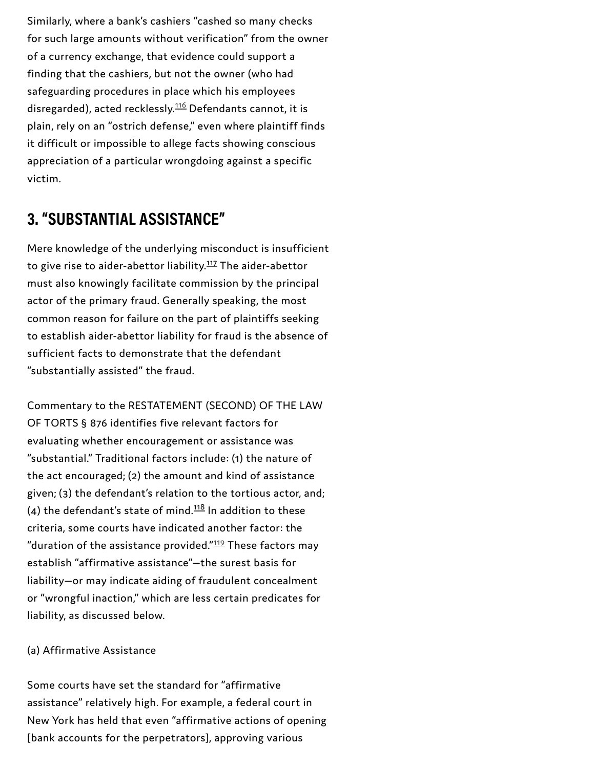Similarly, where a bank's cashiers "cashed so many checks for such large amounts without verification" from the owner of a currency exchange, that evidence could support a finding that the cashiers, but not the owner (who had safeguarding procedures in place which his employees disregarded), acted recklessly.<sup>[116](#page-65-11)</sup> Defendants cannot, it is plain, rely on an "ostrich defense," even where plaintiff finds it difficult or impossible to allege facts showing conscious appreciation of a particular wrongdoing against a specific victim.

### **3. "SUBSTANTIAL ASSISTANCE"**

Mere knowledge of the underlying misconduct is insufficient to give rise to aider-abettor liability.<sup>[117](#page-65-9)</sup> The aider-abettor must also knowingly facilitate commission by the principal actor of the primary fraud. Generally speaking, the most common reason for failure on the part of plaintiffs seeking to establish aider-abettor liability for fraud is the absence of sufficient facts to demonstrate that the defendant "substantially assisted" the fraud.

Commentary to the RESTATEMENT (SECOND) OF THE LAW OF TORTS § 876 identifies five relevant factors for evaluating whether encouragement or assistance was "substantial." Traditional factors include: (1) the nature of the act encouraged; (2) the amount and kind of assistance given; (3) the defendant's relation to the tortious actor, and; (4) the defendant's state of mind. $118$  In addition to these criteria, some courts have indicated another factor: the "duration of the assistance provided." $119$  These factors may establish "affirmative assistance"—the surest basis for liability—or may indicate aiding of fraudulent concealment or "wrongful inaction," which are less certain predicates for liability, as discussed below.

#### (a) Affirmative Assistance

Some courts have set the standard for "affirmative assistance" relatively high. For example, a federal court in New York has held that even "affirmative actions of opening [bank accounts for the perpetrators], approving various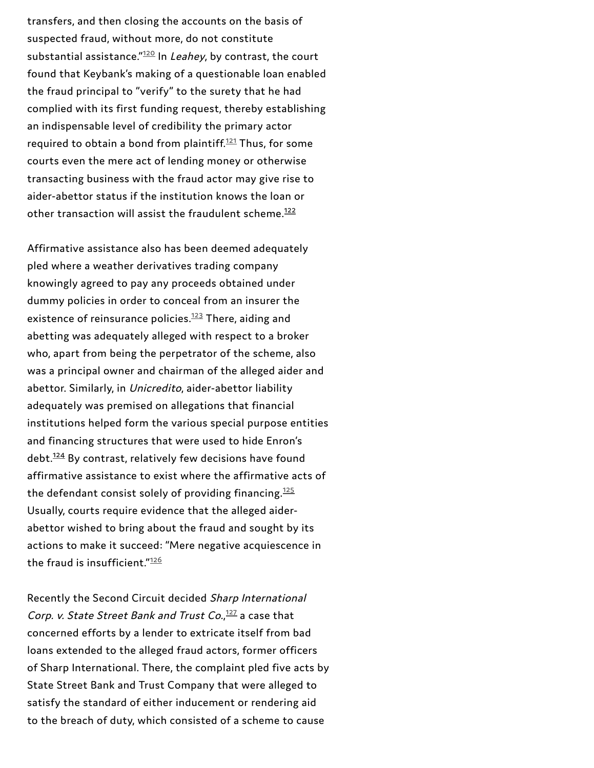transfers, and then closing the accounts on the basis of suspected fraud, without more, do not constitute substantial assistance."<sup>12[0](#page-66-3)</sup> In *Leahey*, by contrast, the court found that Keybank's making of a questionable loan enabled the fraud principal to "verify" to the surety that he had complied with its first funding request, thereby establishing an indispensable level of credibility the primary actor required to obtain a bond from plaintiff.<sup>1[2](#page-66-4)1</sup> Thus, for some courts even the mere act of lending money or otherwise transacting business with the fraud actor may give rise to aider-abettor status if the institution knows the loan or other transaction will assist the fraudulent scheme.<sup>1[2](#page-66-1)2</sup>

Affirmative assistance also has been deemed adequately pled where a weather derivatives trading company knowingly agreed to pay any proceeds obtained under dummy policies in order to conceal from an insurer the existence of reinsurance policies.<sup>12[3](#page-66-5)</sup> There, aiding and abetting was adequately alleged with respect to a broker who, apart from being the perpetrator of the scheme, also was a principal owner and chairman of the alleged aider and abettor. Similarly, in Unicredito, aider-abettor liability adequately was premised on allegations that financial institutions helped form the various special purpose entities and financing structures that were used to hide Enron's debt.<sup>12[4](#page-66-2)</sup> By contrast, relatively few decisions have found affirmative assistance to exist where the affirmative acts of the defendant consist solely of providing financing. $\frac{125}{2}$  $\frac{125}{2}$  $\frac{125}{2}$ Usually, courts require evidence that the alleged aiderabettor wished to bring about the fraud and sought by its actions to make it succeed: "Mere negative acquiescence in the fraud is insufficient."12[6](#page-66-7)

Recently the Second Circuit decided Sharp International Corp. v. State Street Bank and Trust Co.,<sup>1[2](#page-66-8)7</sup> a case that concerned efforts by a lender to extricate itself from bad loans extended to the alleged fraud actors, former officer s of Sharp International. There, the complaint pled five acts by State Street Bank and Trust Company that were alleged to satisfy the standard of either inducement or rendering aid to the breach of duty, which consisted of a scheme to cause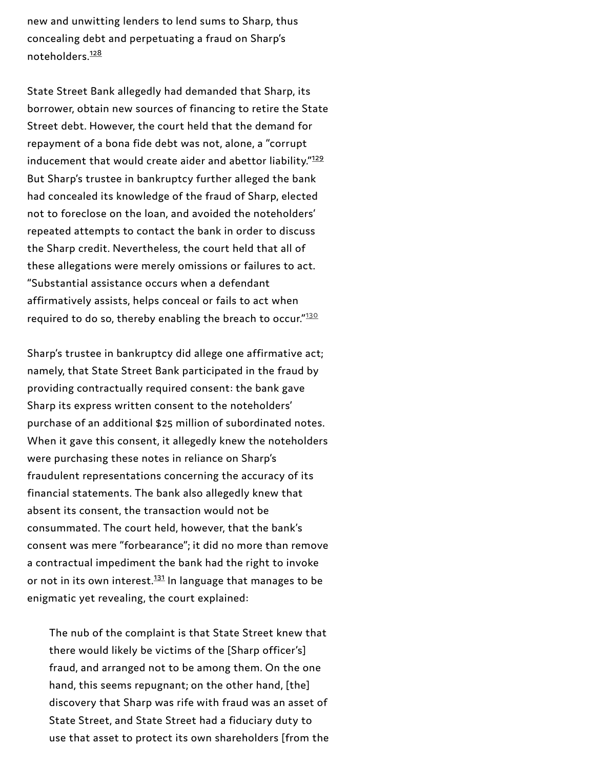new and unwitting lenders to lend sums to Sharp, thus concealing debt and perpetuating a fraud on Sharp's noteholders. [128](#page-66-9)

State Street Bank allegedly had demanded that Sharp, its borrower, obtain new sources of financing to retire the State Street debt. However, the court held that the demand for repayment of a bona fide debt was not, alone, a "corrupt inducement that would create aider and abettor liability."<sup>[129](#page-66-10)</sup> But Sharp's trustee in bankruptcy further alleged the bank had concealed its knowledge of the fraud of Sharp, elected not to foreclose on the loan, and avoided the noteholders' repeated attempts to contact the bank in order to discuss the Sharp credit. Nevertheless, the court held that all of these allegations were merely omissions or failures to act. "Substantial assistance occurs when a defendant affirmatively assists, helps conceal or fails to act when required to do so, thereby enabling the breach to occur." $\frac{130}{20}$  $\frac{130}{20}$  $\frac{130}{20}$ 

Sharp's trustee in bankruptcy did allege one affirmative act; namely, that State Street Bank participated in the fraud by providing contractually required consent: the bank gave Sharp its express written consent to the noteholders' purchase of an additional \$25 million of subordinated notes. When it gave this consent, it allegedly knew the noteholders were purchasing these notes in reliance on Sharp's fraudulent representations concerning the accuracy of its financial statements. The bank also allegedly knew that absent its consent, the transaction would not be consummated. The court held, however, that the bank's consent was mere "forbearance"; it did no more than remove a contractual impediment the bank had the right to invoke or not in its own interest.<sup>[131](#page-67-0)</sup> In language that manages to be enigmatic yet revealing, the court explained:

The nub of the complaint is that State Street knew that there would likely be victims of the [Sharp officer's] fraud, and arranged not to be among them. On the one hand, this seems repugnant; on the other hand, [the] discovery that Sharp was rife with fraud was an asset of State Street, and State Street had a fiduciary duty to use that asset to protect its own shareholders [from the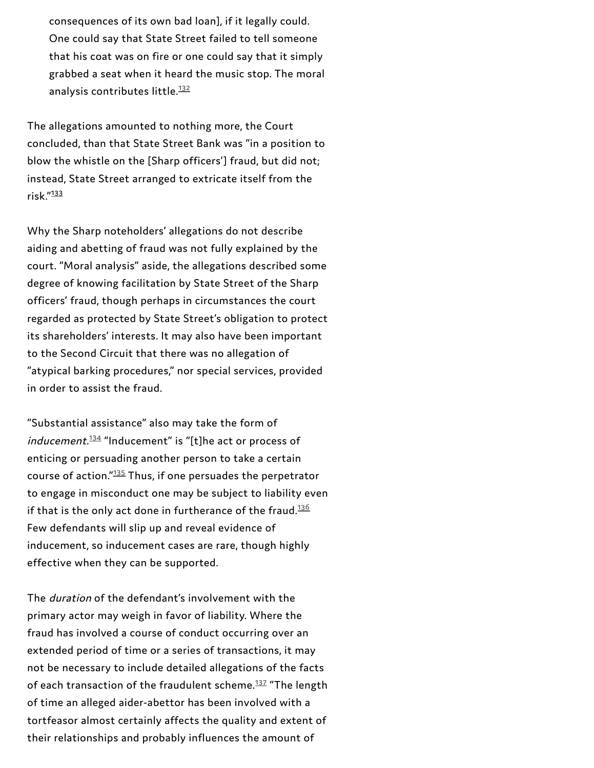consequences of its own bad loan], if it legally could. One could say that State Street failed to tell someone that his coat was on fire or one could say that it simply grabbed a seat when it heard the music stop. The moral analysis contributes little. [132](#page-67-3)

The allegations amounted to nothing more, the Court concluded, than that State Street Bank was "in a position to blow the whistle on the [Sharp officers'] fraud, but did not; instead, State Street arranged to extricate itself from the risk." [133](#page-67-2)

Why the Sharp noteholders' allegations do not describe aiding and abetting of fraud was not fully explained by the court. "Moral analysis" aside, the allegations described some degree of knowing facilitation by State Street of the Sharp officers' fraud, though perhaps in circumstances the court regarded as protected by State Street's obligation to protect its shareholders' interests. It may also have been important to the Second Circuit that there was no allegation of "atypical barking procedures," nor special services, provided in order to assist the fraud.

"Substantial assistance" also may take the form of  $\emph{inducement.}^{\text{134}}$  $\emph{inducement.}^{\text{134}}$  $\emph{inducement.}^{\text{134}}$  "Inducement" is "[t]he act or process of enticing or persuading another person to take a certain course of action."<sup>[135](#page-67-5)</sup> Thus, if one persuades the perpetrator to engage in misconduct one may be subject to liability even if that is the only act done in furtherance of the fraud. $^{\underline{136}}$  $^{\underline{136}}$  $^{\underline{136}}$ Few defendants will slip up and reveal evidence of inducement, so inducement cases are rare, though highly effective when they can be supported.

The duration of the defendant's involvement with the primary actor may weigh in favor of liability. Where the fraud has involved a course of conduct occurring over an extended period of time or a series of transactions, it may not be necessary to include detailed allegations of the facts of each transaction of the fraudulent scheme.<sup>[137](#page-67-7)</sup> "The length of time an alleged aider-abettor has been involved with a tortfeasor almost certainly affects the quality and extent of their relationships and probably influences the amount of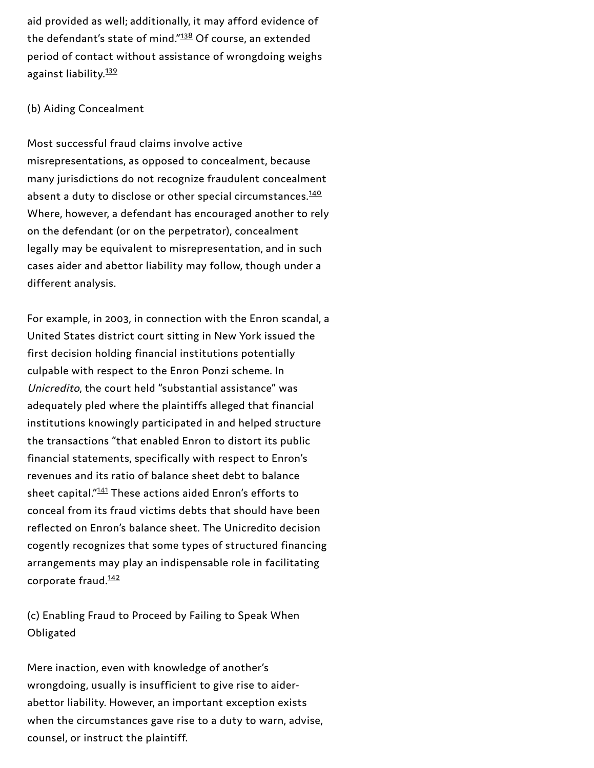aid provided as well; additionally, it may afford evidence of the defendant's state of mind."<sup>[138](#page-67-8)</sup> Of course, an extended period of contact without assistance of wrongdoing weighs against liability.<sup>[139](#page-67-9)</sup>

#### (b) Aiding Concealment

Most successful fraud claims involve active misrepresentations, as opposed to concealment, because many jurisdictions do not recognize fraudulent concealment absent a duty to disclose or other special circumstances.<sup>[140](#page-67-10)</sup> Where, however, a defendant has encouraged another to rely on the defendant (or on the perpetrator), concealment legally may be equivalent to misrepresentation, and in such cases aider and abettor liability may follow, though under a different analysis.

For example, in 2003, in connection with the Enron scandal, a United States district court sitting in New York issued the first decision holding financial institutions potentially culpable with respect to the Enron Ponzi scheme. In Unicredito, the court held "substantial assistance" was adequately pled where the plaintiffs alleged that financial institutions knowingly participated in and helped structure the transactions "that enabled Enron to distort its public financial statements, specifically with respect to Enron's revenues and its ratio of balance sheet debt to balance sheet capital."<sup>[141](#page-67-12)</sup> These actions aided Enron's efforts to conceal from its fraud victims debts that should have been reflected on Enron's balance sheet. The Unicredito decision cogently recognizes that some types of structured financing arrangements may play an indispensable role in facilitating corporate fraud. [142](#page-67-11)

(c) Enabling Fraud to Proceed by Failing to Speak When Obligated

Mere inaction, even with knowledge of another's wrongdoing, usually is insufficient to give rise to aiderabettor liability. However, an important exception exists when the circumstances gave rise to a duty to warn, advise, counsel, or instruct the plaintiff.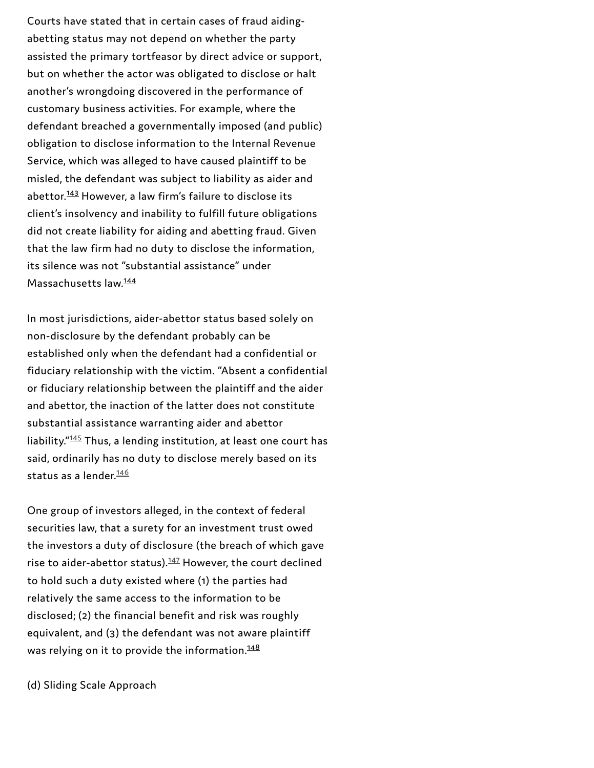Courts have stated that in certain cases of fraud aidingabetting status may not depend on whether the party assisted the primary tortfeasor by direct advice or support, but on whether the actor was obligated to disclose or halt another's wrongdoing discovered in the performance of customary business activities. For example, where the defendant breached a governmentally imposed (and public) obligation to disclose information to the Internal Revenue Service, which was alleged to have caused plaintiff to be misled, the defendant was subject to liability as aider and abettor.<sup>[143](#page-67-13)</sup> However, a law firm's failure to disclose its client's insolvency and inability to fulfill future obligations did not create liability for aiding and abetting fraud. Given that the law firm had no duty to disclose the information, its silence was not "substantial assistance" under Massachusetts law.<sup>[144](#page-67-14)</sup>

In most jurisdictions, aider-abettor status based solely on non-disclosure by the defendant probably can be established only when the defendant had a confidential or fiduciary relationship with the victim. "Absent a confidential or fiduciary relationship between the plaintiff and the aider and abettor, the inaction of the latter does not constitute substantial assistance warranting aider and abettor liability."<sup>[145](#page-68-1)</sup> Thus, a lending institution, at least one court has said, ordinarily has no duty to disclose merely based on its status as a lender.<sup>[146](#page-68-2)</sup>

One group of investors alleged, in the context of federal securities law, that a surety for an investment trust owed the investors a duty of disclosure (the breach of which gave rise to aider-abettor status). $^{147}$  $^{147}$  $^{147}$  However, the court declined to hold such a duty existed where (1) the parties had relatively the same access to the information to be disclosed; (2) the financial benefit and risk was roughly equivalent, and (3) the defendant was not aware plaintiff was relying on it to provide the information. [148](#page-68-0)

(d) Sliding Scale Approach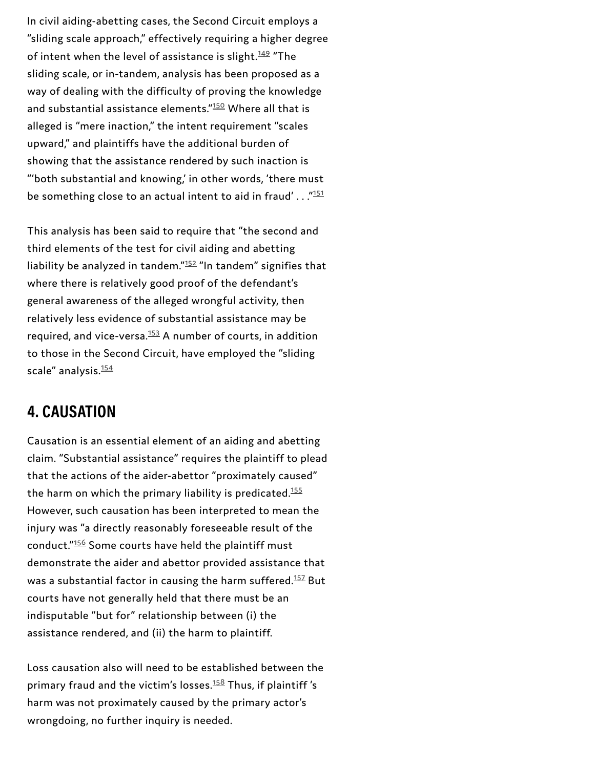In civil aiding-abetting cases, the Second Circuit employs a "sliding scale approach," effectively requiring a higher degree of intent when the level of assistance is slight.<sup>[149](#page-68-4)</sup> "The sliding scale, or in-tandem, analysis has been proposed as a way of dealing with the difficulty of proving the knowledge and substantial assistance elements."<sup>[150](#page-68-5)</sup> Where all that is alleged is "mere inaction," the intent requirement "scales upward," and plaintiffs have the additional burden of showing that the assistance rendered by such inaction is "'both substantial and knowing,' in other words, 'there must be something close to an actual intent to aid in fraud'  $\dots$  ." $^{\rm 151}$  $^{\rm 151}$  $^{\rm 151}$ 

This analysis has been said to require that "the second and third elements of the test for civil aiding and abetting liability be analyzed in tandem." $152$  "In tandem" signifies that where there is relatively good proof of the defendant's general awareness of the alleged wrongful activity, then relatively less evidence of substantial assistance may be required, and vice-versa. $^{153}_{ }$  $^{153}_{ }$  $^{153}_{ }$  A number of courts, in addition to those in the Second Circuit, have employed the "sliding scale" analysis. [154](#page-68-9)

#### **4. CAUSATION**

Causation is an essential element of an aiding and abetting claim. "Substantial assistance" requires the plaintiff to plead that the actions of the aider-abettor "proximately caused" the harm on which the primary liability is predicated. [155](#page-68-10) However, such causation has been interpreted to mean the injury was "a directly reasonably foreseeable result of the conduct." $156$  Some courts have held the plaintiff must demonstrate the aider and abettor provided assistance that was a substantial factor in causing the harm suffered. $^{157}$  $^{157}$  $^{157}$  But courts have not generally held that there must be an indisputable "but for" relationship between (i) the assistance rendered, and (ii) the harm to plaintiff.

Loss causation also will need to be established between the primary fraud and the victim's losses.<sup>[158](#page-69-0)</sup> Thus, if plaintiff*'*s harm was not proximately caused by the primary actor's wrongdoing, no further inquiry is needed.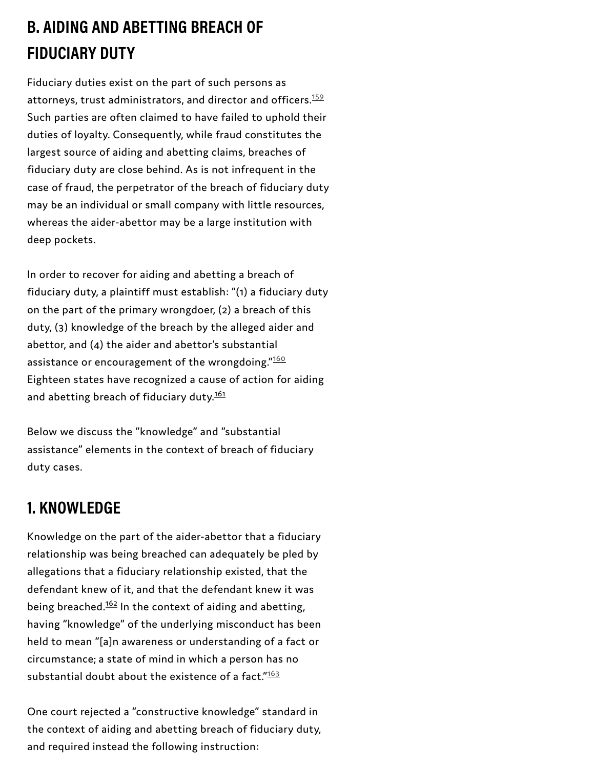### **B. AIDING AND ABETTING BREACH OF FIDUCIARY DUTY**

Fiduciary duties exist on the part of such persons as attorneys, trust administrators, and director and officers. [159](#page-69-2) Such parties are often claimed to have failed to uphold their duties of loyalty. Consequently, while fraud constitutes the largest source of aiding and abetting claims, breaches of fiduciary duty are close behind. As is not infrequent in the case of fraud, the perpetrator of the breach of fiduciary duty may be an individual or small company with little resources, whereas the aider-abettor may be a large institution with deep pockets.

In order to recover for aiding and abetting a breach of fiduciary duty, a plaintiff must establish: "(1) a fiduciary duty on the part of the primary wrongdoer, (2) a breach of this duty, (3) knowledge of the breach by the alleged aider and abettor, and (4) the aider and abettor's substantial assistance or encouragement of the wrongdoing." $^{\rm 160}$  $^{\rm 160}$  $^{\rm 160}$ Eighteen states have recognized a cause of action for aiding and abetting breach of fiduciary duty.<sup>[161](#page-69-1)</sup>

Below we discuss the "knowledge" and "substantial assistance" elements in the context of breach of fiduciary duty cases.

#### **1. KNOWLEDGE**

Knowledge on the part of the aider-abettor that a fiduciary relationship was being breached can adequately be pled by allegations that a fiduciary relationship existed, that the defendant knew of it, and that the defendant knew it was being breached.<sup>[162](#page-70-0)</sup> In the context of aiding and abetting, having "knowledge" of the underlying misconduct has been held to mean "[a]n awareness or understanding of a fact or circumstance; a state of mind in which a person has no substantial doubt about the existence of a fact." $^{\underline{163}}$  $^{\underline{163}}$  $^{\underline{163}}$ 

One court rejected a "constructive knowledge" standard in the context of aiding and abetting breach of fiduciary duty, and required instead the following instruction: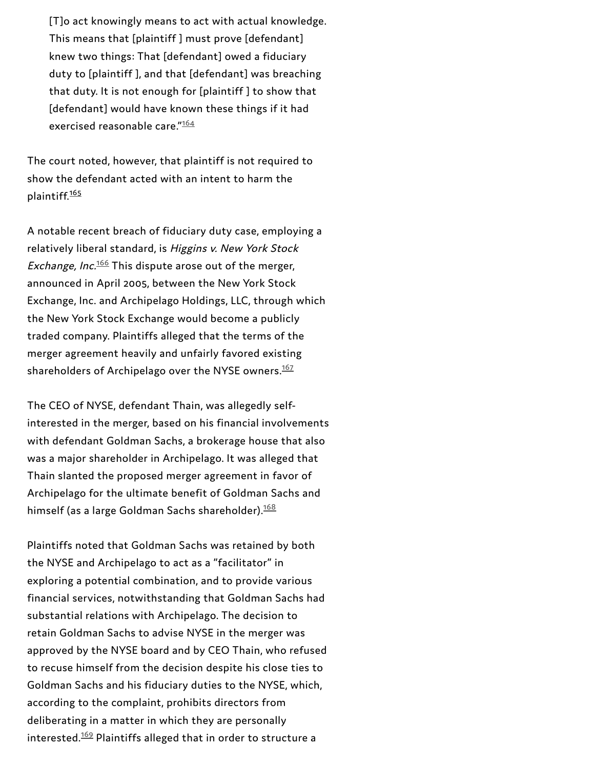[T]o act knowingly means to act with actual knowledge. This means that [plaintiff ] must prove [defendant] knew two things: That [defendant] owed a fiduciary duty to [plaintiff ], and that [defendant] was breaching that duty. It is not enough for [plaintiff ] to show that [defendant] would have known these things if it had exercised reasonable care."[164](#page-70-3)

The court noted, however, that plaintiff is not required to show the defendant acted with an intent to harm the plaintiff.<sup>[165](#page-70-2)</sup>

A notable recent breach of fiduciary duty case, employing a relatively liberal standard, is Higgins v. New York Stock *Exchange, Inc.* $^{\underline{166}}$  $^{\underline{166}}$  $^{\underline{166}}$  This dispute arose out of the merger, announced in April 2005, between the New York Stock Exchange, Inc. and Archipelago Holdings, LLC, through which the New York Stock Exchange would become a publicly traded company. Plaintiffs alleged that the terms of the merger agreement heavily and unfairly favored existing shareholders of Archipelago over the NYSE owners. [167](#page-70-5)

The CEO of NYSE, defendant Thain, was allegedly selfinterested in the merger, based on his financial involvements with defendant Goldman Sachs, a brokerage house that also was a major shareholder in Archipelago. It was alleged that Thain slanted the proposed merger agreement in favor of Archipelago for the ultimate benefit of Goldman Sachs and himself (as a large Goldman Sachs shareholder). [168](#page-70-6)

Plaintiffs noted that Goldman Sachs was retained by both the NYSE and Archipelago to act as a "facilitator" in exploring a potential combination, and to provide various financial services, notwithstanding that Goldman Sachs had substantial relations with Archipelago. The decision to retain Goldman Sachs to advise NYSE in the merger was approved by the NYSE board and by CEO Thain, who refused to recuse himself from the decision despite his close ties to Goldman Sachs and his fiduciary duties to the NYSE, which, according to the complaint, prohibits directors from deliberating in a matter in which they are personally interested. $^{169}$  $^{169}$  $^{169}$  Plaintiffs alleged that in order to structure a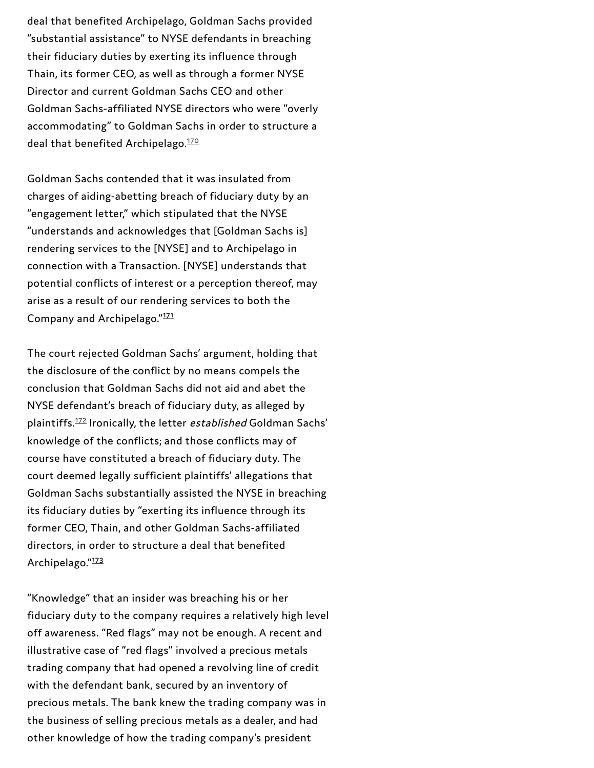deal that benefited Archipelago, Goldman Sachs provided "substantial assistance" to NYSE defendants in breaching their fiduciary duties by exerting its influence through Thain, its former CEO, as well as through a former NYSE Director and current Goldman Sachs CEO and other Goldman Sachs-affiliated NYSE directors who were "overly accommodating" to Goldman Sachs in order to structure a deal that benefited Archipelago.<sup>[170](#page-70-9)</sup>

Goldman Sachs contended that it was insulated from charges of aiding-abetting breach of fiduciary duty by an "engagement letter," which stipulated that the NYSE "understands and acknowledges that [Goldman Sachs is] rendering services to the [NYSE] and to Archipelago in connection with a Transaction. [NYSE] understands that potential conflicts of interest or a perception thereof, may arise as a result of our rendering services to both the Company and Archipelago."<sup>[171](#page-70-8)</sup>

The court rejected Goldman Sachs' argument, holding that the disclosure of the conflict by no means compels the conclusion that Goldman Sachs did not aid and abet the NYSE defendant's breach of fiduciary duty, as alleged by plaintiffs.<sup>[172](#page-70-10)</sup> Ironically, the letter *established* Goldman Sachs' knowledge of the conflicts; and those conflicts may of course have constituted a breach of fiduciary duty. The court deemed legally sufficient plaintiffs' allegations that Goldman Sachs substantially assisted the NYSE in breaching its fiduciary duties by "exerting its influence through its former CEO, Thain, and other Goldman Sachs-affiliated directors, in order to structure a deal that benefited Archipelago."<sup>[173](#page-71-0)</sup>

"Knowledge" that an insider was breaching his or her fiduciary duty to the company requires a relatively high level off awareness. "Red flags" may not be enough. A recent and illustrative case of "red flags" involved a precious metals trading company that had opened a revolving line of credit with the defendant bank, secured by an inventory of precious metals. The bank knew the trading company was in the business of selling precious metals as a dealer, and had other knowledge of how the trading company's president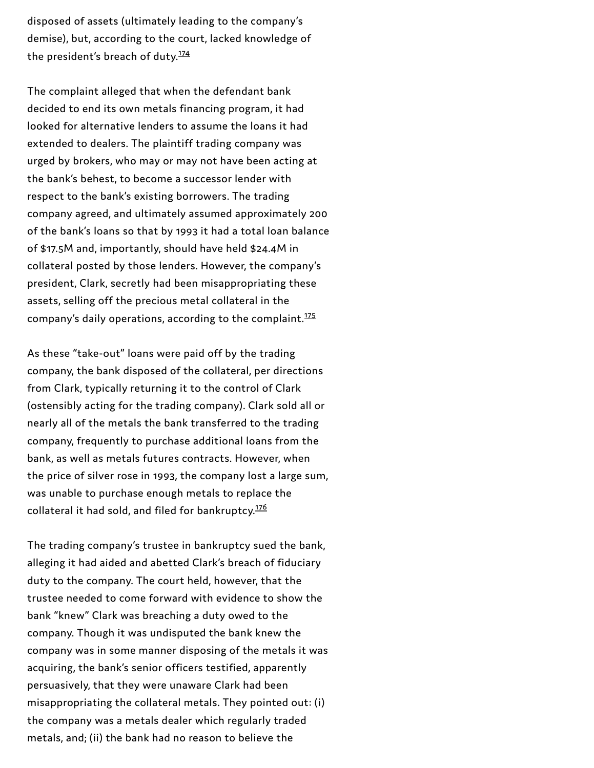disposed of assets (ultimately leading to the company's demise), but, according to the court, lacked knowledge of the president's breach of duty.<sup>[174](#page-71-1)</sup>

The complaint alleged that when the defendant bank decided to end its own metals financing program, it had looked for alternative lenders to assume the loans it had extended to dealers. The plaintiff trading company was urged by brokers, who may or may not have been acting at the bank's behest, to become a successor lender with respect to the bank's existing borrowers. The trading company agreed, and ultimately assumed approximately 200 of the bank's loans so that by 1993 it had a total loan balance of \$17.5M and, importantly, should have held \$24.4M in collateral posted by those lenders. However, the company's president, Clark, secretly had been misappropriating these assets, selling off the precious metal collateral in the company's daily operations, according to the complaint. [175](#page-71-2)

As these "take-out" loans were paid off by the trading company, the bank disposed of the collateral, per directions from Clark, typically returning it to the control of Clark (ostensibly acting for the trading company). Clark sold all or nearly all of the metals the bank transferred to the trading company, frequently to purchase additional loans from the bank, as well as metals futures contracts. However, when the price of silver rose in 1993, the company lost a large sum, was unable to purchase enough metals to replace the collateral it had sold, and filed for bankruptcy. [176](#page-71-3)

The trading company's trustee in bankruptcy sued the bank, alleging it had aided and abetted Clark's breach of fiduciary duty to the company. The court held, however, that the trustee needed to come forward with evidence to show the bank "knew" Clark was breaching a duty owed to the company. Though it was undisputed the bank knew the company was in some manner disposing of the metals it was acquiring, the bank's senior officers testified, apparently persuasively, that they were unaware Clark had been misappropriating the collateral metals. They pointed out: (i) the company was a metals dealer which regularly traded metals, and; (ii) the bank had no reason to believe the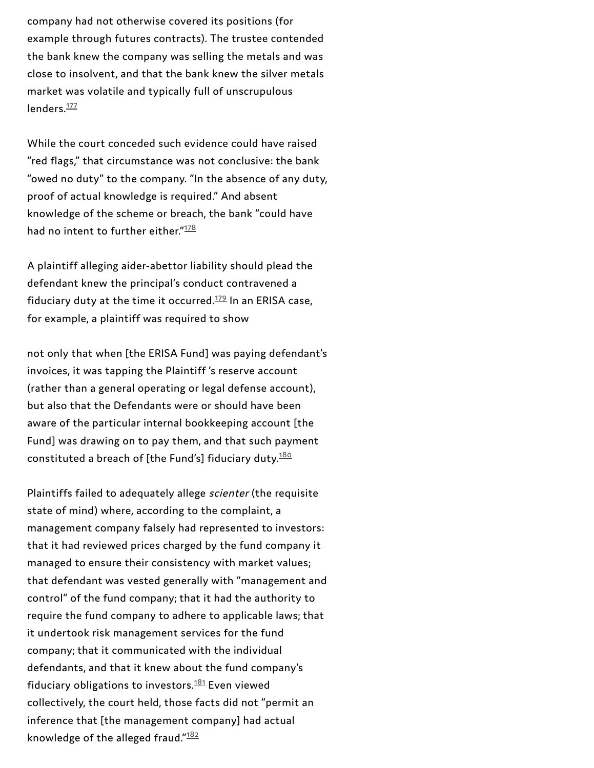company had not otherwise covered its positions (for example through futures contracts). The trustee contended the bank knew the company was selling the metals and was close to insolvent, and that the bank knew the silver metals market was volatile and typically full of unscrupulous lenders.<sup>[177](#page-71-4)</sup>

While the court conceded such evidence could have raised "red flags," that circumstance was not conclusive: the bank "owed no duty" to the company. "In the absence of any duty, proof of actual knowledge is required." And absent knowledge of the scheme or breach, the bank "could have had no intent to further either."<sup>[178](#page-71-5)</sup>

A plaintiff alleging aider-abettor liability should plead the defendant knew the principal's conduct contravened a fiduciary duty at the time it occurred. $^{179}$  $^{179}$  $^{179}$  In an ERISA case, for example, a plaintiff was required to show

not only that when [the ERISA Fund] was paying defendant's invoices, it was tapping the Plaintiff 's reserve account (rather than a general operating or legal defense account), but also that the Defendants were or should have been aware of the particular internal bookkeeping account [the Fund] was drawing on to pay them, and that such payment constituted a breach of [the Fund's] fiduciary duty.<sup>[180](#page-71-7)</sup>

Plaintiffs failed to adequately allege scienter (the requisite state of mind) where, according to the complaint, a management company falsely had represented to investors: that it had reviewed prices charged by the fund company it managed to ensure their consistency with market values; that defendant was vested generally with "management and control" of the fund company; that it had the authority to require the fund company to adhere to applicable laws; that it undertook risk management services for the fund company; that it communicated with the individual defendants, and that it knew about the fund company's fiduciary obligations to investors. $^{181}$  $^{181}$  $^{181}$  Even viewed collectively, the court held, those facts did not "permit an inference that [the management company] had actual knowledge of the alleged fraud."<sup>[182](#page-71-9)</sup>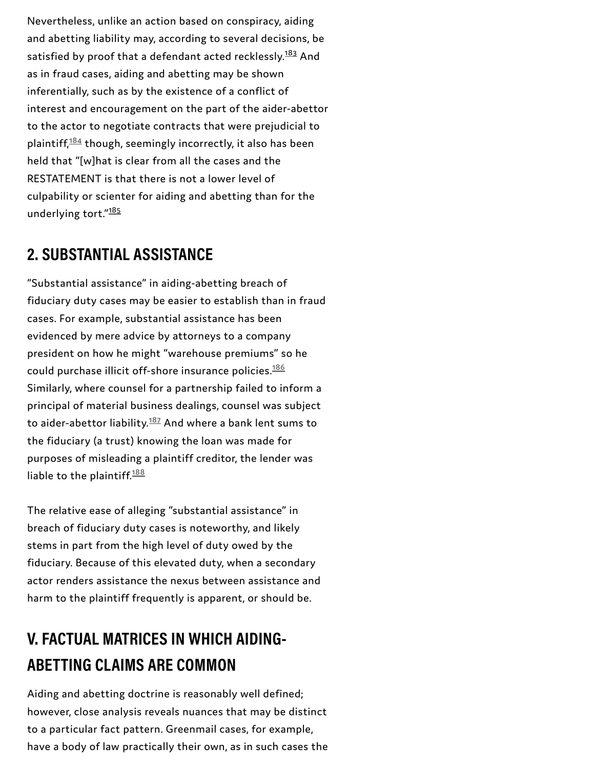Nevertheless, unlike an action based on conspiracy, aiding and abetting liability may, according to several decisions, be satisfied by proof that a defendant acted recklessly.<sup>[183](#page-71-10)</sup> And as in fraud cases, aiding and abetting may be shown inferentially, such as by the existence of a conflict of interest and encouragement on the part of the aider-abettor to the actor to negotiate contracts that were prejudicial to plaintiff, $^{184}$  $^{184}$  $^{184}$  though, seemingly incorrectly, it also has been held that "[w]hat is clear from all the cases and the RESTATEMENT is that there is not a lower level of culpability or scienter for aiding and abetting than for the underlying tort."<sup>[185](#page-71-11)</sup>

### **2. SUBSTANTIAL ASSISTANCE**

"Substantial assistance" in aiding-abetting breach of fiduciary duty cases may be easier to establish than in fraud cases. For example, substantial assistance has been evidenced by mere advice by attorneys to a company president on how he might "warehouse premiums" so he could purchase illicit off-shore insurance policies. [186](#page-72-0) Similarly, where counsel for a partnership failed to inform a principal of material business dealings, counsel was subject to aider-abettor liability. $^{187}$  $^{187}$  $^{187}$  And where a bank lent sums to the fiduciary (a trust) knowing the loan was made for purposes of misleading a plaintiff creditor, the lender was liable to the plaintiff.<sup>[188](#page-72-2)</sup>

The relative ease of alleging "substantial assistance" in breach of fiduciary duty cases is noteworthy, and likely stems in part from the high level of duty owed by the fiduciary. Because of this elevated duty, when a secondary actor renders assistance the nexus between assistance and harm to the plaintiff frequently is apparent, or should be.

### **V. FACTUAL MATRICES IN WHICH AIDING-ABETTING CLAIMS ARE COMMON**

Aiding and abetting doctrine is reasonably well defined; however, close analysis reveals nuances that may be distinct to a particular fact pattern. Greenmail cases, for example, have a body of law practically their own, as in such cases the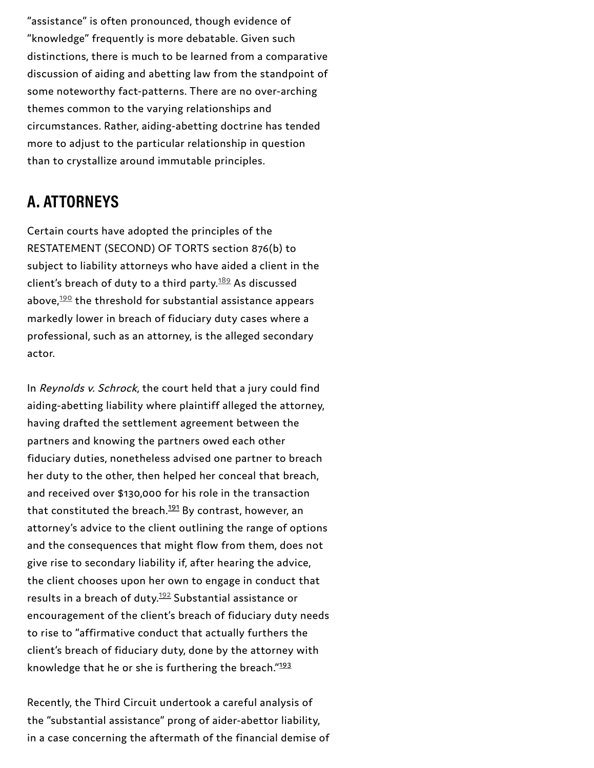"assistance" is often pronounced, though evidence of "knowledge" frequently is more debatable. Given such distinctions, there is much to be learned from a comparative discussion of aiding and abetting law from the standpoint of some noteworthy fact-patterns. There are no over-arching themes common to the varying relationships and circumstances. Rather, aiding-abetting doctrine has tended more to adjust to the particular relationship in question than to crystallize around immutable principles.

### **A. ATTORNEYS**

Certain courts have adopted the principles of the RESTATEMENT (SECOND) OF TORTS section 876(b) to subject to liability attorneys who have aided a client in the client's breach of duty to a third party. $^{189}$  $^{189}$  $^{189}$  As discussed above, $^{190}_{ }$  $^{190}_{ }$  $^{190}_{ }$  the threshold for substantial assistance appears markedly lower in breach of fiduciary duty cases where a professional, such as an attorney, is the alleged secondary actor.

In Reynolds v. Schrock, the court held that a jury could find aiding-abetting liability where plaintiff alleged the attorney, having drafted the settlement agreement between the partners and knowing the partners owed each other fiduciary duties, nonetheless advised one partner to breach her duty to the other, then helped her conceal that breach, and received over \$130,000 for his role in the transaction that constituted the breach.<sup>[191](#page-72-3)</sup> By contrast, however, an attorney's advice to the client outlining the range of options and the consequences that might flow from them, does not give rise to secondary liability if, after hearing the advice, the client chooses upon her own to engage in conduct that results in a breach of duty.<sup>[192](#page-72-7)</sup> Substantial assistance or encouragement of the client's breach of fiduciary duty needs to rise to "affirmative conduct that actually furthers the client's breach of fiduciary duty, done by the attorney with knowledge that he or she is furthering the breach." $^{193}$  $^{193}$  $^{193}$ 

Recently, the Third Circuit undertook a careful analysis of the "substantial assistance" prong of aider-abettor liability, in a case concerning the aftermath of the financial demise of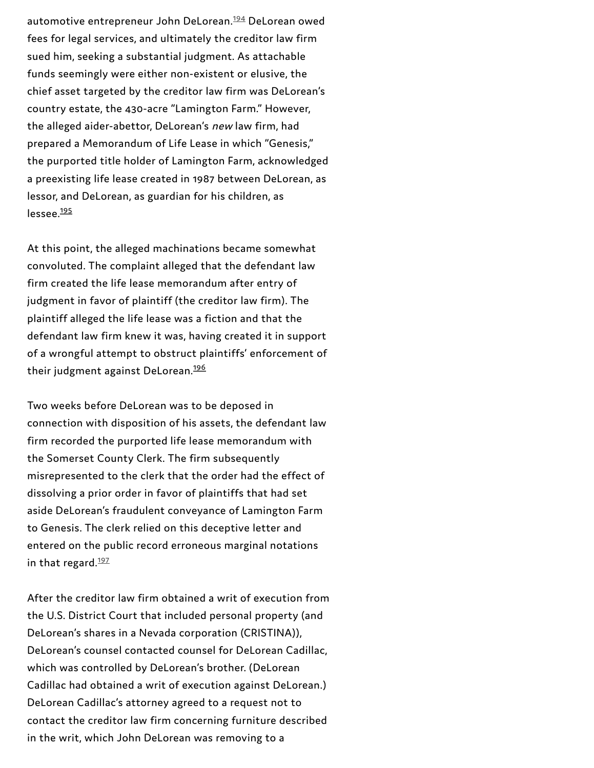automotive entrepreneur John DeLorean. $^{194}$ DeLorean owed fees for legal services, and ultimately the creditor law firm sued him, seeking a substantial judgment. As attachable funds seemingly were either non-existent or elusive, the chief asset targeted by the creditor law firm was DeLorean's country estate, the 430-acre "Lamington Farm." However, the alleged aider-abettor, DeLorean's new law firm, had prepared a Memorandum of Life Lease in which "Genesis," the purported title holder of Lamington Farm, acknowledg e d a preexisting life lease created in 1987 between DeLorean, as lessor, and DeLorean, as guardian for his children, as lessee.<sup>195</sup> automotive entrepreneur John DeLorean.<sup>1326</sup> DeLorean<br>feas for logal services, and ultimately the creditor la<br>sued him, seeking a substantial judgment. As attach<br>timds seemingly were either non-existent or elusive<br>chief as

At this point, the alleged machinations became somewhat convoluted. The complaint alleged that the defendant law firm created the life lease memorandum after entry of judgment in favor of plaintiff (the creditor law firm). The plaintiff alleged the life lease was a fiction and that the defendant law firm knew it was, having created it in support of a wrongful attempt to obstruct plaintiffs' enforcement of their judgment against DeLorean.<sup>196</sup>

Two weeks before DeLorean was to be deposed in connection with disposition of his assets, the defendant law firm recorded the purported life lease memorandum with the Somerset County Clerk. The firm subsequently misrepresented to the clerk that the order had the effect of dissolving a prior order in favor of plaintiffs that had set aside DeLorean's fraudulent conveyance of Lamington Farm to Genesis. The clerk relied on this deceptive letter and entered on the public record erroneous marginal notations in that regard. $\frac{197}{2}$ 

After the creditor law firm obtained a writ of execution from the U.S. District Court that included personal property (and DeLorean's shares in a Nevada corporation (CRISTINA)), DeLorean's counsel contacted counsel for DeLorean Cadillac, which was controlled by DeLorean's brother. (DeLorean Cadillac had obtained a writ of execution against DeLorean.) DeLorean Cadillac's attorney agreed to a request not to contact the creditor law firm concerning furniture described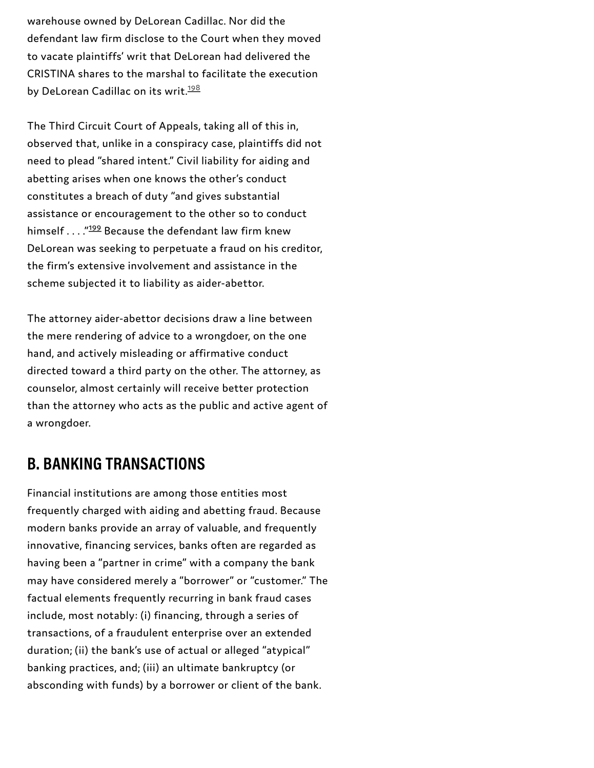warehouse owned by DeLorean Cadillac. Nor did the defendant law firm disclose to the Court when they moved to vacate plaintiffs' writ that DeLorean had delivered the CRISTINA shares to the marshal to facilitate the execution by DeLorean Cadillac on its writ.<sup>[198](#page-73-2)</sup>

The Third Circuit Court of Appeals, taking all of this in, observed that, unlike in a conspiracy case, plaintiffs did not need to plead "shared intent." Civil liability for aiding and abetting arises when one knows the other's conduct constitutes a breach of duty "and gives substantial assistance or encouragement to the other so to conduct himself . . . ."<sup>[199](#page-73-1)</sup> Because the defendant law firm knew DeLorean was seeking to perpetuate a fraud on his creditor, the firm's extensive involvement and assistance in the scheme subjected it to liability as aider-abettor.

The attorney aider-abettor decisions draw a line between the mere rendering of advice to a wrongdoer, on the one hand, and actively misleading or affirmative conduct directed toward a third party on the other. The attorney, as counselor, almost certainly will receive better protection than the attorney who acts as the public and active agent of a wrongdoer.

#### **B. BANKING TRANSACTIONS**

Financial institutions are among those entities most frequently charged with aiding and abetting fraud. Because modern banks provide an array of valuable, and frequently innovative, financing services, banks often are regarded as having been a "partner in crime" with a company the bank may have considered merely a "borrower" or "customer." The factual elements frequently recurring in bank fraud cases include, most notably: (i) financing, through a series of transactions, of a fraudulent enterprise over an extended duration; (ii) the bank's use of actual or alleged "atypical" banking practices, and; (iii) an ultimate bankruptcy (or absconding with funds) by a borrower or client of the bank.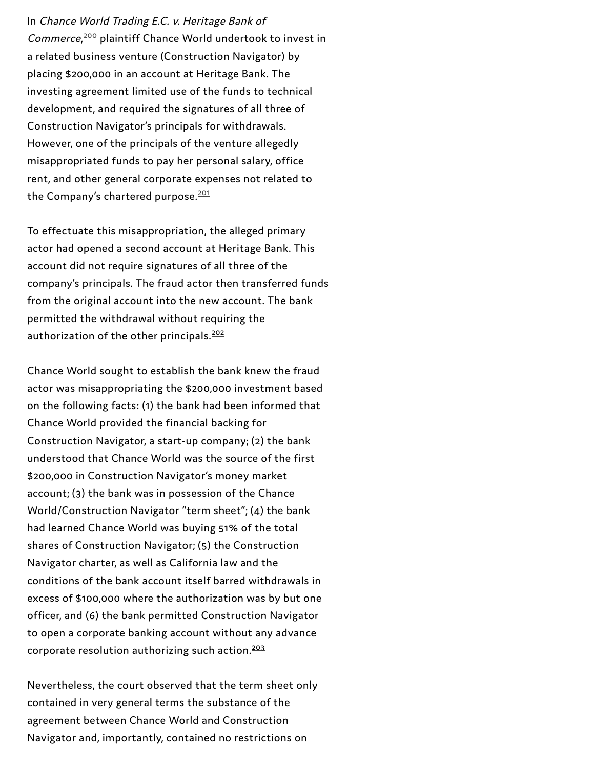In Channel World Trading E.C. with change Bank of<br>
Connorma, <sup>223</sup> plaintiff Channel World undernoot to invest in<br>
connorma,<sup>223</sup> plaintiff Channel World undernoot to invest in<br>
a related by singes mentioned (Connormation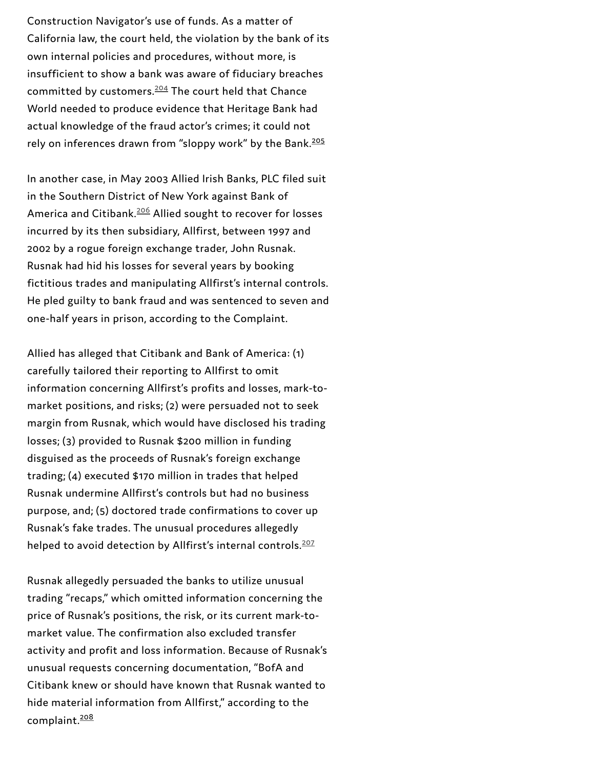Construction Navigator's use of funds. As a matter of California law, the court held, the violation by the bank of its own internal policies and procedures, without more, is insufficient to show a bank was aware of fiduciary breaches committed by customers.<sup>[204](#page-73-2)</sup> The court held that Chance World needed to produce evidence that Heritage Bank had actual knowledge of the fraud actor's crimes; it could not rely on inferences drawn from "sloppy work" by the Bank. [205](#page-73-0)

In another case, in May 2003 Allied Irish Banks, PLC filed suit in the Southern District of New York against Bank of America and Citibank.<sup>[206](#page-73-3)</sup> Allied sought to recover for losses incurred by its then subsidiary, Allfirst, between 1997 and 2002 by a rogue foreign exchange trader, John Rusnak. Rusnak had hid his losses for several years by booking fictitious trades and manipulating Allfirst's internal controls. He pled guilty to bank fraud and was sentenced to seven and one-half years in prison, according to the Complaint.

Allied has alleged that Citibank and Bank of America: (1) carefully tailored their reporting to Allfirst to omit information concerning Allfirst's profits and losses, mark-tomarket positions, and risks; (2) were persuaded not to seek margin from Rusnak, which would have disclosed his trading losses; (3) provided to Rusnak \$200 million in funding disguised as the proceeds of Rusnak's foreign exchange trading; (4) executed \$170 million in trades that helped Rusnak undermine Allfirst's controls but had no business purpose, and; (5) doctored trade confirmations to cover up Rusnak's fake trades. The unusual procedures allegedly helped to avoid detection by Allfirst's internal controls. [207](#page-73-4)

Rusnak allegedly persuaded the banks to utilize unusual trading "recaps," which omitted information concerning the price of Rusnak's positions, the risk, or its current mark-tomarket value. The confirmation also excluded transfer activity and profit and loss information. Because of Rusnak's unusual requests concerning documentation, "BofA and Citibank knew or should have known that Rusnak wanted to hide material information from Allfirst," according to the complaint. [208](#page-73-1)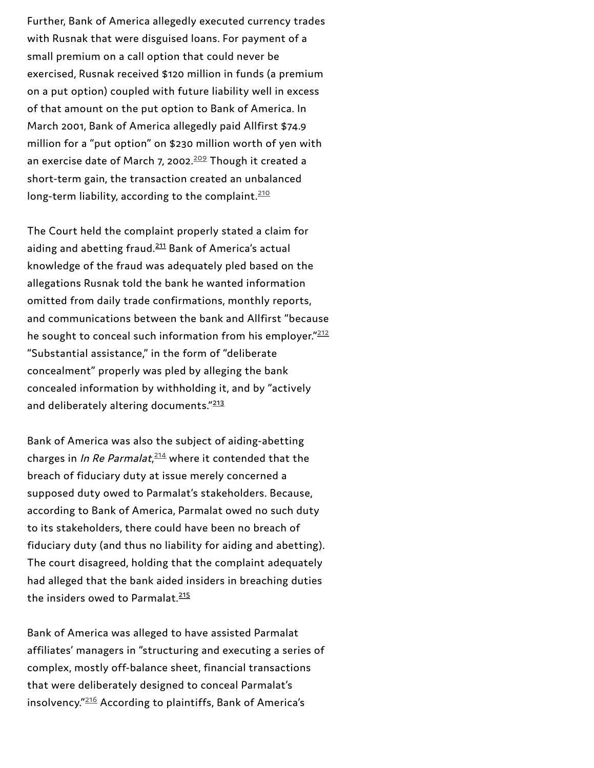Further, Bank of America allegedly executed currency trades with Rusnak that were disguised loans. For payment of a small premium on a call option that could never be exercised, Rusnak received \$120 million in funds (a premium on a put option) coupled with future liability well in excess of that amount on the put option to Bank of America. In March 2001, Bank of America allegedly paid Allfirst \$74.9 million for a "put option" on \$230 million worth of yen with an exercise date of March 7, 2002.<sup>[209](#page-73-7)</sup> Though it created a short-term gain, the transaction created an unbalanced long-term liability, according to the complaint.<sup>[210](#page-73-8)</sup>

The Court held the complaint properly stated a claim for aiding and abetting fraud.<sup>[211](#page-73-5)</sup> Bank of America's actual knowledge of the fraud was adequately pled based on the allegations Rusnak told the bank he wanted information omitted from daily trade confirmations, monthly reports, and communications between the bank and Allfirst "because he sought to conceal such information from his employer." $\frac{212}{2}$  $\frac{212}{2}$  $\frac{212}{2}$ "Substantial assistance," in the form of "deliberate concealment" properly was pled by alleging the bank concealed information by withholding it, and by "actively and deliberately altering documents."<sup>[213](#page-73-6)</sup>

Bank of America was also the subject of aiding-abetting charges in *In Re Parmalat,<sup>[214](#page-74-1)</sup>* where it contended that the breach of fiduciary duty at issue merely concerned a supposed duty owed to Parmalat's stakeholders. Because, according to Bank of America, Parmalat owed no such duty to its stakeholders, there could have been no breach of fiduciary duty (and thus no liability for aiding and abetting). The court disagreed, holding that the complaint adequately had alleged that the bank aided insiders in breaching duties the insiders owed to Parmalat.<sup>[215](#page-74-0)</sup>

Bank of America was alleged to have assisted Parmalat affiliates' managers in "structuring and executing a series of complex, mostly off-balance sheet, financial transactions that were deliberately designed to conceal Parmalat's insolvency."<sup>[216](#page-74-2)</sup> According to plaintiffs, Bank of America's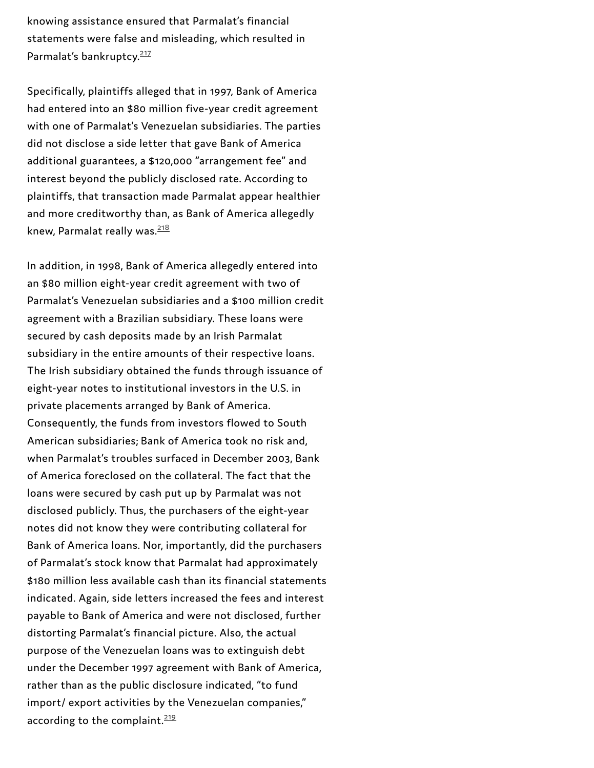knowing assistance ensured that Parmalat's financial statements were false and misleading, which resulted in Parmalat's bankruptcy.<sup>217</sup>

Specifically, plaintiffs alleged that in 1997, Bank of Americ a had entered into an \$80 million five-year credit agreement with one of Parmalat's Venezuelan subsidiaries. The parties did not disclose a side letter that gave Bank of America additional guarantees, a \$120,000 "arrangement fee" and interest beyond the publicly disclosed rate. According to plaintiffs, that transaction made Parmalat appear healthie r and more creditworthy than, as Bank of America allegedly knew, Parmalat really was.

In addition, in 1998, Bank of America allegedly entered into an \$80 million eight-year credit agreement with two of Parmalat's Venezuelan subsidiaries and a \$100 million credit agreement with a Brazilian subsidiary. These loans were secured by cash deposits made by an Irish Parmalat subsidiary in the entire amounts of their respective loans. The Irish subsidiary obtained the funds through issuance o f eight-year notes to institutional investors in the U.S. in private placements arranged by Bank of America. Consequently, the funds from investors flowed to South American subsidiaries; Bank of America took no risk and, when Parmalat's troubles surfaced in December 2003, Ba n k of America foreclosed on the collateral. The fact that the loans were secured by cash put up by Parmalat was not disclosed publicly. Thus, the purchasers of the eight-year notes did not know they were contributing collateral for Bank of America loans. Nor, importantly, did the purchase r s of Parmalat's stock know that Parmalat had approximately \$180 million less available cash than its financial statements indicated. Again, side letters increased the fees and interest payable to Bank of America and were not disclosed, further distorting Parmalat's financial picture. Also, the actual purpose of the Venezuelan loans was to extinguish debt under the December 1997 agreement with Bank of America, rather than as the public disclosure indicated, "to fund import/ export activities by the Venezuelan companies," Parmalat's bankruptcy.<sup>212</sup><br>Specifically, plaintiffs alleged thad entered into an \$80 millio<br>with one of Parmalat's Venezu<br>did not disclose a side letter t<br>additional guarantees, a \$120,<br>interest beyond the publicly d<br>plai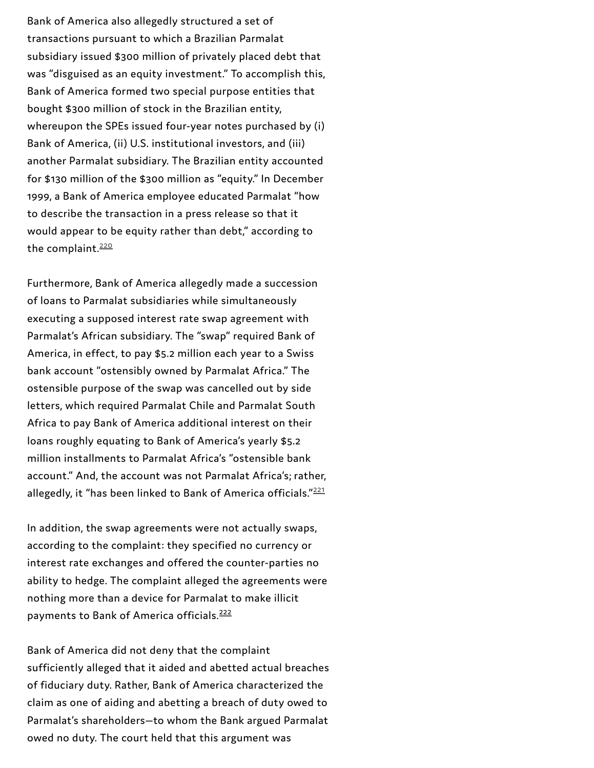Bank of America also allegedly structured a set of transactions pursuant to which a Brazilian Parmalat subsidiary issued \$300 million of privately placed debt that was "disguised as an equity investment." To accomplish this, Bank of America formed two special purpose entities that bought \$300 million of stock in the Brazilian entity, whereupon the SPEs issued four-year notes purchased by (i) Bank of America, (ii) U.S. institutional investors, and (iii) another Parmalat subsidiary. The Brazilian entity accounted for \$130 million of the \$300 million as "equity." In December 1999, a Bank of America employee educated Parmalat "how to describe the transaction in a press release so that it would appear to be equity rather than debt," according to the complaint.<sup>220</sup>

Furthermore, Bank of America allegedly made a succession of loans to Parmalat subsidiaries while simultaneously executing a supposed interest rate swap agreement with Parmalat's African subsidiary. The "swap" required Bank of America, in effect, to pay \$5.2 million each year to a Swiss bank account "ostensibly owned by Parmalat Africa." The ostensible purpose of the swap was cancelled out by side letters, which required Parmalat Chile and Parmalat South Africa to pay Bank of America additional interest on their loans roughly equating to Bank of America's yearly \$5.2 million installments to Parmalat Africa's "ostensible bank account." And, the account was not Parmalat Africa's; rather, allegedly, it "has been linked to Bank of America officials." $221$ the complaint.<sup>[220](#page-74-7)</sup><br>Furthermore, Bank of America allegedly made a succession<br>of loans to Parmalat subsidiaries while simultaneously<br>executing a supposed interest rate swap agreement with<br>Parmalat's African subsidiary. The

In addition, the swap agreements were not actually swaps, according to the complaint: they specified no currency or interest rate exchanges and offered the counter-parties no ability to hedge. The complaint alleged the agreements were nothing more than a device for Parmalat to make illicit payments to Bank of America officials.<sup>222</sup>

Bank of America did not deny that the complaint sufficiently alleged that it aided and abetted actual breaches of fiduciary duty. Rather, Bank of America characterized the claim as one of aiding and abetting a breach of duty owed to Parmalat's shareholders—to whom the Bank argued Parmalat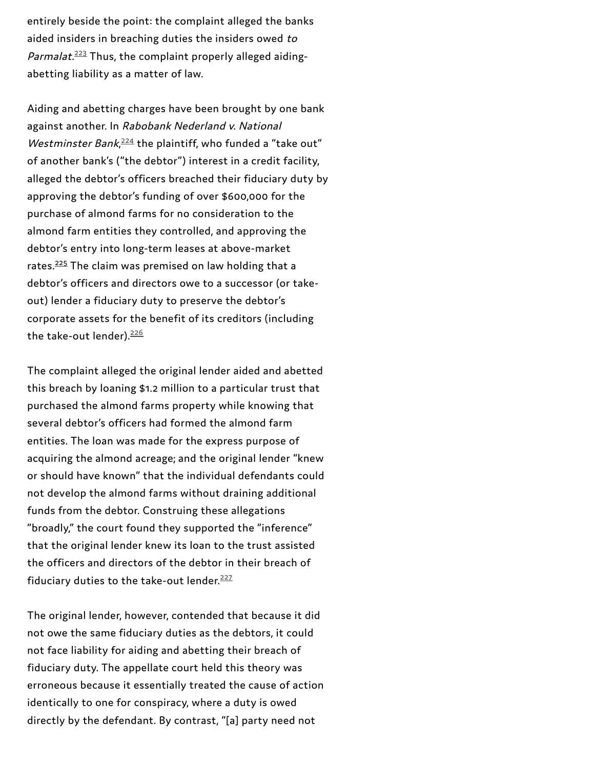entirely beside the point: the complaint alleged the banks aided insiders in breaching duties the insiders owed to *Parmalat.* $^{223}$  $^{223}$  $^{223}$  Thus, the complaint properly alleged aidingabetting liability as a matter of law.

Aiding and abetting charges have been brought by one bank against another. In Rabobank Nederland v. National Westminster Bank,  $^{224}$  $^{224}$  $^{224}$  the plaintiff, who funded a "take out" of another bank's ("the debtor") interest in a credit facility, alleged the debtor's officers breached their fiduciary duty by approving the debtor's funding of over \$600,000 for the purchase of almond farms for no consideration to the almond farm entities they controlled, and approving the debtor's entry into long-term leases at above-market rates.<sup>[225](#page-74-9)</sup> The claim was premised on law holding that a debtor's officers and directors owe to a successor (or takeout) lender a fiduciary duty to preserve the debtor's corporate assets for the benefit of its creditors (including the take-out lender).<sup>[226](#page-74-12)</sup>

The complaint alleged the original lender aided and abetted this breach by loaning \$1.2 million to a particular trust that purchased the almond farms property while knowing that several debtor's officers had formed the almond farm entities. The loan was made for the express purpose of acquiring the almond acreage; and the original lender "knew or should have known" that the individual defendants could not develop the almond farms without draining additional funds from the debtor. Construing these allegations "broadly," the court found they supported the "inference" that the original lender knew its loan to the trust assisted the officers and directors of the debtor in their breach of fiduciary duties to the take-out lender. [227](#page-74-13)

The original lender, however, contended that because it did not owe the same fiduciary duties as the debtors, it could not face liability for aiding and abetting their breach of fiduciary duty. The appellate court held this theory was erroneous because it essentially treated the cause of action identically to one for conspiracy, where a duty is owed directly by the defendant. By contrast, "[a] party need not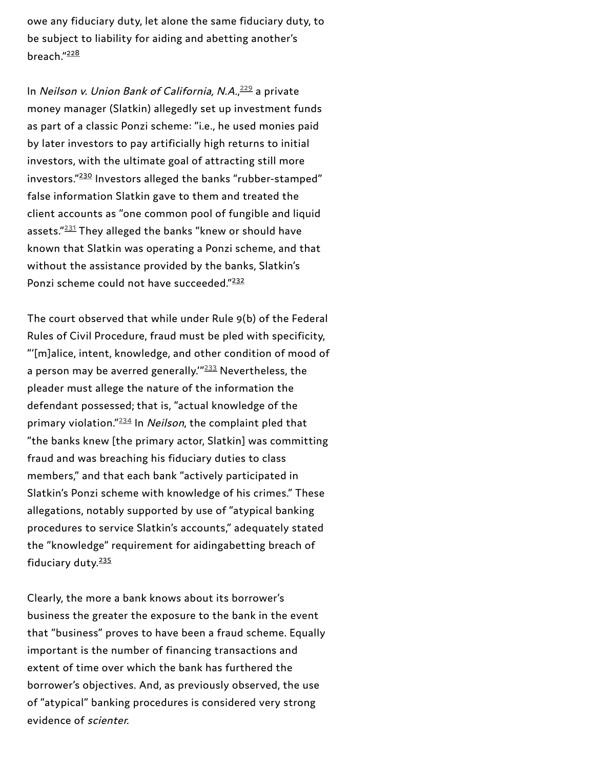owe any fiduciary duty, let alone the same fiduciary duty, to be subject to liability for aiding and abetting another's breach."<sup>[228](#page-74-14)</sup>

In *Neilson v. Union Bank of California, N.A.,<sup>[229](#page-74-17)</sup> a private* money manager (Slatkin) allegedly set up investment funds as part of a classic Ponzi scheme: "i.e., he used monies paid by later investors to pay artificially high returns to initial investors, with the ultimate goal of attracting still more investors."<del>[230](#page-74-15)</del> Investors alleged the banks "rubber-stamped" false information Slatkin gave to them and treated the client accounts as "one common pool of fungible and liquid assets."<sup>[231](#page-74-18)</sup> They alleged the banks "knew or should have known that Slatkin was operating a Ponzi scheme, and that without the assistance provided by the banks, Slatkin's Ponzi scheme could not have succeeded."<sup>[232](#page-74-16)</sup>

The court observed that while under Rule 9(b) of the Federal Rules of Civil Procedure, fraud must be pled with specificity, "'[m]alice, intent, knowledge, and other condition of mood of a person may be averred generally.'"<sup>[233](#page-74-19)</sup> Nevertheless, the pleader must allege the nature of the information the defendant possessed; that is, "actual knowledge of the primary violation."<sup>[234](#page-75-1)</sup> In *Neilson*, the complaint pled that "the banks knew [the primary actor, Slatkin] was committing fraud and was breaching his fiduciary duties to class members," and that each bank "actively participated in Slatkin's Ponzi scheme with knowledge of his crimes." These allegations, notably supported by use of "atypical banking procedures to service Slatkin's accounts," adequately stated the "knowledge" requirement for aidingabetting breach of fiduciary duty. [235](#page-75-0)

Clearly, the more a bank knows about its borrower's business the greater the exposure to the bank in the event that "business" proves to have been a fraud scheme. Equally important is the number of financing transactions and extent of time over which the bank has furthered the borrower's objectives. And, as previously observed, the use of "atypical" banking procedures is considered very strong evidence of scienter.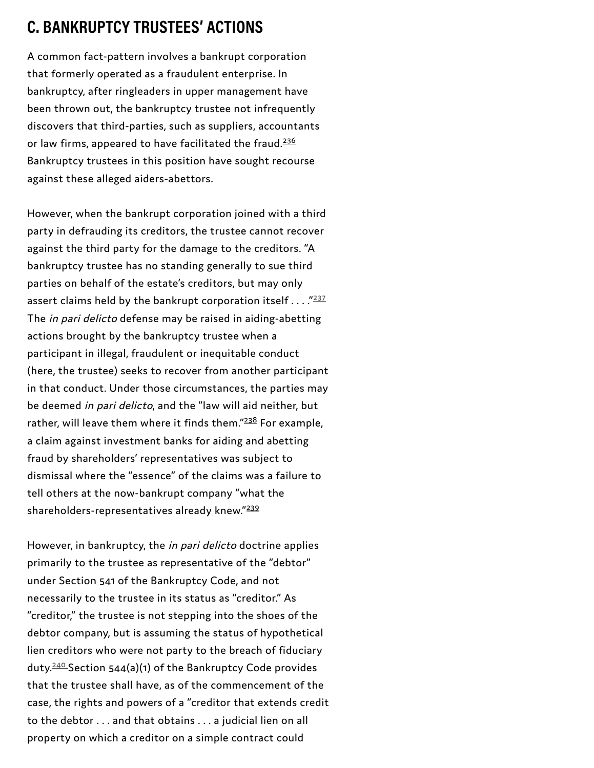A common fact-pattern involves a bankrupt corporation that formerly operated as a fraudulent enterprise. In bankruptcy, after ringleaders in upper management have been thrown out, the bankruptcy trustee not infrequently discovers that third-parties, such as suppliers, accountants or law firms, appeared to have facilitated the fraud. Bankruptcy trustees in this position have sought recourse against these alleged aiders-abettors.

However, when the bankrupt corporation joined with a third party in defrauding its creditors, the trustee cannot recover against the third party for the damage to the creditors. "A bankruptcy trustee has no standing generally to sue third parties on behalf of the estate's creditors, but may only assert claims held by the bankrupt corporation itself  $\ldots$  ." The *in pari delicto* defense may be raised in aiding-abetting actions brought by the bankruptcy trustee when a participant in illegal, fraudulent or inequitable conduct (here, the trustee) seeks to recover from another participant in that conduct. Under those circumstances, the parties may be deemed in pari delicto, and the "law will aid neither, but rather, will leave them where it finds them."<sup>238</sup> For example, a claim against investment banks for aiding and abetting fraud by shareholders' representatives was subject to dismissal where the "essence" of the claims was a failure to tell others at the now-bankrupt company "what the shareholders-representatives already knew."<sup>239</sup> **C. BANKRIUPTCY TRUSTEES' ACTIONS**<br>A common fact-pattern involves a bankrupt corporation<br>that formerly operated as a frandulent enterprise. In<br>bankruptcy, after integleaders in upper management have<br>been thrown out, the ba

However, in bankruptcy, the *in pari delicto* doctrine applies primarily to the trustee as representative of the "debtor" under Section 541 of the Bankruptcy Code, and not necessarily to the trustee in its status as "creditor." As "creditor," the trustee is not stepping into the shoes of the debtor company, but is assuming the status of hypothetical lien creditors who were not party to the breach of fiduciary duty.  $240$  Section 544(a)(1) of the Bankruptcy Code provides that the trustee shall have, as of the commencement of the case, the rights and powers of a "creditor that extends credit to the debtor . . . and that obtains . . . a judicial lien on all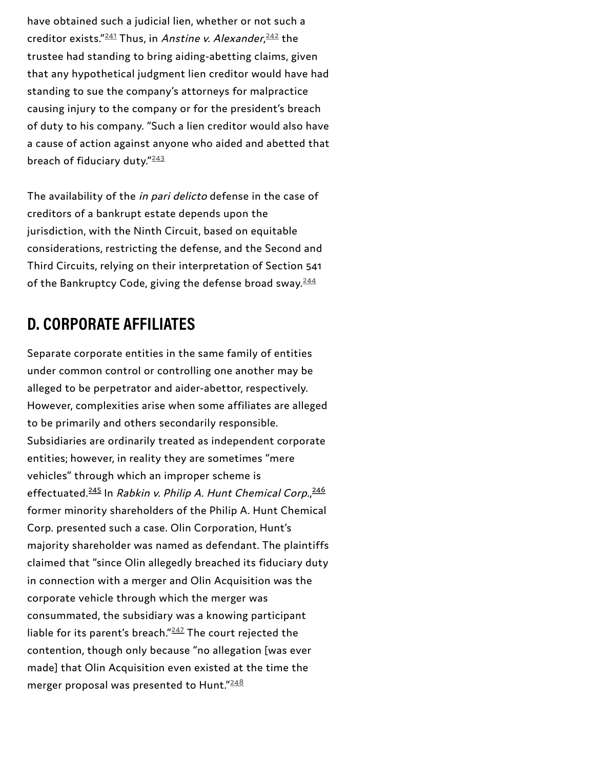have obtained such a judicial lien, whether or not such a creditor exists."<sup>[241](#page-75-8)</sup> Thus, in *Anstine v. Alexander,<sup>[242](#page-75-9)</sup> t*he trustee had standing to bring aiding-abetting claims, given that any hypothetical judgment lien creditor would have had standing to sue the company's attorneys for malpractice causing injury to the company or for the president's breach of duty to his company. "Such a lien creditor would also have a cause of action against anyone who aided and abetted that breach of fiduciary duty."<sup>[243](#page-75-10)</sup>

The availability of the in pari delicto defense in the case of creditors of a bankrupt estate depends upon the jurisdiction, with the Ninth Circuit, based on equitable considerations, restricting the defense, and the Second and Third Circuits, relying on their interpretation of Section 541 of the Bankruptcy Code, giving the defense broad sway.<sup>[244](#page-75-11)</sup>

# **D. CORPORATE AFFILIATES**

Separate corporate entities in the same family of entities under common control or controlling one another may be alleged to be perpetrator and aider-abettor, respectively. However, complexities arise when some affiliates are alleged to be primarily and others secondarily responsible. Subsidiaries are ordinarily treated as independent corporate entities; however, in reality they are sometimes "mere vehicles" through which an improper scheme is effectuated.<sup>[245](#page-75-7)</sup> In *Rabkin v. Philip A. Hunt Chemical Corp.,*<sup>[246](#page-76-0)</sup> former minority shareholders of the Philip A. Hunt Chemical Corp. presented such a case. Olin Corporation, Hunt's majority shareholder was named as defendant. The plaintiffs claimed that "since Olin allegedly breached its fiduciary duty in connection with a merger and Olin Acquisition was the corporate vehicle through which the merger was consummated, the subsidiary was a knowing participant liable for its parent's breach." $^{247}$  $^{247}$  $^{247}$  The court rejected the contention, though only because "no allegation [was ever made] that Olin Acquisition even existed at the time the merger proposal was presented to Hunt." $^{\underline{248}}$  $^{\underline{248}}$  $^{\underline{248}}$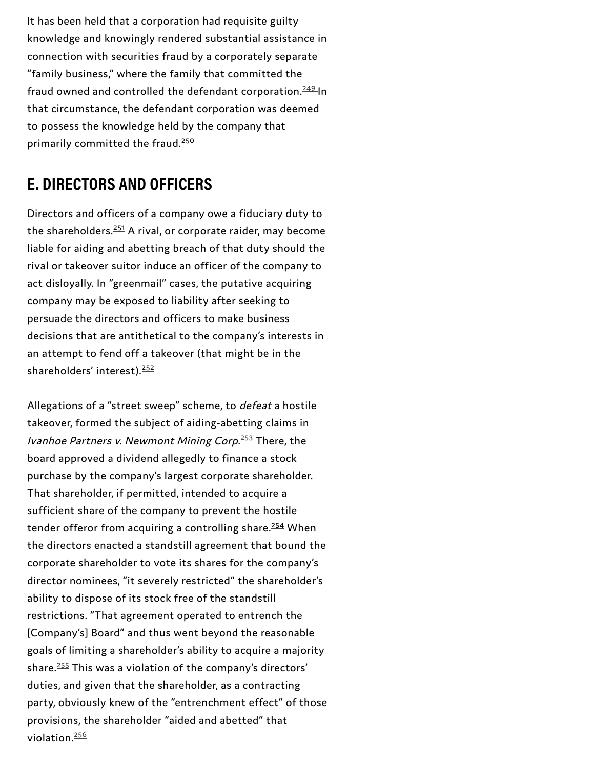It has been that the the screen<br>considers and knowingly vandered substantial series and<br>choosings and knowingly vandered substantial series in<br>The University business, where the family that committed the<br>Than (beautiful bu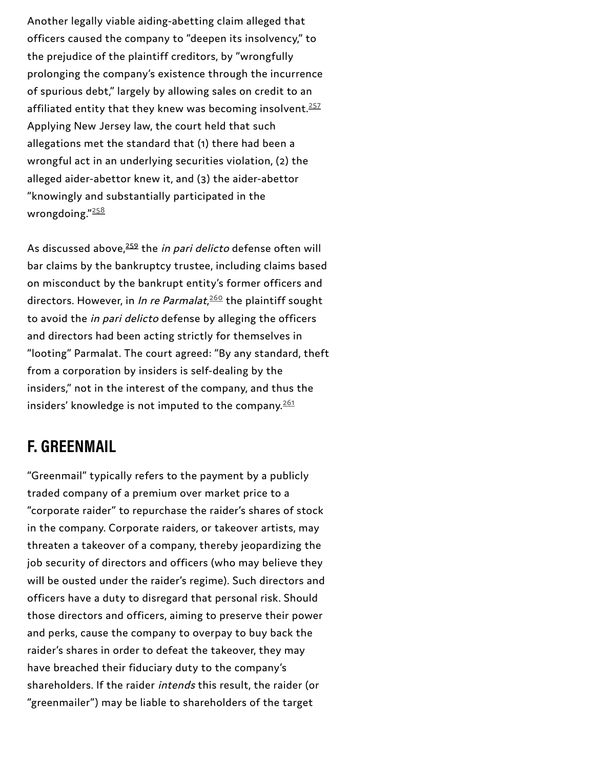Another legally viable aiding-abetting claim alleged that officers caused the company to "deepen its insolvency," to the prejudice of the plaintiff creditors, by "wrongfully prolonging the company's existence through the incurrence of spurious debt," largely by allowing sales on credit to an affiliated entity that they knew was becoming insolvent.<sup>[257](#page-76-12)</sup> Applying New Jersey law, the court held that such allegations met the standard that (1) there had been a wrongful act in an underlying securities violation, (2) the alleged aider-abettor knew it, and (3) the aider-abettor "knowingly and substantially participated in the wrongdoing."<sup>[258](#page-76-13)</sup>

As discussed above,<sup>[259](#page-76-11)</sup> the *in pari delicto* defense often will bar claims by the bankruptcy trustee, including claims based on misconduct by the bankrupt entity's former officers and directors. However, in *In re Parmalat*,<sup>[260](#page-76-14)</sup> the plaintiff sought to avoid the *in pari delicto* defense by alleging the officers and directors had been acting strictly for themselves in "looting" Parmalat. The court agreed: "By any standard, theft from a corporation by insiders is self-dealing by the insiders," not in the interest of the company, and thus the insiders' knowledge is not imputed to the company. $^{\frac{261}{2}}$  $^{\frac{261}{2}}$  $^{\frac{261}{2}}$ 

### **F. GREENMAIL**

"Greenmail" typically refers to the payment by a publicly traded company of a premium over market price to a "corporate raider" to repurchase the raider's shares of stock in the company. Corporate raiders, or takeover artists, may threaten a takeover of a company, thereby jeopardizing the job security of directors and officers (who may believe they will be ousted under the raider's regime). Such directors and officers have a duty to disregard that personal risk. Should those directors and officers, aiming to preserve their power and perks, cause the company to overpay to buy back the raider's shares in order to defeat the takeover, they may have breached their fiduciary duty to the company's shareholders. If the raider intends this result, the raider (or "greenmailer") may be liable to shareholders of the target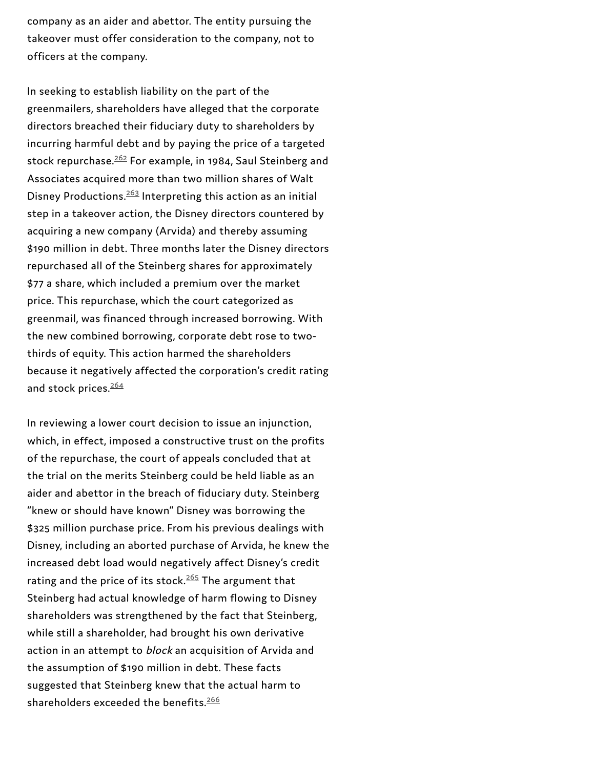company as an aider and abettor. The entity pursuing the takeover must offer consideration to the company, not to officers at the company.

In seeking to establish liability on the part of the greenmailers, shareholders have alleged that the corporate directors breached their fiduciary duty to shareholders by incurring harmful debt and by paying the price of a targeted stock repurchase. $\frac{262}{5}$  $\frac{262}{5}$  $\frac{262}{5}$  For example, in 1984, Saul Steinberg and Associates acquired more than two million shares of Walt Disney Productions.<sup>[263](#page-76-17)</sup> Interpreting this action as an initial step in a takeover action, the Disney directors countered by acquiring a new company (Arvida) and thereby assuming \$190 million in debt. Three months later the Disney directors repurchased all of the Steinberg shares for approximately \$77 a share, which included a premium over the market price. This repurchase, which the court categorized as greenmail, was financed through increased borrowing. With the new combined borrowing, corporate debt rose to twothirds of equity. This action harmed the shareholders because it negatively affected the corporation's credit rating and stock prices.<sup>[264](#page-77-0)</sup>

In reviewing a lower court decision to issue an injunction, which, in effect, imposed a constructive trust on the profits of the repurchase, the court of appeals concluded that at the trial on the merits Steinberg could be held liable as an aider and abettor in the breach of fiduciary duty. Steinberg "knew or should have known" Disney was borrowing the \$325 million purchase price. From his previous dealings with Disney, including an aborted purchase of Arvida, he knew the increased debt load would negatively affect Disney's credit rating and the price of its stock. $265$  The argument that Steinberg had actual knowledge of harm flowing to Disney shareholders was strengthened by the fact that Steinberg, while still a shareholder, had brought his own derivative action in an attempt to block an acquisition of Arvida and the assumption of \$190 million in debt. These facts suggested that Steinberg knew that the actual harm to shareholders exceeded the benefits. $\frac{266}{3}$  $\frac{266}{3}$  $\frac{266}{3}$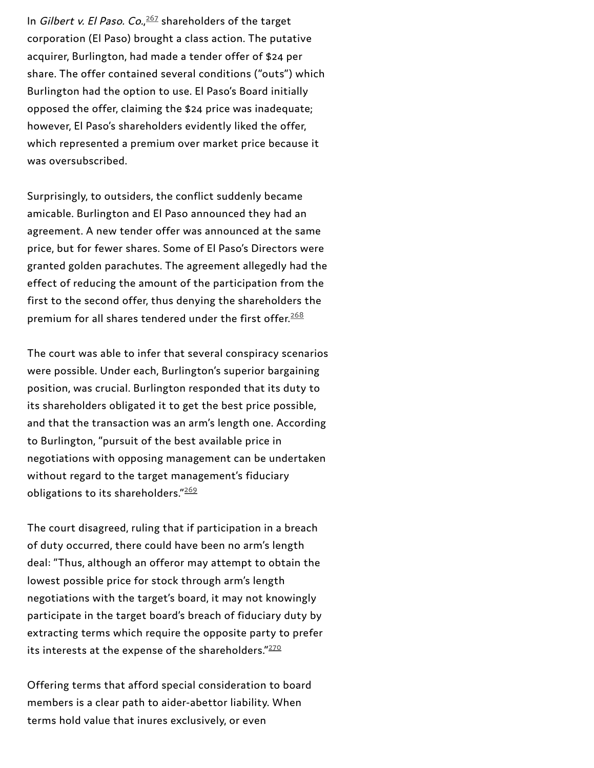In *Gilbert v. El Paso. Co.,<sup>[267](#page-77-3)</sup>* shareholders of the target corporation (El Paso) brought a class action. The putative acquirer, Burlington, had made a tender offer of \$24 per share. The offer contained several conditions ("outs") which Burlington had the option to use. El Paso's Board initially opposed the offer, claiming the \$24 price was inadequate; however, El Paso's shareholders evidently liked the offer, which represented a premium over market price because it was oversubscribed.

Surprisingly, to outsiders, the conflict suddenly became amicable. Burlington and El Paso announced they had an agreement. A new tender offer was announced at the same price, but for fewer shares. Some of El Paso's Directors were granted golden parachutes. The agreement allegedly had the effect of reducing the amount of the participation from the first to the second offer, thus denying the shareholders the premium for all shares tendered under the first offer. $^{\underline{268}}$  $^{\underline{268}}$  $^{\underline{268}}$ 

The court was able to infer that several conspiracy scenarios were possible. Under each, Burlington's superior bargaining position, was crucial. Burlington responded that its duty to its shareholders obligated it to get the best price possible, and that the transaction was an arm's length one. According to Burlington, "pursuit of the best available price in negotiations with opposing management can be undertaken without regard to the target management's fiduciary obligations to its shareholders."[269](#page-77-5)

The court disagreed, ruling that if participation in a breach of duty occurred, there could have been no arm's length deal: "Thus, although an offeror may attempt to obtain the lowest possible price for stock through arm's length negotiations with the target's board, it may not knowingly participate in the target board's breach of fiduciary duty by extracting terms which require the opposite party to prefer its interests at the expense of the shareholders." $^{270}$  $^{270}$  $^{270}$ 

Offering terms that afford special consideration to board members is a clear path to aider-abettor liability. When terms hold value that inures exclusively, or even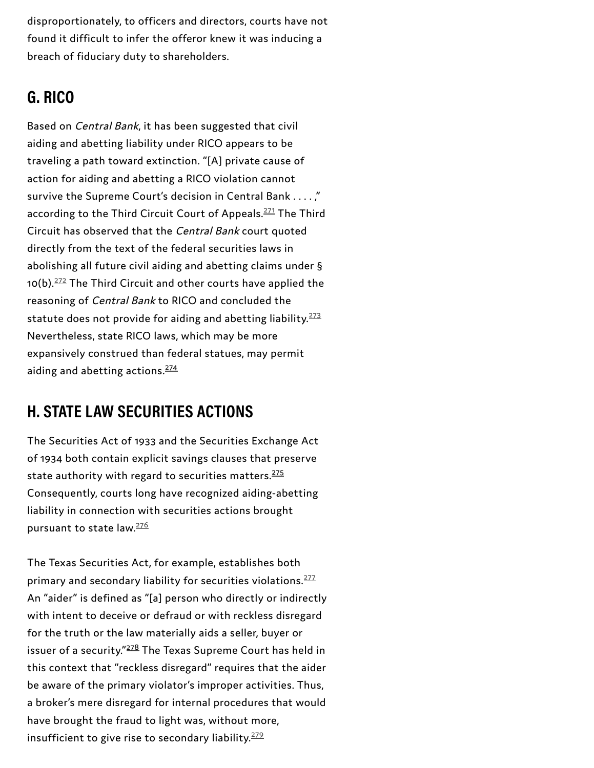disproportionately, to officers and directors, courts have not found it difficult to infer the offeror knew it was inducing a breach of fiduciary duty to shareholders.

# **G. RICO**

Based on Central Bank, it has been suggested that civil aiding and abetting liability under RICO appears to be traveling a path toward extinction. "[A] private cause of action for aiding and abetting a RICO violation cannot survive the Supreme Court's decision in Central Bank . . . . ," according to the Third Circuit Court of Appeals.<sup>[271](#page-77-7)</sup> The Third Circuit has observed that the Central Bank court quoted directly from the text of the federal securities laws in abolishing all future civil aiding and abetting claims under § 10(b).<sup>[272](#page-77-8)</sup> The Third Circuit and other courts have applied the reasoning of Central Bank to RICO and concluded the statute does not provide for aiding and abetting liability.<sup>[273](#page-77-9)</sup> Nevertheless, state RICO laws, which may be more expansively construed than federal statues, may permit aiding and abetting actions. [274](#page-78-0)

# **H. STATE LAW SECURITIES ACTIONS**

The Securities Act of 1933 and the Securities Exchange Act of 1934 both contain explicit savings clauses that preserve state authority with regard to securities matters. [275](#page-78-1) Consequently, courts long have recognized aiding-abetting liability in connection with securities actions brought pursuant to state law.<sup>[276](#page-78-3)</sup>

The Texas Securities Act, for example, establishes both primary and secondary liability for securities violations.<sup>[277](#page-78-4)</sup> An "aider" is defined as "[a] person who directly or indirectly with intent to deceive or defraud or with reckless disregard for the truth or the law materially aids a seller, buyer or issuer of a security."<sup>[278](#page-78-2)</sup> The Texas Supreme Court has held in this context that "reckless disregard" requires that the aider be aware of the primary violator's improper activities. Thus, a broker's mere disregard for internal procedures that would have brought the fraud to light was, without more, insufficient to give rise to secondary liability. $^{279}$  $^{279}$  $^{279}$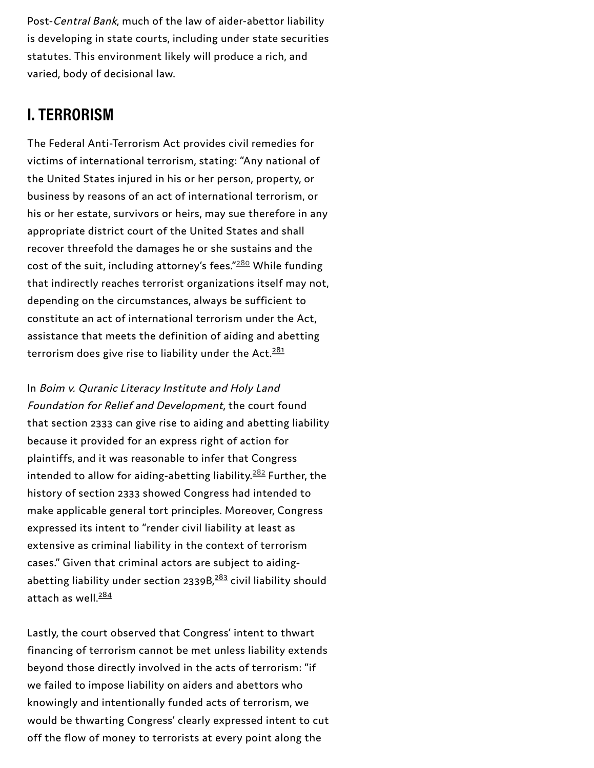Post-*Central Bank*, much of the law of aider-abettor liability is developing in state courts, including under state securitie s statutes. This environment likely will produce a rich, and v a rie d, b o d y o f d e cisio n al la w.

The Federal Anti-Terrorism Act provides civil remedies for victims of international terrorism, stating: "Any national of the United States injured in his or her person, property, or business by reasons of an act of international terrorism, or his or her estate, survivors or heirs, may sue therefore in any appropriate district court of the United States and shall recover threefold the damages he or she sustains and th e cost of the suit, including attorney's fees." $^{\underline{280}}$  While funding that indirectly reaches terrorist organizations itself may not, depending on the circumstances, always be sufficient to constitute an act of international terrorism under the Act, assistance that meets the definition of aiding and abetting terrorism does give rise to liability under the Act.<sup>281</sup>

In Boim v. Quranic Literacy Institute and Holy Land Foundation for Relief and Development, the court found that section 2333 can give rise to aiding and abetting liability because it provided for an express right of action for plaintiffs, and it was reasonable to infer that Congress intended to allow for aiding-abetting liability. $282$  Further, the history of section 2333 showed Congress had intended to make applicable general tort principles. Moreover, Congress expressed its intent to "render civil liability at least as extensive as criminal liability in the context of terrorism cases." Given that criminal actors are subject to aiding abetting liability under section 2339B, $283$  civil liability should attach as well.<sup>284</sup> **I. TERRORISM**<br>The Federal Anti-Terrorism Act provides civil remedies for<br>victims of international terrorism, stating: "Any national of<br>the ubiteG States injured in his or her person, property, or<br>business by reasons of an

Lastly, the court observed that Congress' intent to thwart financing of terrorism cannot be met unless liability extends beyond those directly involved in the acts of terrorism: "if we failed to impose liability on aiders and abettors who knowingly and intentionally funded acts of terrorism, we would be thwarting Congress' clearly expressed intent to cut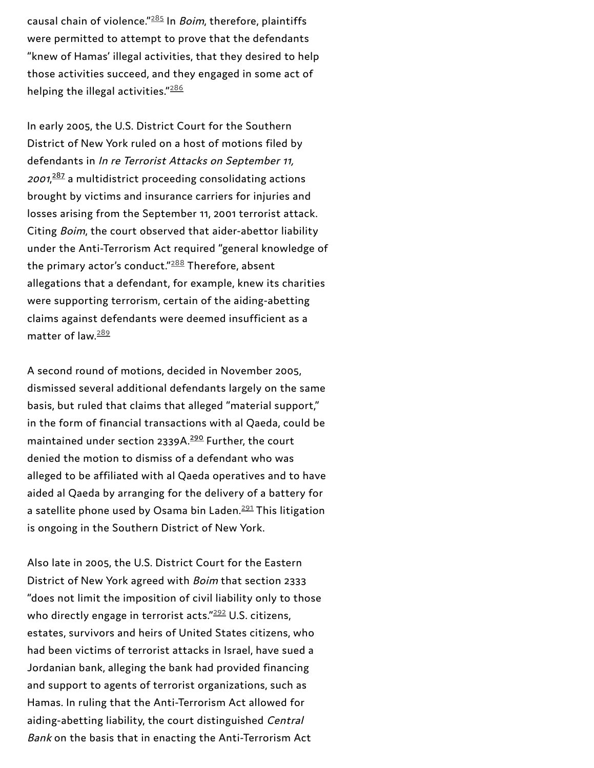causal chain of violence." $^{285}$  In *Boim*, therefore, plaintiffs were permitted to attempt to prove that the defendants "knew of Hamas' illegal activities, that they desired to help those activities succeed, and they engaged in some act of helping the illegal activities." $\cdot$ 

In early 2005, the U.S. District Court for the Southern District of New York ruled on a host of motions filed by defendants in *In re Terrorist Attacks on September 11,* 2001,<sup>287</sup> a multidistrict proceeding consolidating actions brought by victims and insurance carriers for injuries and losses arising from the September 11, 2001 terrorist attac k. Citing Boim, the court observed that aider-abettor liability under the Anti-Terrorism Act required "general knowledge o f the primary actor's conduct." $^{\underline{288}}$  Therefore, absent allegations that a defendant, for example, knew its charities were supporting terrorism, certain of the aiding-abetting claims against defendants were deemed insufficient as a matter of law. cousal chain of violence<sup>-235</sup> In *Boim*, therefore, plaintiffs<br>were permitted to attempt to prove that the defendants<br>"heve of Hamas' illegal activities, that they desired to help<br>those activities succeed, and they engage

A second round of motions, decided in November 2005, dismissed several additional defendants largely on the s a m e basis, but ruled that claims that alleged "material support," in the form of financial transactions with al Qaeda, could b e maintained under section 2339A.<sup>290</sup> Further, the court denied the motion to dismiss of a defendant who was alleged to be affiliated with al Qaeda operatives and to have aided al Qaeda by arranging for the delivery of a battery for a satellite phone used by Osama bin Laden.<sup>291</sup> This litigation is ongoing in the Southern District of New York.

Also late in 2005, the U.S. District Court for the Eastern District of New York agreed with Boim that section 2333 "does not limit the imposition of civil liability only to those who directly engage in terrorist acts." $292$  U.S. citizens, estates, survivors and heirs of United States citizens, who had been victims of terrorist attacks in Israel, have sued a Jordanian bank, alleging the bank had provided financing and support to agents of terrorist organizations, such as Hamas. In ruling that the Anti-Terrorism Act allowed for aiding-abetting liability, the court distinguished Central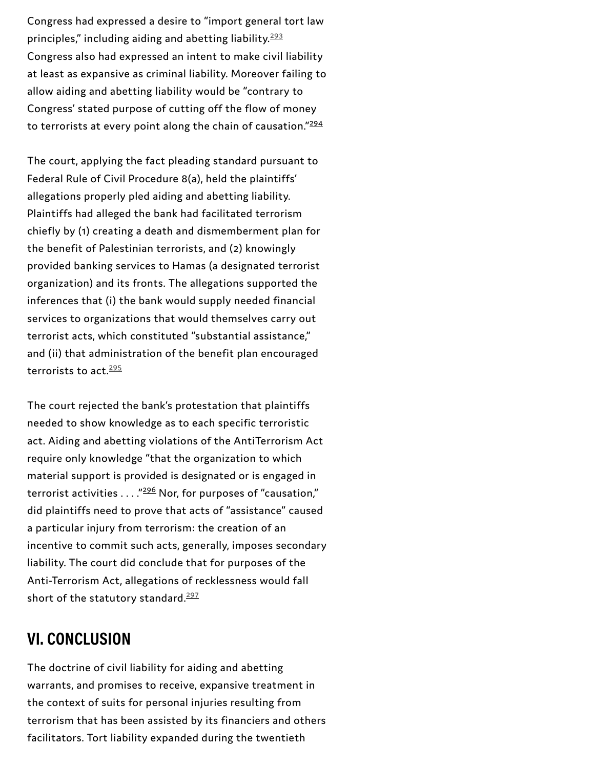Congress had expressed a desire to "import general tort law principles," including aiding and abetting liability. Congress also had expressed an intent to make civil lia bilit y at least as expansive as criminal liability. Moreover failing to allow aiding and abetting liability would be "contrary to Congress' stated purpose of cutting off the flow of money to terrorists at every point along the chain of causation." $\cdot$ 

The court, applying the fact pleading standard pursuant to Federal Rule of Civil Procedure 8(a), held the plaintiffs' allegations properly pled aiding and abetting liability. Plaintiffs had alleged the bank had facilitated terrorism chiefly by (1) creating a death and dismemberment plan f o r the benefit of Palestinian terrorists, and (2) knowingly provided banking services to Hamas (a designated terrorist organization) and its fronts. The allegations supported the inferences that (i) the bank would supply needed financial services to organizations that would themselves carry out terrorist acts, which constituted "substantial assistance," and (ii) that administration of the benefit plan encouraged terrorists to act. $295$ principles," including aiding and abetting liability.<sup>232</sup><br>Congress also had expressed an intent to make civil liability.<br>In the state as expansive as criminal liability. Moreover failing tallow aiding and abetting liabili

The court rejected the bank's protestation that plaintiffs needed to show knowledge as to each specific terroristic act. Aiding and abetting violations of the AntiTerrorism Ac t require only knowledge "that the organization to which material support is provided is designated or is engaged in terrorist activities . . . ."<del>296</del> Nor, for purposes of "causation," did plaintiffs need to prove that acts of "assistance" caused a particular injury from terrorism: the creation of an incentive to commit such acts, generally, imposes secondary liability. The court did conclude that for purposes of the Anti-Terrorism Act, allegations of recklessness would fall short of the statutory standard.<sup>297</sup>

The doctrine of civil liability for aiding and abetting warrants, and promises to receive, expansive treatment in the context of suits for personal injuries resulting from terrorism that has been assisted by its financiers and others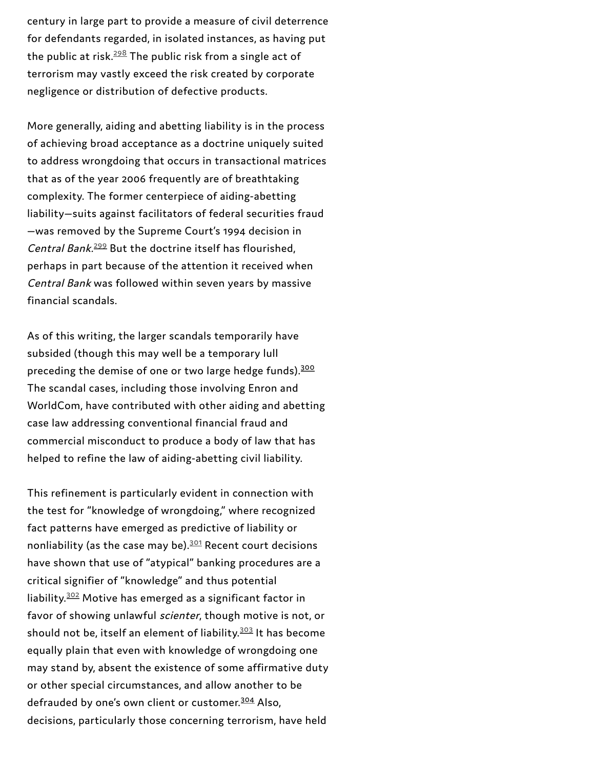century in large part to provide a measure of civil deterrence for defendants regarded, in isolated instances, as having put the public at risk. $^{\frac{298}{}}$  $^{\frac{298}{}}$  $^{\frac{298}{}}$  The public risk from a single act of terrorism may vastly exceed the risk created by corporate negligence or distribution of defective products.

More generally, aiding and abetting liability is in the process of achieving broad acceptance as a doctrine uniquely suited to address wrongdoing that occurs in transactional matrices that as of the year 2006 frequently are of breathtaking complexity. The former centerpiece of aiding-abetting liability—suits against facilitators of federal securities fraud —was removed by the Supreme Court's 1994 decision in Central Bank.<sup>[299](#page-79-12)</sup> But the doctrine itself has flourished, perhaps in part because of the attention it received when Central Bank was followed within seven years by massive financial scandals.

As of this writing, the larger scandals temporarily have subsided (though this may well be a temporary lull preceding the demise of one or two large hedge funds).<sup>[300](#page-79-10)</sup> The scandal cases, including those involving Enron and WorldCom, have contributed with other aiding and abetting case law addressing conventional financial fraud and commercial misconduct to produce a body of law that has helped to refine the law of aiding-abetting civil liability.

This refinement is particularly evident in connection with the test for "knowledge of wrongdoing," where recognized fact patterns have emerged as predictive of liability or nonliability (as the case may be). $301$  Recent court decisions have shown that use of "atypical" banking procedures are a critical signifier of "knowledge" and thus potential liability.<sup>[302](#page-80-1)</sup> Motive has emerged as a significant factor in favor of showing unlawful scienter, though motive is not, or should not be, itself an element of liability.<sup>[303](#page-80-2)</sup> It has become equally plain that even with knowledge of wrongdoing one may stand by, absent the existence of some affirmative duty or other special circumstances, and allow another to be defrauded by one's own client or customer.<sup>[304](#page-80-0)</sup> Also, decisions, particularly those concerning terrorism, have held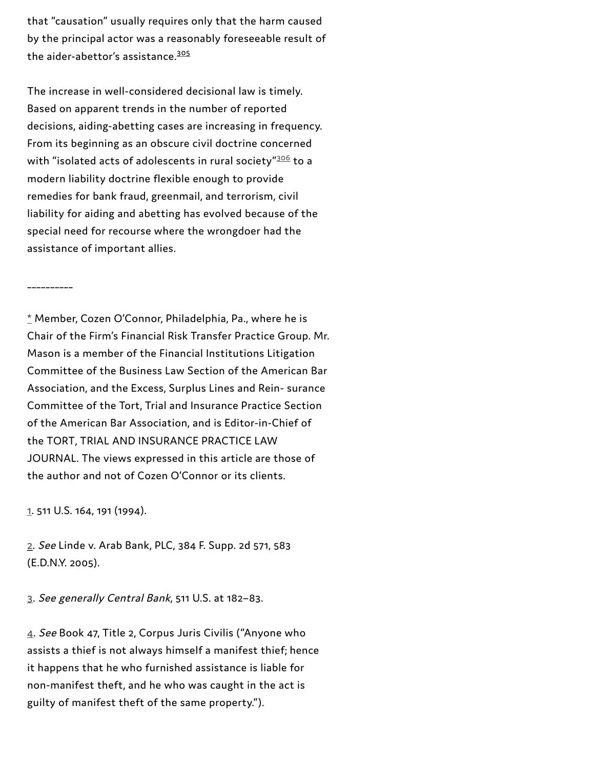that "causation" usually requires only that the harm caused by the principal actor was a reasonably foreseeable result of the aider-abettor's assistance.<sup>[305](#page-80-3)</sup>

The increase in well-considered decisional law is timely. Based on apparent trends in the number of reported decisions, aiding-abetting cases are increasing in frequency. From its beginning as an obscure civil doctrine concerned with "isolated acts of adolescents in rural society" $^{306}$  $^{306}$  $^{306}$  to a modern liability doctrine flexible enough to provide remedies for bank fraud, greenmail, and terrorism, civil liability for aiding and abetting has evolved because of the special need for recourse where the wrongdoer had the assistance of important allies.

### \_\_\_\_\_\_\_\_\_\_

\* Member, Cozen O'Connor, Philadelphia, Pa., where he is Chair of the Firm's Financial Risk Transfer Practice Group. Mr. Mason is a member of the Financial Institutions Litigation Committee of the Business Law Section of the American Bar Association, and the Excess, Surplus Lines and Rein- surance Committee of the Tort, Trial and Insurance Practice Section of the American Bar Association, and is Editor-in-Chief of the TORT, TRIAL AND INSURANCE PRACTICE LAW JOURNAL. The views expressed in this article are those of the author and not of Cozen O'Connor or its clients.

[1](#page-1-0). 511 U.S. 164, 191 (1994).

[2](#page-2-0). See Linde v. Arab Bank, PLC, 384 F. Supp. 2d 571, 583 (E.D.N.Y. 2005).

[3.](#page-2-1) See generally Central Bank, 511 U.S. at 182–83.

[4](#page-2-2). See Book 47, Title 2, Corpus Juris Civilis ("Anyone who assists a thief is not always himself a manifest thief; hence it happens that he who furnished assistance is liable for non-manifest theft, and he who was caught in the act is guilty of manifest theft of the same property.").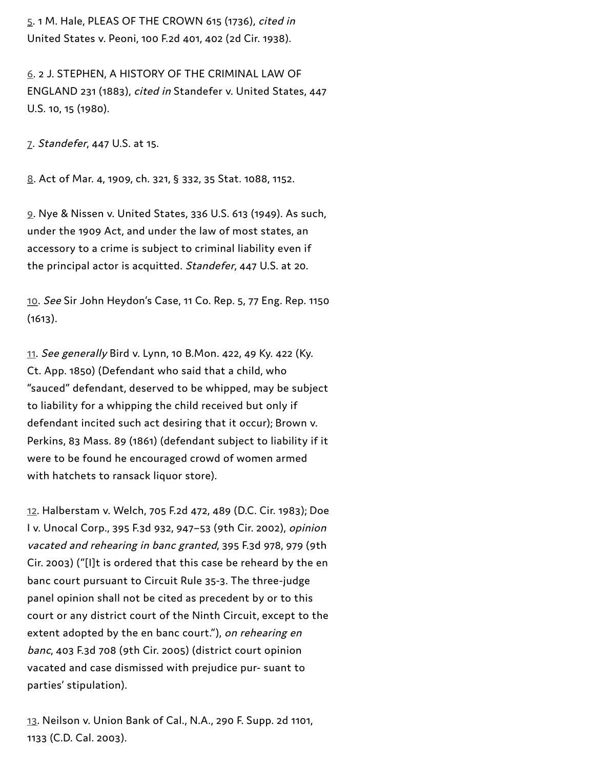[5.](#page-2-3) 1 M. Hale, PLEAS OF THE CROWN 615 (1736), cited in United States v. Peoni, 100 F.2d 401, 402 (2d Cir. 1938).

[6](#page-2-4). 2 J. STEPHEN, A HISTORY OF THE CRIMINAL LAW OF ENGLAND 231 (1883), cited in Standefer v. United States, 447 U.S. 10, 15 (1980).

[7](#page-3-0). Standefer, 447 U.S. at 15.

[8.](#page-3-1) Act of Mar. 4, 1909, ch. 321, § 332, 35 Stat. 1088, 1152.

[9](#page-3-2). Nye & Nissen v. United States, 336 U.S. 613 (1949). As such, under the 1909 Act, and under the law of most states, an accessory to a crime is subject to criminal liability even if the principal actor is acquitted. Standefer, 447 U.S. at 20.

[10](#page-3-3). See Sir John Heydon's Case, 11 Co. Rep. 5, 77 Eng. Rep. 1150  $(1613).$ 

[11.](#page-3-4) See generally Bird v. Lynn, 10 B.Mon. 422, 49 Ky. 422 (Ky. Ct. App. 1850) (Defendant who said that a child, who "sauced" defendant, deserved to be whipped, may be subject to liability for a whipping the child received but only if defendant incited such act desiring that it occur); Brown v. Perkins, 83 Mass. 89 (1861) (defendant subject to liability if it were to be found he encouraged crowd of women armed with hatchets to ransack liquor store).

[12](#page-3-5). Halberstam v. Welch, 705 F.2d 472, 489 (D.C. Cir. 1983); Doe I v. Unocal Corp., 395 F.3d 932, 947–53 (9th Cir. 2002), opinion vacated and rehearing in banc granted, 395 F.3d 978, 979 (9th Cir. 2003) ("[I]t is ordered that this case be reheard by the en banc court pursuant to Circuit Rule 35-3. The three-judge panel opinion shall not be cited as precedent by or to this court or any district court of the Ninth Circuit, except to the extent adopted by the en banc court."), on rehearing en banc, 403 F.3d 708 (9th Cir. 2005) (district court opinion vacated and case dismissed with prejudice pur- suant to parties' stipulation).

[13](#page-3-6). Neilson v. Union Bank of Cal., N.A., 290 F. Supp. 2d 1101, 1133 (C.D. Cal. 2003).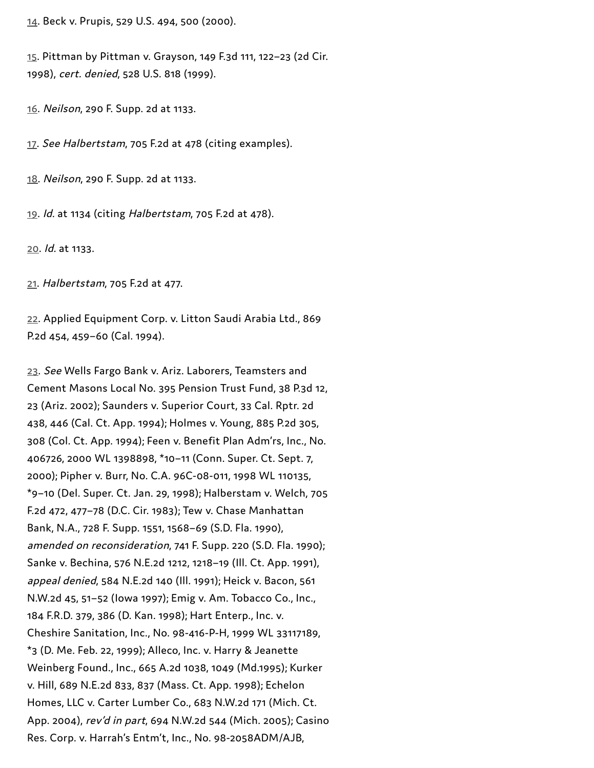[14](#page-3-7). Beck v. Prupis, 529 U.S. 494, 500 (2000).

[15](#page-3-8). Pittman by Pittman v. Grayson, 149 F.3d 111, 122–23 (2d Cir. 1998), cert. denied, 528 U.S. 818 (1999).

[16](#page-3-9). Neilson, 290 F. Supp. 2d at 1133.

[17.](#page-4-0) See Halbertstam, 705 F.2d at 478 (citing examples).

[18.](#page-4-1) Neilson, 290 F. Supp. 2d at 1133.

[19](#page-4-2). Id. at 1134 (citing Halbertstam, 705 F.2d at 478).

[20](#page-4-3). Id. at 1133.

[21](#page-4-4). Halbertstam, 705 F.2d at 477.

[22](#page-4-5). Applied Equipment Corp. v. Litton Saudi Arabia Ltd., 869 P.2d 454, 459–60 (Cal. 1994).

[23](#page-4-6). See Wells Fargo Bank v. Ariz. Laborers, Teamsters and Cement Masons Local No. 395 Pension Trust Fund, 38 P.3d 12, 23 (Ariz. 2002); Saunders v. Superior Court, 33 Cal. Rptr. 2d 438, 446 (Cal. Ct. App. 1994); Holmes v. Young, 885 P.2d 305, 308 (Col. Ct. App. 1994); Feen v. Benefit Plan Adm'rs, Inc., No. 406726, 2000 WL 1398898, \*10–11 (Conn. Super. Ct. Sept. 7, 2000); Pipher v. Burr, No. C.A. 96C-08-011, 1998 WL 110135, \*9–10 (Del. Super. Ct. Jan. 29, 1998); Halberstam v. Welch, 705 F.2d 472, 477–78 (D.C. Cir. 1983); Tew v. Chase Manhattan Bank, N.A., 728 F. Supp. 1551, 1568–69 (S.D. Fla. 1990), amended on reconsideration, 741 F. Supp. 220 (S.D. Fla. 1990); Sanke v. Bechina, 576 N.E.2d 1212, 1218–19 (Ill. Ct. App. 1991), appeal denied, 584 N.E.2d 140 (Ill. 1991); Heick v. Bacon, 561 N.W.2d 45, 51–52 (Iowa 1997); Emig v. Am. Tobacco Co., Inc., 184 F.R.D. 379, 386 (D. Kan. 1998); Hart Enterp., Inc. v. Cheshire Sanitation, Inc., No. 98-416-P-H, 1999 WL 33117189, \*3 (D. Me. Feb. 22, 1999); Alleco, Inc. v. Harry & Jeanette Weinberg Found., Inc., 665 A.2d 1038, 1049 (Md.1995); Kurker v. Hill, 689 N.E.2d 833, 837 (Mass. Ct. App. 1998); Echelon Homes, LLC v. Carter Lumber Co., 683 N.W.2d 171 (Mich. Ct. App. 2004), rev'd in part, 694 N.W.2d 544 (Mich. 2005); Casino Res. Corp. v. Harrah's Entm't, Inc., No. 98-2058ADM/AJB,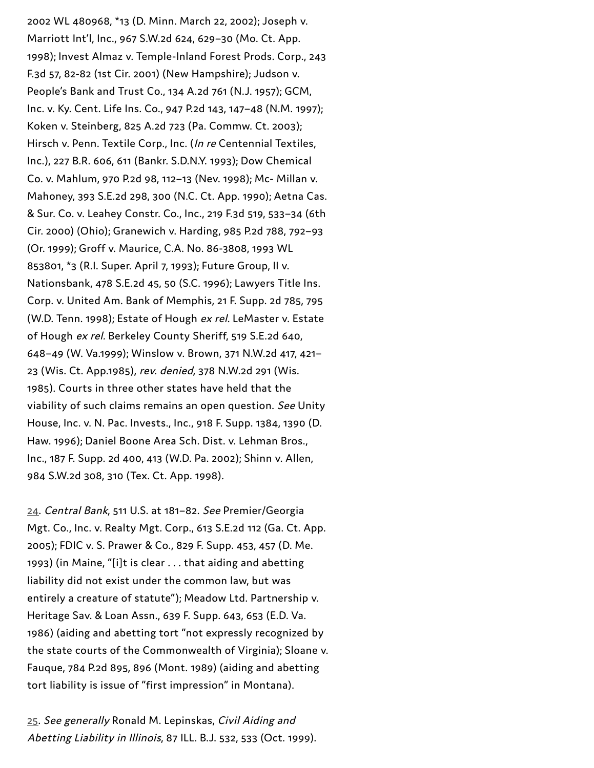2002 WL 480968, \*13 (D. Minn. March 22, 2002); Joseph v. Marriott Int'l, Inc., 967 S.W.2d 624, 629–30 (Mo. Ct. App. 1998); Invest Almaz v. Temple-Inland Forest Prods. Corp., 2 4 3 F.3d 57, 82-82 (1st Cir. 2001) (New Hampshire); Judson v. People's Bank and Trust Co., 134 A.2d 761 (N.J. 1957); GC M, Inc. v. Ky. Cent. Life Ins. Co., 947 P.2d 143, 147–48 (N.M. 199 7 ); Koken v. Steinberg, 825 A.2d 723 (Pa. Commw. Ct. 2003); Hirsch v. Penn. Textile Corp., Inc. (In re Centennial Textiles, Inc.), 227 B.R. 606, 611 (Bankr. S.D.N.Y. 1993); Dow Chemical Co. v. Mahlum, 970 P.2d 98, 112–13 (Nev. 1998); Mc- Millan v. Mahoney, 393 S.E.2d 298, 300 (N.C. Ct. App. 1990); Aetna Cas. & Sur. Co. v. Leahey Constr. Co., Inc., 219 F.3d 519, 533–34 (6th Cir. 2000) (Ohio); Granewich v. Harding, 985 P.2d 788, 792–93 (Or. 1999); Groff v. Maurice, C.A. No. 86-3808, 1993 WL 853801, \*3 (R.I. Super. April 7, 1993); Future Group, II v. Nationsbank, 478 S.E.2d 45, 50 (S.C. 1996); Lawyers Title Ins. Corp. v. United Am. Bank of Memphis, 21 F. Supp. 2d 785, 795 (W.D. Tenn. 1998); Estate of Hough ex rel. LeMaster v. Estate of Hough ex rel. Berkeley County Sheriff, 519 S.E.2d 640, 648–49 (W. Va.1999); Winslow v. Brown, 371 N.W.2d 417, 421– 23 (Wis. Ct. App.1985), rev. denied, 378 N.W.2d 291 (Wis. 1985). Courts in three other states have held that the viability of such claims remains an open question. See Unity House, Inc. v. N. Pac. Invests., Inc., 918 F. Supp. 1384, 1390 (D. Haw. 1996); Daniel Boone Area Sch. Dist. v. Lehman Bros., Inc., 187 F. Supp. 2d 400, 413 (W.D. Pa. 2002); Shinn v. Allen, 984 S.W.2d 308, 310 (Tex. Ct. App. 1998).

[24.](#page-4-7) Central Bank, 511 U.S. at 181–82. See Premier/Georgia Mgt. Co., Inc. v. Realty Mgt. Corp., 613 S.E.2d 112 (Ga. Ct. App. 2005); FDIC v. S. Prawer & Co., 829 F. Supp. 453, 457 (D. Me. 1993) (in Maine, "[i]t is clear . . . that aiding and abetting liability did not exist under the common law, but was entirely a creature of statute"); Meadow Ltd. Partnership v. Heritage Sav. & Loan Assn., 639 F. Supp. 643, 653 (E.D. Va. 1986) (aiding and abetting tort "not expressly recognized by the state courts of the Commonwealth of Virginia); Sloane v. Fauque, 784 P.2d 895, 896 (Mont. 1989) (aiding and abetting tort liability is issue of "first impression" in Montana).

[25](#page-4-8). See generally Ronald M. Lepinskas, Civil Aiding and Abetting Liability in Illinois, 87 ILL. B.J. 532, 533 (Oct. 1999).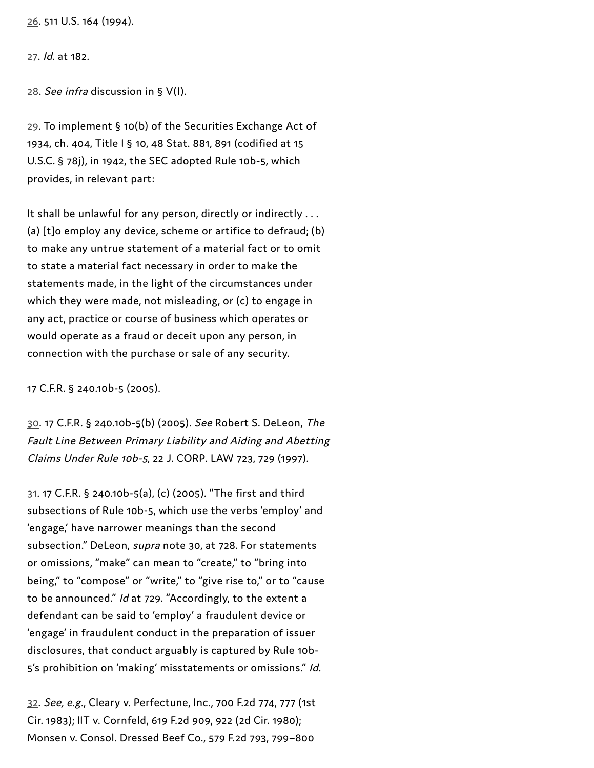[26.](#page-5-0) 511 U.S. 164 (1994).

[27.](#page-5-1) Id. at 182.

[28.](#page-5-2) See infra discussion in § V(I).

[29.](#page-5-3) To implement § 10(b) of the Securities Exchange Act of 1934, ch. 404, Title I § 10, 48 Stat. 881, 891 (codified at 15 U.S.C. § 78j), in 1942, the SEC adopted Rule 10b-5, which provides, in relevant part:

It shall be unlawful for any person, directly or indirectly ... (a) [t]o employ any device, scheme or artifice to defraud; (b) to make any untrue statement of a material fact or to omit to state a material fact necessary in order to make the statements made, in the light of the circumstances under which they were made, not misleading, or (c) to engage in any act, practice or course of business which operates or would operate as a fraud or deceit upon any person, in connection with the purchase or sale of any security.

17 C.F.R. § 240.10b-5 (2005).

[30](#page-5-4). 17 C.F.R. § 240.10b-5(b) (2005). See Robert S. DeLeon, The Fault Line Between Primary Liability and Aiding and Abetting Claims Under Rule 10b-5, 22 J. CORP. LAW 723, 729 (1997).

[31](#page-5-5). 17 C.F.R. § 240.10b-5(a), (c) (2005). "The first and third subsections of Rule 10b-5, which use the verbs 'employ' and 'engage,' have narrower meanings than the second subsection." DeLeon, supra note 30, at 728. For statements or omissions, "make" can mean to "create," to "bring into being," to "compose" or "write," to "give rise to," or to "cause to be announced." Id at 729. "Accordingly, to the extent a defendant can be said to 'employ' a fraudulent device or 'engage' in fraudulent conduct in the preparation of issuer disclosures, that conduct arguably is captured by Rule 10b-5's prohibition on 'making' misstatements or omissions." Id.

[32](#page-6-0). See, e.g., Cleary v. Perfectune, Inc., 700 F.2d 774, 777 (1st Cir. 1983); IIT v. Cornfeld, 619 F.2d 909, 922 (2d Cir. 1980); Monsen v. Consol. Dressed Beef Co., 579 F.2d 793, 799–800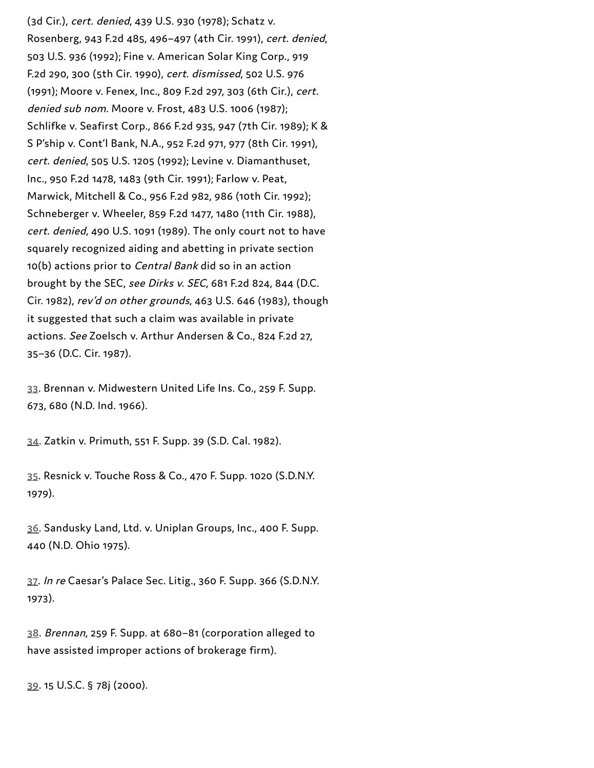(3d Cir.), cert. denied, 439 U.S. 930 (1978); Schatz v. Rosenberg, 943 F.2d 485, 496–497 (4th Cir. 1991), cert. denied, 503 U.S. 936 (1992); Fine v. American Solar King Corp., 919 F.2d 290, 300 (5th Cir. 1990), cert. dismissed, 502 U.S. 976 (1991); Moore v. Fenex, Inc., 809 F.2d 297, 303 (6th Cir.), cert. denied sub nom. Moore v. Frost, 483 U.S. 1006 (1987); Schlifke v. Seafirst Corp., 866 F.2d 935, 947 (7th Cir. 1989); K & S P'ship v. Cont'l Bank, N.A., 952 F.2d 971, 977 (8th Cir. 1991), cert. denied, 505 U.S. 1205 (1992); Levine v. Diamanthuset, Inc., 950 F.2d 1478, 1483 (9th Cir. 1991); Farlow v. Peat, Marwick, Mitchell & Co., 956 F.2d 982, 986 (10th Cir. 1992); Schneberger v. Wheeler, 859 F.2d 1477, 1480 (11th Cir. 1988), cert. denied, 490 U.S. 1091 (1989). The only court not to have squarely recognized aiding and abetting in private section 10(b) actions prior to Central Bank did so in an action brought by the SEC, see Dirks v. SEC, 681 F.2d 824, 844 (D.C. Cir. 1982), rev'd on other grounds, 463 U.S. 646 (1983), though it suggested that such a claim was available in private actions. See Zoelsch v. Arthur Andersen & Co., 824 F.2d 27, 35–36 (D.C. Cir. 1987).

[33](#page-6-1). Brennan v. Midwestern United Life Ins. Co., 259 F. Supp. 673, 680 (N.D. Ind. 1966).

[34](#page-6-2). Zatkin v. Primuth, 551 F. Supp. 39 (S.D. Cal. 1982).

[35](#page-6-3). Resnick v. Touche Ross & Co., 470 F. Supp. 1020 (S.D.N.Y. 1979).

[36.](#page-6-4) Sandusky Land, Ltd. v. Uniplan Groups, Inc., 400 F. Supp. 440 (N.D. Ohio 1975).

[37](#page-6-5). In re Caesar's Palace Sec. Litig., 360 F. Supp. 366 (S.D.N.Y. 1973).

[38](#page-6-6). Brennan, 259 F. Supp. at 680–81 (corporation alleged to have assisted improper actions of brokerage firm).

[39.](#page-6-7) 15 U.S.C. § 78j (2000).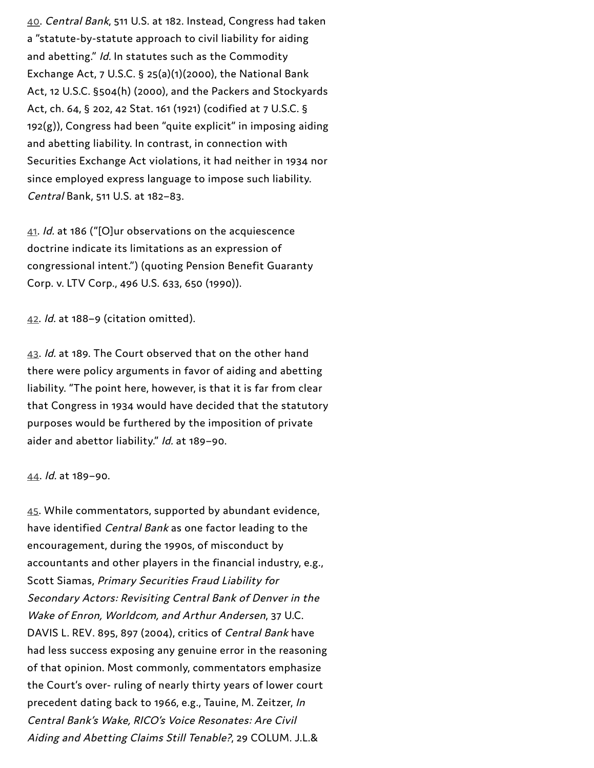[40.](#page-6-8) Central Bank, 511 U.S. at 182. Instead, Congress had taken a "statute-by-statute approach to civil liability for aiding and abetting." Id. In statutes such as the Commodity Exchange Act, 7 U.S.C. § 25(a)(1)(2000), the National Bank Act, 12 U.S.C. §504(h) (2000), and the Packers and Stockyards Act, ch. 64, § 202, 42 Stat. 161 (1921) (codified at 7 U.S.C. § 192(g)), Congress had been "quite explicit" in imposing aiding and abetting liability. In contrast, in connection with Securities Exchange Act violations, it had neither in 1934 nor since employed express language to impose such liability. Central Bank, 511 U.S. at 182–83.

[41](#page-7-0). Id. at 186 ("[O]ur observations on the acquiescence doctrine indicate its limitations as an expression of congressional intent.") (quoting Pension Benefit Guaranty Corp. v. LTV Corp., 496 U.S. 633, 650 (1990)).

[42.](#page-7-1) Id. at 188–9 (citation omitted).

[43](#page-7-2). Id. at 189. The Court observed that on the other hand there were policy arguments in favor of aiding and abetting liability. "The point here, however, is that it is far from clear that Congress in 1934 would have decided that the statutory purposes would be furthered by the imposition of private aider and abettor liability." Id. at 189–90.

### [44.](#page-7-3) Id. at 189–90.

[45.](#page-7-4) While commentators, supported by abundant evidence, have identified Central Bank as one factor leading to the encouragement, during the 1990s, of misconduct by accountants and other players in the financial industry, e.g., Scott Siamas, Primary Securities Fraud Liability for Secondary Actors: Revisiting Central Bank of Denver in the Wake of Enron, Worldcom, and Arthur Andersen, 37 U.C. DAVIS L. REV. 895, 897 (2004), critics of Central Bank have had less success exposing any genuine error in the reasoning of that opinion. Most commonly, commentators emphasize the Court's over- ruling of nearly thirty years of lower court precedent dating back to 1966, e.g., Tauine, M. Zeitzer, In Central Bank's Wake, RICO's Voice Resonates: Are Civil Aiding and Abetting Claims Still Tenable?, 29 COLUM. J.L.&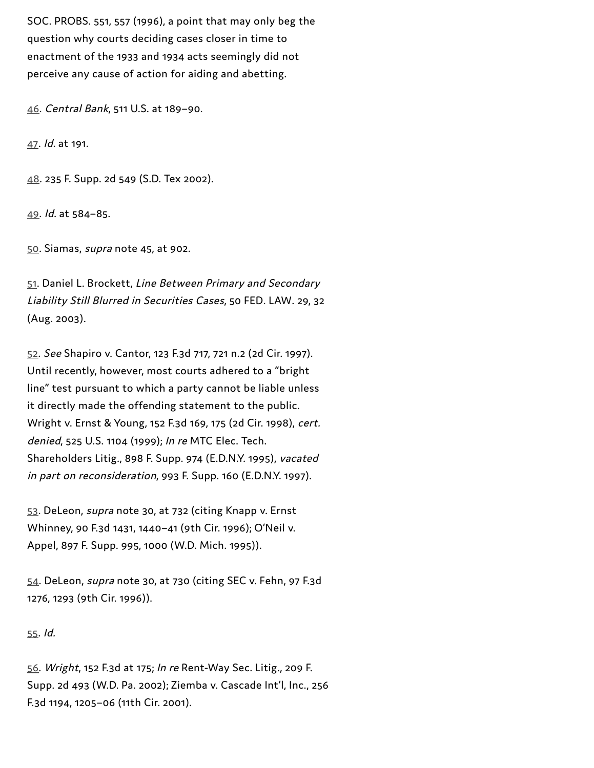SOC. PROBS. 551, 557 (1996), a point that may only beg the question why courts deciding cases closer in time to enactment of the 1933 and 1934 acts seemingly did not perceive any cause of action for aiding and abetting.

[46.](#page-7-5) Central Bank, 511 U.S. at 189–90.

[47](#page-8-0). Id. at 191.

[48.](#page-8-1) 235 F. Supp. 2d 549 (S.D. Tex 2002).

[49.](#page-8-2) Id. at 584–85.

[50](#page-8-3). Siamas, supra note 45, at 902.

[51](#page-8-4). Daniel L. Brockett, Line Between Primary and Secondary Liability Still Blurred in Securities Cases, 50 FED. LAW. 29, 32 (Aug. 2003).

[52](#page-8-5). See Shapiro v. Cantor, 123 F.3d 717, 721 n.2 (2d Cir. 1997). Until recently, however, most courts adhered to a "bright line" test pursuant to which a party cannot be liable unless it directly made the offending statement to the public. Wright v. Ernst & Young, 152 F.3d 169, 175 (2d Cir. 1998), cert. denied, 525 U.S. 1104 (1999); In re MTC Elec. Tech. Shareholders Litig., 898 F. Supp. 974 (E.D.N.Y. 1995), vacated in part on reconsideration, 993 F. Supp. 160 (E.D.N.Y. 1997).

[53](#page-9-0). DeLeon, supra note 30, at 732 (citing Knapp v. Ernst Whinney, 90 F.3d 1431, 1440–41 (9th Cir. 1996); O'Neil v. Appel, 897 F. Supp. 995, 1000 (W.D. Mich. 1995)).

[54](#page-9-1). DeLeon, supra note 30, at 730 (citing SEC v. Fehn, 97 F.3d 1276, 1293 (9th Cir. 1996)).

[55](#page-9-2). Id.

[56.](#page-9-3) Wright, 152 F.3d at 175; In re Rent-Way Sec. Litig., 209 F. Supp. 2d 493 (W.D. Pa. 2002); Ziemba v. Cascade Int'l, Inc., 256 F.3d 1194, 1205–06 (11th Cir. 2001).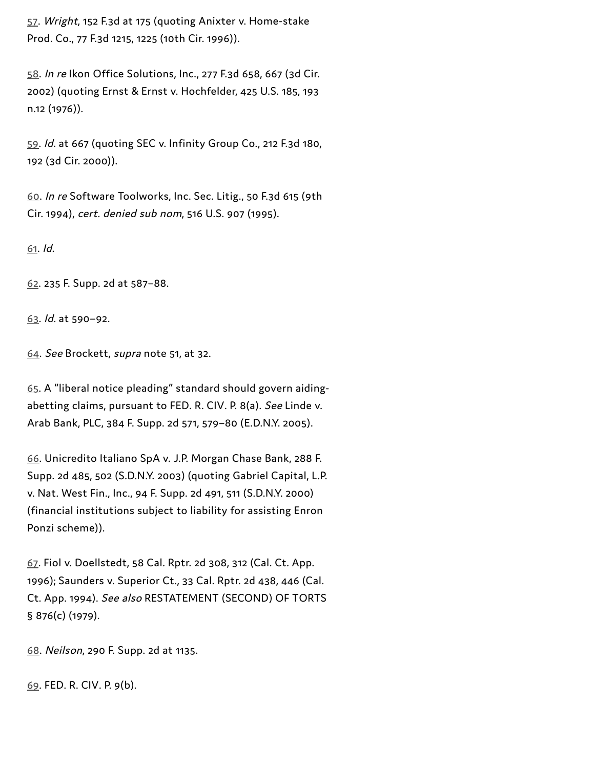[57](#page-9-4). Wright, 152 F.3d at 175 (quoting Anixter v. Home-stake Prod. Co., 77 F.3d 1215, 1225 (10th Cir. 1996)).

[58](#page-9-5). In re Ikon Office Solutions, Inc., 277 F.3d 658, 667 (3d Cir. 2002) (quoting Ernst & Ernst v. Hochfelder, 425 U.S. 185, 193 n.12 (1976)).

[59.](#page-10-0) Id. at 667 (quoting SEC v. Infinity Group Co., 212 F.3d 180, 192 (3d Cir. 2000)).

[60.](#page-10-1) In re Software Toolworks, Inc. Sec. Litig., 50 F.3d 615 (9th Cir. 1994), cert. denied sub nom, 516 U.S. 907 (1995).

[61](#page-10-2). Id.

[62.](#page-10-3) 235 F. Supp. 2d at 587–88.

[63.](#page-10-4) Id. at 590–92.

[64.](#page-10-5) See Brockett, supra note 51, at 32.

[65.](#page-11-0) A "liberal notice pleading" standard should govern aidingabetting claims, pursuant to FED. R. CIV. P. 8(a). See Linde v. Arab Bank, PLC, 384 F. Supp. 2d 571, 579–80 (E.D.N.Y. 2005).

[66.](#page-11-1) Unicredito Italiano SpA v. J.P. Morgan Chase Bank, 288 F. Supp. 2d 485, 502 (S.D.N.Y. 2003) (quoting Gabriel Capital, L.P. v. Nat. West Fin., Inc., 94 F. Supp. 2d 491, 511 (S.D.N.Y. 2000) (financial institutions subject to liability for assisting Enron Ponzi scheme)).

[67](#page-12-0). Fiol v. Doellstedt, 58 Cal. Rptr. 2d 308, 312 (Cal. Ct. App. 1996); Saunders v. Superior Ct., 33 Cal. Rptr. 2d 438, 446 (Cal. Ct. App. 1994). See also RESTATEMENT (SECOND) OF TORTS § 876(c) (1979).

[68.](#page-12-1) Neilson, 290 F. Supp. 2d at 1135.

[69](#page-12-2). FED. R. CIV. P. 9(b).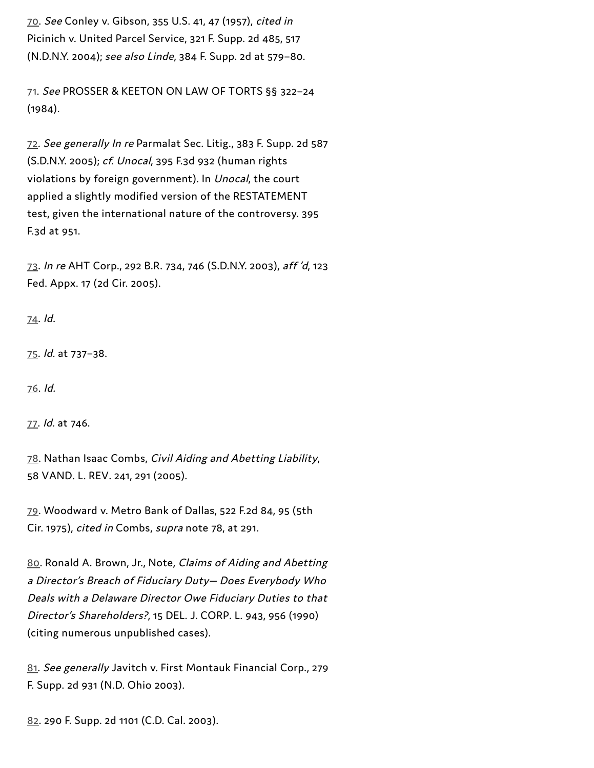[70.](#page-12-3) See Conley v. Gibson, 355 U.S. 41, 47 (1957), cited in Picinich v. United Parcel Service, 321 F. Supp. 2d 485, 517 (N.D.N.Y. 2004); see also Linde, 384 F. Supp. 2d at 579–80.

[71.](#page-12-4) See PROSSER & KEETON ON LAW OF TORTS §§ 322–24 (1984).

[72](#page-12-5). See generally In re Parmalat Sec. Litig., 383 F. Supp. 2d 587 (S.D.N.Y. 2005); cf. Unocal, 395 F.3d 932 (human rights violations by foreign government). In Unocal, the court applied a slightly modified version of the RESTATEMENT test, given the international nature of the controversy. 395 F.3d at 951.

[73](#page-12-6). In re AHT Corp., 292 B.R. 734, 746 (S.D.N.Y. 2003), aff 'd, 123 Fed. Appx. 17 (2d Cir. 2005).

[74](#page-13-0). Id.

[75](#page-13-1). Id. at 737–38.

[76](#page-13-2). Id.

[77](#page-13-3). Id. at 746.

[78.](#page-14-0) Nathan Isaac Combs, Civil Aiding and Abetting Liability, 58 VAND. L. REV. 241, 291 (2005).

[79](#page-14-1). Woodward v. Metro Bank of Dallas, 522 F.2d 84, 95 (5th Cir. 1975), cited in Combs, supra note 78, at 291.

[80](#page-14-2). Ronald A. Brown, Jr., Note, Claims of Aiding and Abetting <sup>a</sup> Director's Breach of Fiduciary Duty— Does Everybody Who Deals with <sup>a</sup> Delaware Director Owe Fiduciary Duties to that Director's Shareholders?, 15 DEL. J. CORP. L. 943, 956 (1990) (citing numerous unpublished cases).

[81](#page-14-3). See generally Javitch v. First Montauk Financial Corp., 279 F. Supp. 2d 931 (N.D. Ohio 2003).

[82.](#page-14-4) 290 F. Supp. 2d 1101 (C.D. Cal. 2003).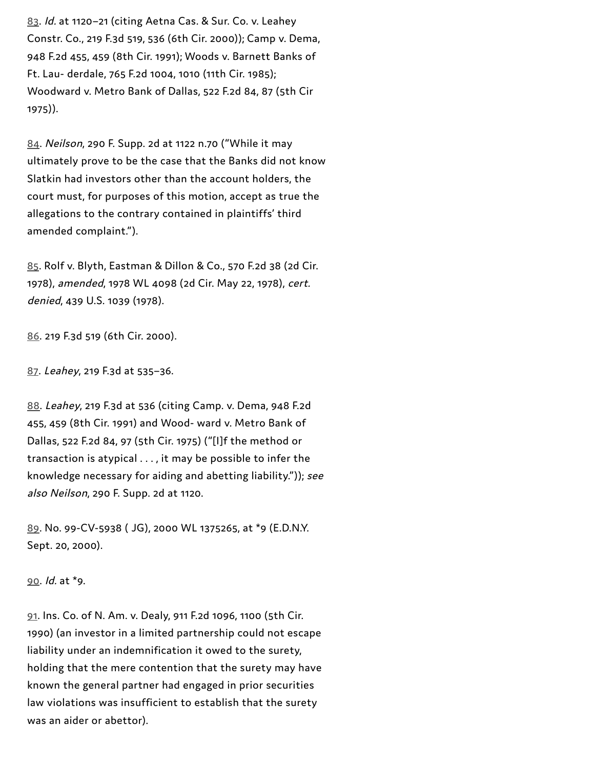[83](#page-14-5). Id. at 1120–21 (citing Aetna Cas. & Sur. Co. v. Leahey Constr. Co., 219 F.3d 519, 536 (6th Cir. 2000)); Camp v. Dema, 948 F.2d 455, 459 (8th Cir. 1991); Woods v. Barnett Banks of Ft. Lau- derdale, 765 F.2d 1004, 1010 (11th Cir. 1985); Woodward v. Metro Bank of Dallas, 522 F.2d 84, 87 (5th Cir 1975)).

[84.](#page-15-0) Neilson, 290 F. Supp. 2d at 1122 n.70 ("While it may ultimately prove to be the case that the Banks did not know Slatkin had investors other than the account holders, the court must, for purposes of this motion, accept as true the allegations to the contrary contained in plaintiffs' third amended complaint.").

[85](#page-15-1). Rolf v. Blyth, Eastman & Dillon & Co., 570 F.2d 38 (2d Cir. 1978), amended, 1978 WL 4098 (2d Cir. May 22, 1978), cert. denied, 439 U.S. 1039 (1978).

[86.](#page-15-2) 219 F.3d 519 (6th Cir. 2000).

[87.](#page-15-3) Leahey, 219 F.3d at 535–36.

[88.](#page-15-4) Leahey, 219 F.3d at 536 (citing Camp. v. Dema, 948 F.2d 455, 459 (8th Cir. 1991) and Wood- ward v. Metro Bank of Dallas, 522 F.2d 84, 97 (5th Cir. 1975) ("[I]f the method or transaction is atypical . . . , it may be possible to infer the knowledge necessary for aiding and abetting liability.")); see also Neilson, 290 F. Supp. 2d at 1120.

[89.](#page-15-5) No. 99-CV-5938 ( JG), 2000 WL 1375265, at \*9 (E.D.N.Y. Sept. 20, 2000).

[90.](#page-16-0) Id. at \*9.

[91](#page-16-1). Ins. Co. of N. Am. v. Dealy, 911 F.2d 1096, 1100 (5th Cir. 1990) (an investor in a limited partnership could not escape liability under an indemnification it owed to the surety, holding that the mere contention that the surety may have known the general partner had engaged in prior securities law violations was insufficient to establish that the surety was an aider or abettor).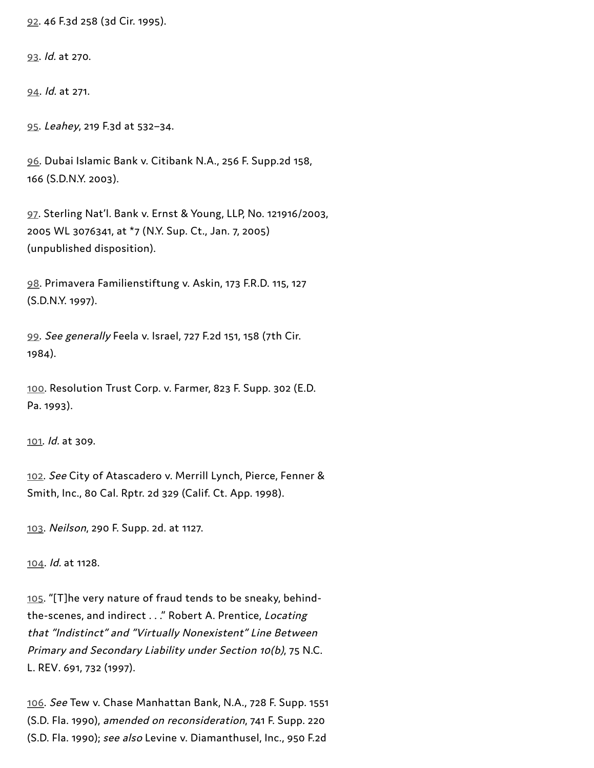[92.](#page-16-2) 46 F.3d 258 (3d Cir. 1995).

[93.](#page-16-3) Id. at 270.

[94.](#page-16-4) Id. at 271.

[95.](#page-16-5) Leahey, 219 F.3d at 532–34.

[96.](#page-16-6) Dubai Islamic Bank v. Citibank N.A., 256 F. Supp.2d 158, 166 (S.D.N.Y. 2003).

[97](#page-16-7). Sterling Nat'l. Bank v. Ernst & Young, LLP, No. 121916/2003, 2005 WL 3076341, at \*7 (N.Y. Sup. Ct., Jan. 7, 2005) (unpublished disposition).

[98.](#page-17-0) Primavera Familienstiftung v. Askin, 173 F.R.D. 115, 127 (S.D.N.Y. 1997).

[99.](#page-17-1) See generally Feela v. Israel, 727 F.2d 151, 158 (7th Cir. 1984).

[100.](#page-17-2) Resolution Trust Corp. v. Farmer, 823 F. Supp. 302 (E.D. Pa. 1993).

[101.](#page-17-3) Id. at 309.

[102](#page-17-4). See City of Atascadero v. Merrill Lynch, Pierce, Fenner & Smith, Inc., 80 Cal. Rptr. 2d 329 (Calif. Ct. App. 1998).

[103](#page-17-5). Neilson, 290 F. Supp. 2d. at 1127.

[104](#page-17-6). Id. at 1128.

[105](#page-17-7). "[T]he very nature of fraud tends to be sneaky, behindthe-scenes, and indirect . . ." Robert A. Prentice, Locating that "Indistinct" and "Virtually Nonexistent" Line Between Primary and Secondary Liability under Section 10(b), 75 N.C. L. REV. 691, 732 (1997).

[106](#page-17-8). See Tew v. Chase Manhattan Bank, N.A., 728 F. Supp. 1551 (S.D. Fla. 1990), amended on reconsideration, 741 F. Supp. 220 (S.D. Fla. 1990); see also Levine v. Diamanthusel, Inc., 950 F.2d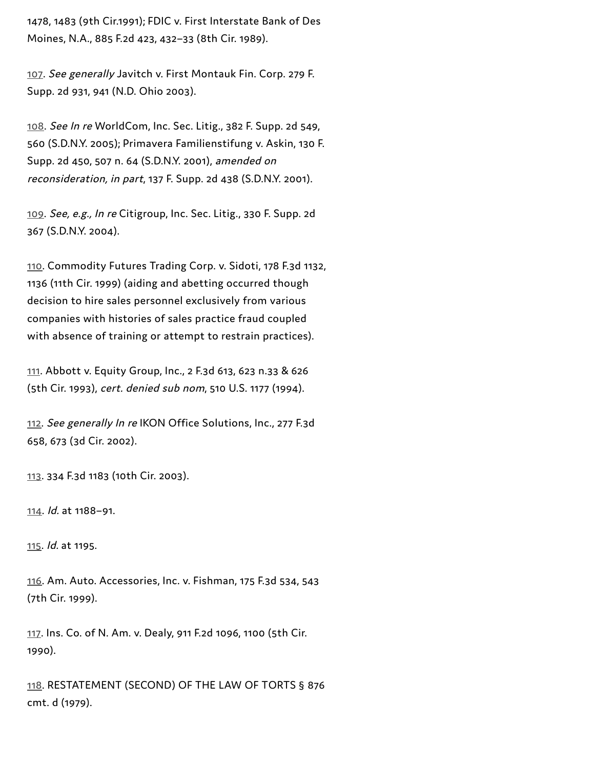1478, 1483 (9th Cir.1991); FDIC v. First Interstate Bank of Des Moines, N.A., 885 F.2d 423, 432–33 (8th Cir. 1989).

[107](#page-18-0). See generally Javitch v. First Montauk Fin. Corp. 279 F. Supp. 2d 931, 941 (N.D. Ohio 2003).

[108](#page-18-1). See In re WorldCom, Inc. Sec. Litig., 382 F. Supp. 2d 549, 560 (S.D.N.Y. 2005); Primavera Familienstifung v. Askin, 130 F. Supp. 2d 450, 507 n. 64 (S.D.N.Y. 2001), amended on reconsideration, in part, 137 F. Supp. 2d 438 (S.D.N.Y. 2001).

[109](#page-18-2). See, e.g., In re Citigroup, Inc. Sec. Litig., 330 F. Supp. 2d 367 (S.D.N.Y. 2004).

[110.](#page-18-3) Commodity Futures Trading Corp. v. Sidoti, 178 F.3d 1132, 1136 (11th Cir. 1999) (aiding and abetting occurred though decision to hire sales personnel exclusively from various companies with histories of sales practice fraud coupled with absence of training or attempt to restrain practices).

[111.](#page-18-4) Abbott v. Equity Group, Inc., 2 F.3d 613, 623 n.33 & 626 (5th Cir. 1993), cert. denied sub nom, 510 U.S. 1177 (1994).

[112](#page-18-5). See generally In re IKON Office Solutions, Inc., 277 F.3d 658, 673 (3d Cir. 2002).

[113.](#page-18-6) 334 F.3d 1183 (10th Cir. 2003).

[114](#page-18-7). Id. at 1188–91.

[115](#page-18-8). Id. at 1195.

[116](#page-19-0). Am. Auto. Accessories, Inc. v. Fishman, 175 F.3d 534, 543 (7th Cir. 1999).

[117](#page-19-1). Ins. Co. of N. Am. v. Dealy, 911 F.2d 1096, 1100 (5th Cir. 1990).

[118.](#page-19-2) RESTATEMENT (SECOND) OF THE LAW OF TORTS § 876 cmt. d (1979).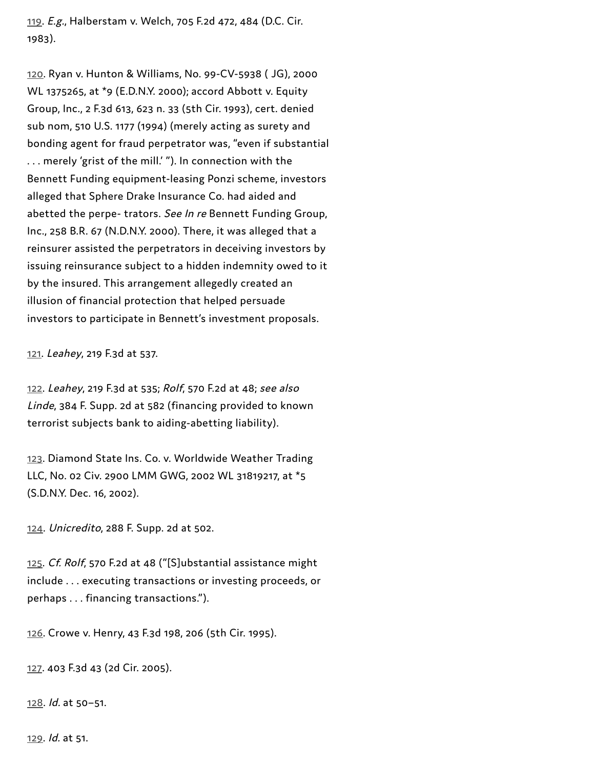[119](#page-19-3). E.g., Halberstam v. Welch, 705 F.2d 472, 484 (D.C. Cir. 1983).

[120](#page-20-0). Ryan v. Hunton & Williams, No. 99-CV-5938 ( JG), 2000 WL 1375265, at \*9 (E.D.N.Y. 2000); accord Abbott v. Equity Group, Inc., 2 F.3d 613, 623 n. 33 (5th Cir. 1993), cert. denied sub nom, 510 U.S. 1177 (1994) (merely acting as surety and bonding agent for fraud perpetrator was, "even if substantial . . . merely 'grist of the mill.' "). In connection with the Bennett Funding equipment-leasing Ponzi scheme, investors alleged that Sphere Drake Insurance Co. had aided and abetted the perpe- trators. See In re Bennett Funding Group, Inc., 258 B.R. 67 (N.D.N.Y. 2000). There, it was alleged that a reinsurer assisted the perpetrators in deceiving investors by issuing reinsurance subject to a hidden indemnity owed to it by the insured. This arrangement allegedly created an illusion of financial protection that helped persuade investors to participate in Bennett's investment proposals.

[121](#page-20-1). Leahey, 219 F.3d at 537.

[122.](#page-20-2) Leahey, 219 F.3d at 535; Rolf, 570 F.2d at 48; see also Linde, 384 F. Supp. 2d at 582 (financing provided to known terrorist subjects bank to aiding-abetting liability).

[123.](#page-20-3) Diamond State Ins. Co. v. Worldwide Weather Trading LLC, No. 02 Civ. 2900 LMM GWG, 2002 WL 31819217, at \*5 (S.D.N.Y. Dec. 16, 2002).

[124](#page-20-4). Unicredito, 288 F. Supp. 2d at 502.

[125.](#page-20-5) Cf. Rolf, 570 F.2d at 48 ("[S]ubstantial assistance might include . . . executing transactions or investing proceeds, or perhaps . . . financing transactions.").

[126](#page-20-6). Crowe v. Henry, 43 F.3d 198, 206 (5th Cir. 1995).

[127.](#page-20-7) 403 F.3d 43 (2d Cir. 2005).

[128](#page-21-0). Id. at 50–51.

[129](#page-21-1). Id. at 51.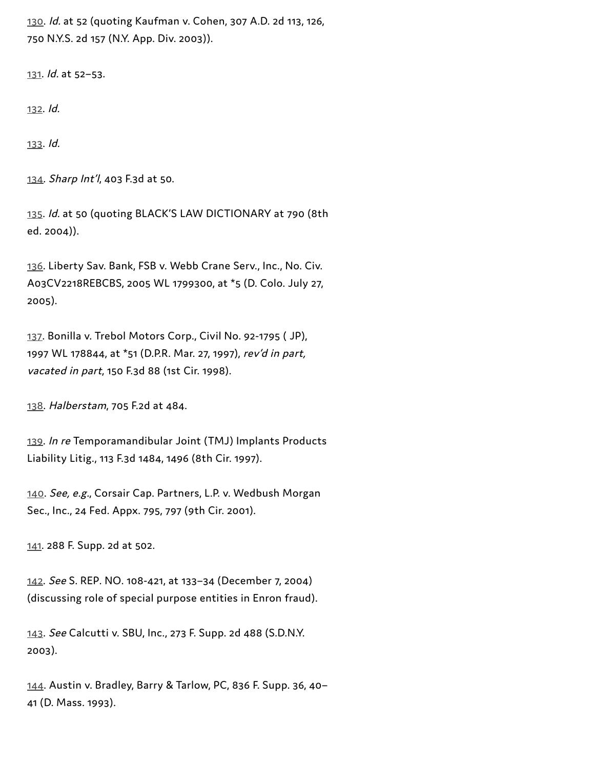[130](#page-21-2). Id. at 52 (quoting Kaufman v. Cohen, 307 A.D. 2d 113, 126, 750 N.Y.S. 2d 157 (N.Y. App. Div. 2003)).

[131.](#page-21-3) Id. at 52–53.

[132.](#page-22-0) Id.

[133](#page-22-1). Id.

[134](#page-22-2). Sharp Int'l, 403 F.3d at 50.

[135.](#page-22-3) Id. at 50 (quoting BLACK'S LAW DICTIONARY at 790 (8th ed. 2004)).

[136](#page-22-4). Liberty Sav. Bank, FSB v. Webb Crane Serv., Inc., No. Civ. A03CV2218REBCBS, 2005 WL 1799300, at \*5 (D. Colo. July 27, 2005).

[137.](#page-22-5) Bonilla v. Trebol Motors Corp., Civil No. 92-1795 ( JP), 1997 WL 178844, at \*51 (D.P.R. Mar. 27, 1997), rev'd in part, vacated in part, 150 F.3d 88 (1st Cir. 1998).

[138](#page-23-0). Halberstam, 705 F.2d at 484.

[139](#page-23-1). In re Temporamandibular Joint (TMJ) Implants Products Liability Litig., 113 F.3d 1484, 1496 (8th Cir. 1997).

[140](#page-23-2). See, e.g., Corsair Cap. Partners, L.P. v. Wedbush Morgan Sec., Inc., 24 Fed. Appx. 795, 797 (9th Cir. 2001).

[141.](#page-23-3) 288 F. Supp. 2d at 502.

[142](#page-23-4). See S. REP. NO. 108-421, at 133–34 (December 7, 2004) (discussing role of special purpose entities in Enron fraud).

[143](#page-24-0). See Calcutti v. SBU, Inc., 273 F. Supp. 2d 488 (S.D.N.Y. 2003).

[144](#page-24-1). Austin v. Bradley, Barry & Tarlow, PC, 836 F. Supp. 36, 40– 41 (D. Mass. 1993).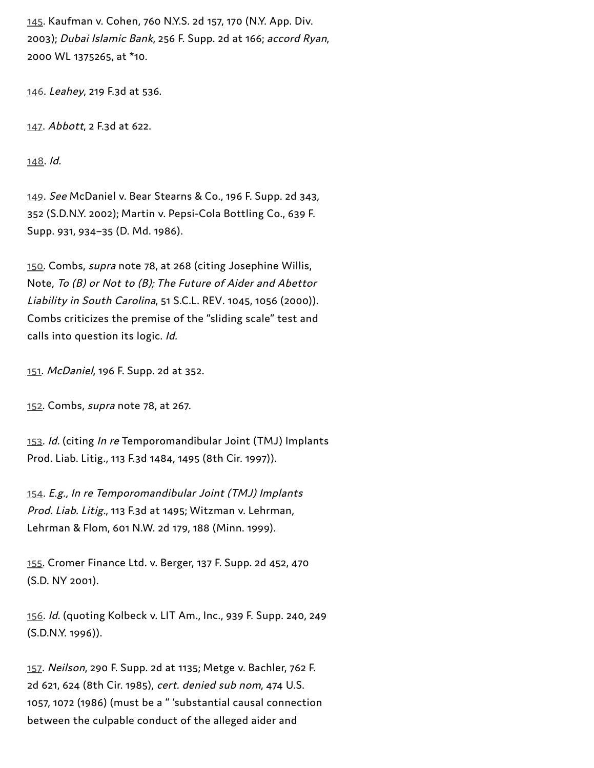[145](#page-24-2). Kaufman v. Cohen, 760 N.Y.S. 2d 157, 170 (N.Y. App. Div. 2003); Dubai Islamic Bank, 256 F. Supp. 2d at 166; accord Ryan, 2000 WL 1375265, at \*10.

[146](#page-24-3). Leahey, 219 F.3d at 536.

[147](#page-24-4). Abbott, 2 F.3d at 622.

[148](#page-24-5). Id.

[149](#page-25-0). See McDaniel v. Bear Stearns & Co., 196 F. Supp. 2d 343, 352 (S.D.N.Y. 2002); Martin v. Pepsi-Cola Bottling Co., 639 F. Supp. 931, 934–35 (D. Md. 1986).

[150](#page-25-1). Combs, supra note 78, at 268 (citing Josephine Willis, Note, To (B) or Not to (B); The Future of Aider and Abettor Liability in South Carolina, 51 S.C.L. REV. 1045, 1056 (2000)). Combs criticizes the premise of the "sliding scale" test and calls into question its logic. Id.

[151](#page-25-2). McDaniel, 196 F. Supp. 2d at 352.

[152.](#page-25-3) Combs, *supra* note 78, at 267.

[153.](#page-25-4) Id. (citing In re Temporomandibular Joint (TMJ) Implants Prod. Liab. Litig., 113 F.3d 1484, 1495 (8th Cir. 1997)).

[154](#page-25-5). E.g., In re Temporomandibular Joint (TMJ) Implants Prod. Liab. Litig., 113 F.3d at 1495; Witzman v. Lehrman, Lehrman & Flom, 601 N.W. 2d 179, 188 (Minn. 1999).

[155.](#page-25-6) Cromer Finance Ltd. v. Berger, 137 F. Supp. 2d 452, 470 (S.D. NY 2001).

[156](#page-25-7). Id. (quoting Kolbeck v. LIT Am., Inc., 939 F. Supp. 240, 249 (S.D.N.Y. 1996)).

[157.](#page-25-8) Neilson, 290 F. Supp. 2d at 1135; Metge v. Bachler, 762 F. 2d 621, 624 (8th Cir. 1985), cert. denied sub nom, 474 U.S. 1057, 1072 (1986) (must be a " 'substantial causal connection between the culpable conduct of the alleged aider and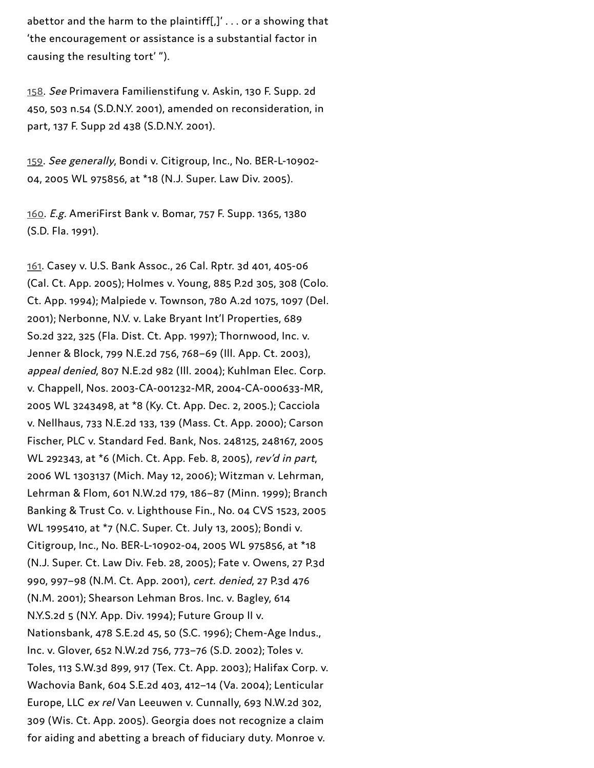abettor and the harm to the plaintiff[ $J' \ldots$  or a showing that 'the encouragement or assistance is a substantial factor in causing the resulting tort' ").

[158](#page-25-9). See Primavera Familienstifung v. Askin, 130 F. Supp. 2d 450, 503 n.54 (S.D.N.Y. 2001), amended on reconsideration, in part, 137 F. Supp 2d 438 (S.D.N.Y. 2001).

[159](#page-26-0). See generally, Bondi v. Citigroup, Inc., No. BER-L-10902- 04, 2005 WL 975856, at \*18 (N.J. Super. Law Div. 2005).

[160](#page-26-1). E.g. AmeriFirst Bank v. Bomar, 757 F. Supp. 1365, 1380 (S.D. Fla. 1991).

[161.](#page-26-2) Casey v. U.S. Bank Assoc., 26 Cal. Rptr. 3d 401, 405-06 (Cal. Ct. App. 2005); Holmes v. Young, 885 P.2d 305, 308 (Colo. Ct. App. 1994); Malpiede v. Townson, 780 A.2d 1075, 1097 (Del. 2001); Nerbonne, N.V. v. Lake Bryant Int'l Properties, 689 So.2d 322, 325 (Fla. Dist. Ct. App. 1997); Thornwood, Inc. v. Jenner & Block, 799 N.E.2d 756, 768–69 (Ill. App. Ct. 2003), appeal denied, 807 N.E.2d 982 (Ill. 2004); Kuhlman Elec. Corp. v. Chappell, Nos. 2003-CA-001232-MR, 2004-CA-000633-MR, 2005 WL 3243498, at \*8 (Ky. Ct. App. Dec. 2, 2005.); Cacciola v. Nellhaus, 733 N.E.2d 133, 139 (Mass. Ct. App. 2000); Carson Fischer, PLC v. Standard Fed. Bank, Nos. 248125, 248167, 2005 WL 292343, at \*6 (Mich. Ct. App. Feb. 8, 2005), rev'd in part, 2006 WL 1303137 (Mich. May 12, 2006); Witzman v. Lehrman, Lehrman & Flom, 601 N.W.2d 179, 186–87 (Minn. 1999); Branch Banking & Trust Co. v. Lighthouse Fin., No. 04 CVS 1523, 2005 WL 1995410, at \*7 (N.C. Super. Ct. July 13, 2005); Bondi v. Citigroup, Inc., No. BER-L-10902-04, 2005 WL 975856, at \*18 (N.J. Super. Ct. Law Div. Feb. 28, 2005); Fate v. Owens, 27 P.3d 990, 997–98 (N.M. Ct. App. 2001), cert. denied, 27 P.3d 476 (N.M. 2001); Shearson Lehman Bros. Inc. v. Bagley, 614 N.Y.S.2d 5 (N.Y. App. Div. 1994); Future Group II v. Nationsbank, 478 S.E.2d 45, 50 (S.C. 1996); Chem-Age Indus., Inc. v. Glover, 652 N.W.2d 756, 773–76 (S.D. 2002); Toles v. Toles, 113 S.W.3d 899, 917 (Tex. Ct. App. 2003); Halifax Corp. v. Wachovia Bank, 604 S.E.2d 403, 412–14 (Va. 2004); Lenticular Europe, LLC ex rel Van Leeuwen v. Cunnally, 693 N.W.2d 302, 309 (Wis. Ct. App. 2005). Georgia does not recognize a claim for aiding and abetting a breach of fiduciary duty. Monroe v.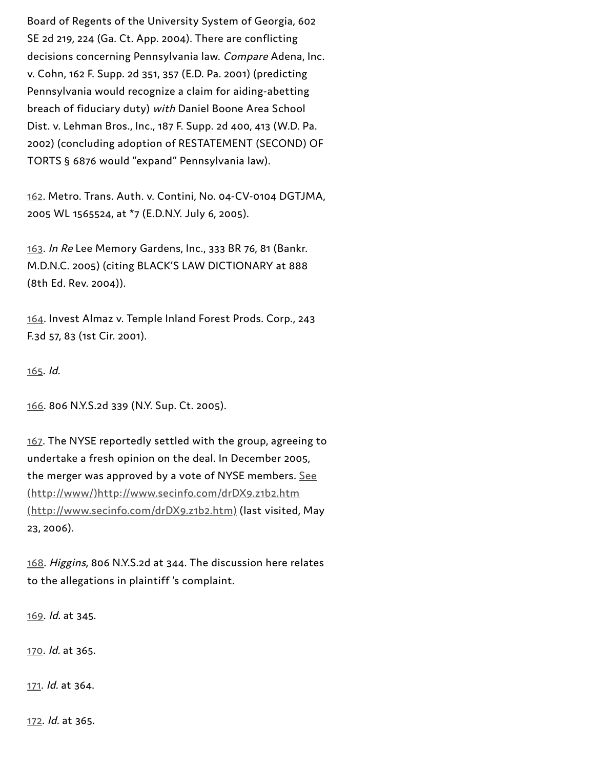Board of Regents of the University System of Georgia, 602 SE 2d 219, 224 (Ga. Ct. App. 2004). There are conflicting decisions concerning Pennsylvania law. Compare Adena, Inc. v. Cohn, 162 F. Supp. 2d 351, 357 (E.D. Pa. 2001) (predicting Pennsylvania would recognize a claim for aiding-abetting breach of fiduciary duty) with Daniel Boone Area School Dist. v. Lehman Bros., Inc., 187 F. Supp. 2d 400, 413 (W.D. Pa. 2002) (concluding adoption of RESTATEMENT (SECOND) OF TORTS § 6876 would "expand" Pennsylvania law).

[162](#page-26-3). Metro. Trans. Auth. v. Contini, No. 04-CV-0104 DGTJMA, 2005 WL 1565524, at \*7 (E.D.N.Y. July 6, 2005).

[163](#page-26-4). In Re Lee Memory Gardens, Inc., 333 BR 76, 81 (Bankr. M.D.N.C. 2005) (citing BLACK'S LAW DICTIONARY at 888 (8th Ed. Rev. 2004)).

[164](#page-27-0). Invest Almaz v. Temple Inland Forest Prods. Corp., 243 F.3d 57, 83 (1st Cir. 2001).

[165](#page-27-1). Id.

[166.](#page-27-2) 806 N.Y.S.2d 339 (N.Y. Sup. Ct. 2005).

[167.](#page-27-3) The NYSE reportedly settled with the group, agreeing to undertake a fresh opinion on the deal. In December 2005, the merger was approved by a vote of NYSE members. See [\(http://www/\)http://www.secinfo.com/drDX9.z1b2.htm](http://www/) (http://www.secinfo.com/drDX9.z1b2.htm) (last visited, May 23, 2006).

[168](#page-27-4). Higgins, 806 N.Y.S.2d at 344. The discussion here relates to the allegations in plaintiff 's complaint.

[169](#page-27-5). Id. at 345.

[170](#page-28-0). Id. at 365.

[171](#page-28-1). Id. at 364.

[172.](#page-28-2) Id. at 365.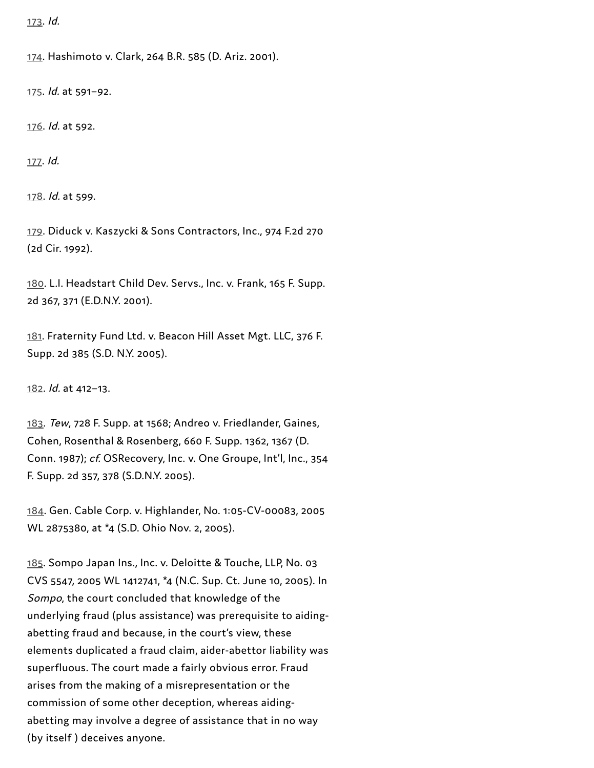[173.](#page-28-3) Id.

[174.](#page-29-0) Hashimoto v. Clark, 264 B.R. 585 (D. Ariz. 2001).

[175.](#page-29-1) Id. at 591–92.

[176.](#page-29-2) Id. at 592.

[177](#page-30-0). Id.

[178](#page-30-1). Id. at 599.

[179](#page-30-2). Diduck v. Kaszycki & Sons Contractors, Inc., 974 F.2d 270 (2d Cir. 1992).

[180](#page-30-3). L.I. Headstart Child Dev. Servs., Inc. v. Frank, 165 F. Supp. 2d 367, 371 (E.D.N.Y. 2001).

[181](#page-30-4). Fraternity Fund Ltd. v. Beacon Hill Asset Mgt. LLC, 376 F. Supp. 2d 385 (S.D. N.Y. 2005).

[182](#page-30-5). Id. at 412–13.

[183](#page-31-0). Tew, 728 F. Supp. at 1568; Andreo v. Friedlander, Gaines, Cohen, Rosenthal & Rosenberg, 660 F. Supp. 1362, 1367 (D. Conn. 1987); cf. OSRecovery, Inc. v. One Groupe, Int'l, Inc., 354 F. Supp. 2d 357, 378 (S.D.N.Y. 2005).

[184](#page-31-1). Gen. Cable Corp. v. Highlander, No. 1:05-CV-00083, 2005 WL 2875380, at \*4 (S.D. Ohio Nov. 2, 2005).

[185](#page-31-2). Sompo Japan Ins., Inc. v. Deloitte & Touche, LLP, No. 03 CVS 5547, 2005 WL 1412741, \*4 (N.C. Sup. Ct. June 10, 2005). In Sompo, the court concluded that knowledge of the underlying fraud (plus assistance) was prerequisite to aidingabetting fraud and because, in the court's view, these elements duplicated a fraud claim, aider-abettor liability was superfluous. The court made a fairly obvious error. Fraud arises from the making of a misrepresentation or the commission of some other deception, whereas aidingabetting may involve a degree of assistance that in no way (by itself ) deceives anyone.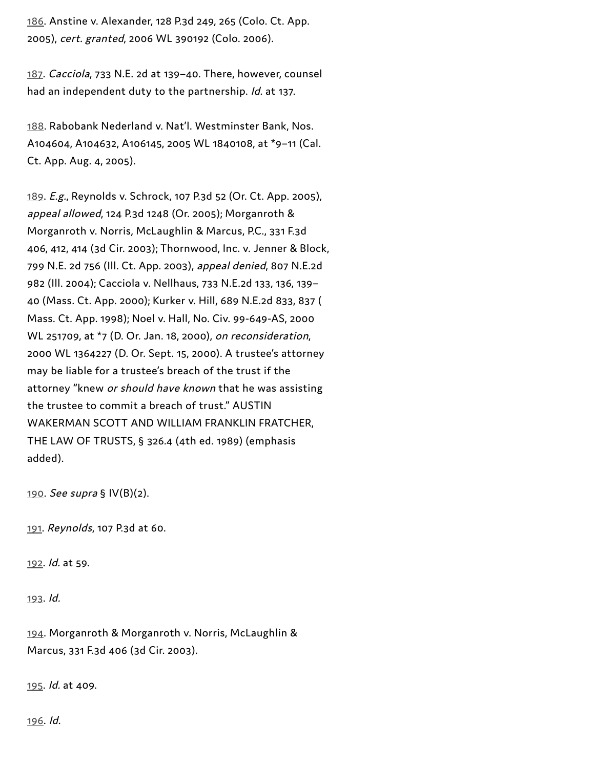[186](#page-31-0). Anstine v. Alexander, 128 P.3d 249, 265 (Colo. Ct. App. 2005), cert. granted, 2006 WL 390192 (Colo. 2006).

[187](#page-31-1). Cacciola, 733 N.E. 2d at 139–40. There, however, counsel had an independent duty to the partnership. Id. at 137.

[188](#page-31-2). Rabobank Nederland v. Nat'l. Westminster Bank, Nos. A104604, A104632, A106145, 2005 WL 1840108, at \*9–11 (Cal. Ct. App. Aug. 4, 2005).

[189](#page-32-0). E.g., Reynolds v. Schrock, 107 P.3d 52 (Or. Ct. App. 2005), appeal allowed, 124 P.3d 1248 (Or. 2005); Morganroth & Morganroth v. Norris, McLaughlin & Marcus, P.C., 331 F.3d 406, 412, 414 (3d Cir. 2003); Thornwood, Inc. v. Jenner & Block, 799 N.E. 2d 756 (Ill. Ct. App. 2003), appeal denied, 807 N.E.2d 982 (Ill. 2004); Cacciola v. Nellhaus, 733 N.E.2d 133, 136, 139– 40 (Mass. Ct. App. 2000); Kurker v. Hill, 689 N.E.2d 833, 837 ( Mass. Ct. App. 1998); Noel v. Hall, No. Civ. 99-649-AS, 2000 WL 251709, at \*7 (D. Or. Jan. 18, 2000), on reconsideration, 2000 WL 1364227 (D. Or. Sept. 15, 2000). A trustee's attorney may be liable for a trustee's breach of the trust if the attorney "knew or should have known that he was assisting the trustee to commit a breach of trust." AUSTIN WAKERMAN SCOTT AND WILLIAM FRANKLIN FRATCHER, THE LAW OF TRUSTS, § 326.4 (4th ed. 1989) (emphasis added).

[190](#page-32-1). See supra § IV(B)(2).

[191](#page-32-2). Reynolds, 107 P.3d at 60.

[192](#page-32-3). Id. at 59.

[193](#page-32-4). Id.

[194](#page-33-0). Morganroth & Morganroth v. Norris, McLaughlin & Marcus, 331 F.3d 406 (3d Cir. 2003).

[195](#page-33-1). Id. at 409.

[196.](#page-33-2) Id.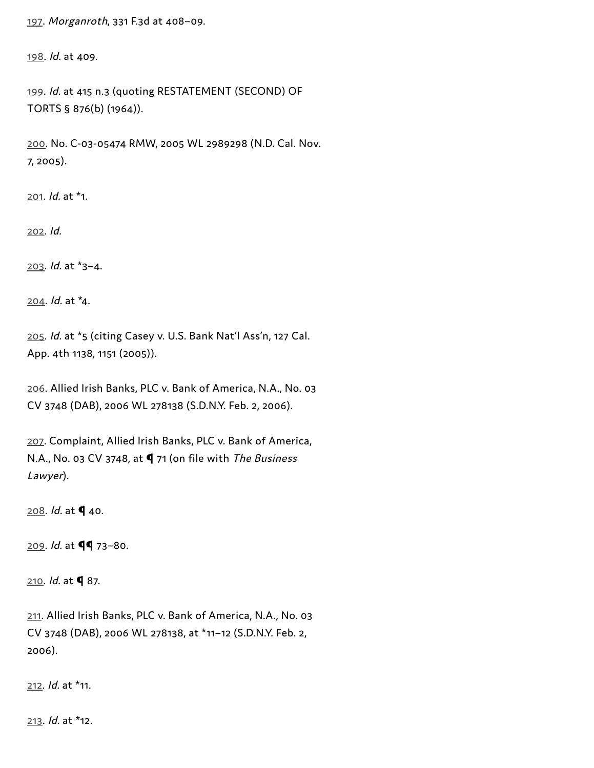[197.](#page-33-3) Morganroth, 331 F.3d at 408–09.

[198](#page-34-0). Id. at 409.

[199.](#page-34-1) Id. at 415 n.3 (quoting RESTATEMENT (SECOND) OF TORTS § 876(b) (1964)).

[200.](#page-35-0) No. C-03-05474 RMW, 2005 WL 2989298 (N.D. Cal. Nov. 7, 2005).

[201](#page-35-1). Id. at \*1.

[202.](#page-35-2) Id.

[203.](#page-35-3) Id. at \*3–4.

[204.](#page-36-0) Id. at \*4.

[205.](#page-36-1) Id. at \*5 (citing Casey v. U.S. Bank Nat'l Ass'n, 127 Cal. App. 4th 1138, 1151 (2005)).

[206](#page-36-2). Allied Irish Banks, PLC v. Bank of America, N.A., No. 03 CV 3748 (DAB), 2006 WL 278138 (S.D.N.Y. Feb. 2, 2006).

[207](#page-36-3). Complaint, Allied Irish Banks, PLC v. Bank of America, N.A., No. 03 CV 3748, at  $\P$  71 (on file with The Business Lawyer).

 $208.$  *ld.* at  $\blacklozenge$  40.

 $209.$  $209.$  Id. at  $\P\P$  73-80.

[210](#page-37-1). Id. at **q** 87.

[211](#page-37-2). Allied Irish Banks, PLC v. Bank of America, N.A., No. 03 CV 3748 (DAB), 2006 WL 278138, at \*11–12 (S.D.N.Y. Feb. 2, 2006).

[212.](#page-37-3) Id. at \*11.

[213.](#page-37-4) Id. at \*12.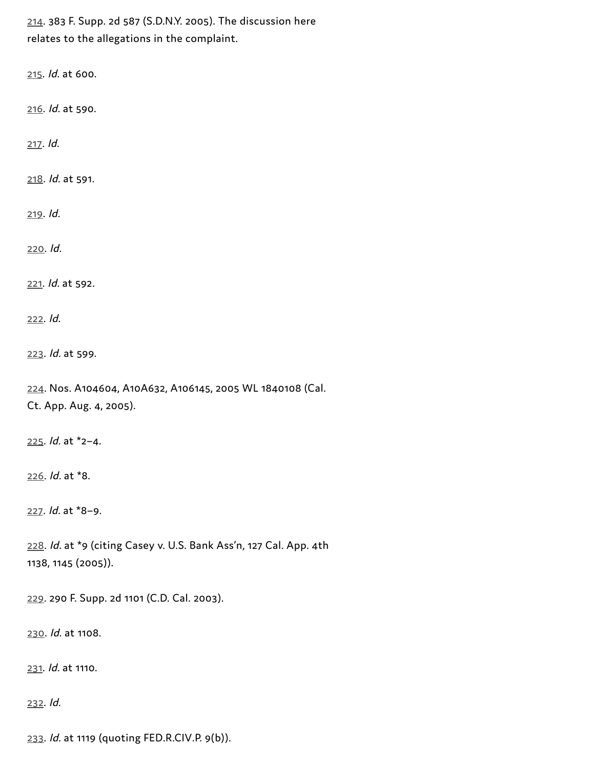[214](#page-37-5). 383 F. Supp. 2d 587 (S.D.N.Y. 2005). The discussion here relates to the allegations in the complaint.

[215.](#page-37-6) Id. at 600.

[216](#page-37-7). Id. at 590.

[217.](#page-38-0) Id.

[218](#page-38-1). Id. at 591.

[219](#page-38-2). Id.

[220.](#page-39-0) Id.

[221.](#page-39-1) Id. at 592.

[222](#page-39-2). Id.

[223](#page-40-0). Id. at 599.

[224](#page-40-1). Nos. A104604, A10A632, A106145, 2005 WL 1840108 (Cal. Ct. App. Aug. 4, 2005).

[225.](#page-40-2) Id. at \*2–4.

[226](#page-40-3). Id. at \*8.

[227](#page-40-4). Id. at \*8–9.

[228](#page-41-0). Id. at \*9 (citing Casey v. U.S. Bank Ass'n, 127 Cal. App. 4th 1138, 1145 (2005)).

[229](#page-41-1). 290 F. Supp. 2d 1101 (C.D. Cal. 2003).

[230.](#page-41-2) Id. at 1108.

[231.](#page-41-3) Id. at 1110.

[232](#page-41-4). Id.

[233](#page-41-5). Id. at 1119 (quoting FED.R.CIV.P. 9(b)).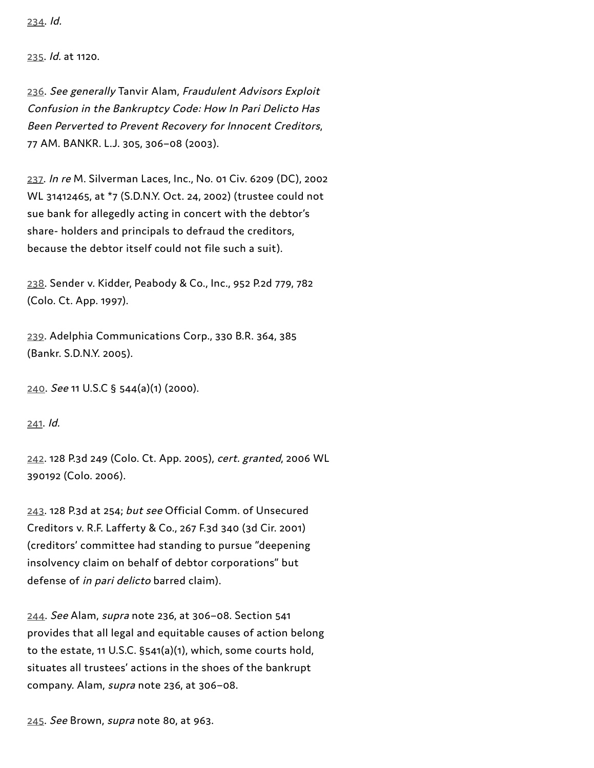[235](#page-41-7). Id. at 1120.

[236](#page-42-0). See generally Tanvir Alam, Fraudulent Advisors Exploit Confusion in the Bankruptcy Code: How In Pari Delicto Has Been Perverted to Prevent Recovery for Innocent Creditors, 77 AM. BANKR. L.J. 305, 306–08 (2003).

[237](#page-42-1). In re M. Silverman Laces, Inc., No. 01 Civ. 6209 (DC), 2002 WL 31412465, at \*7 (S.D.N.Y. Oct. 24, 2002) (trustee could not sue bank for allegedly acting in concert with the debtor's share- holders and principals to defraud the creditors, because the debtor itself could not file such a suit).

[238.](#page-42-2) Sender v. Kidder, Peabody & Co., Inc., 952 P.2d 779, 782 (Colo. Ct. App. 1997).

[239](#page-42-3). Adelphia Communications Corp., 330 B.R. 364, 385 (Bankr. S.D.N.Y. 2005).

[240.](#page-42-4) See 11 U.S.C § 544(a)(1) (2000).

[241](#page-43-0). Id.

[242](#page-43-1). 128 P.3d 249 (Colo. Ct. App. 2005), cert. granted, 2006 WL 390192 (Colo. 2006).

[243.](#page-43-2) 128 P.3d at 254; but see Official Comm. of Unsecured Creditors v. R.F. Lafferty & Co., 267 F.3d 340 (3d Cir. 2001) (creditors' committee had standing to pursue "deepening insolvency claim on behalf of debtor corporations" but defense of in pari delicto barred claim).

[244](#page-43-3). See Alam, supra note 236, at 306–08. Section 541 provides that all legal and equitable causes of action belong to the estate, 11 U.S.C. §541(a)(1), which, some courts hold, situates all trustees' actions in the shoes of the bankrupt company. Alam, supra note 236, at 306–08.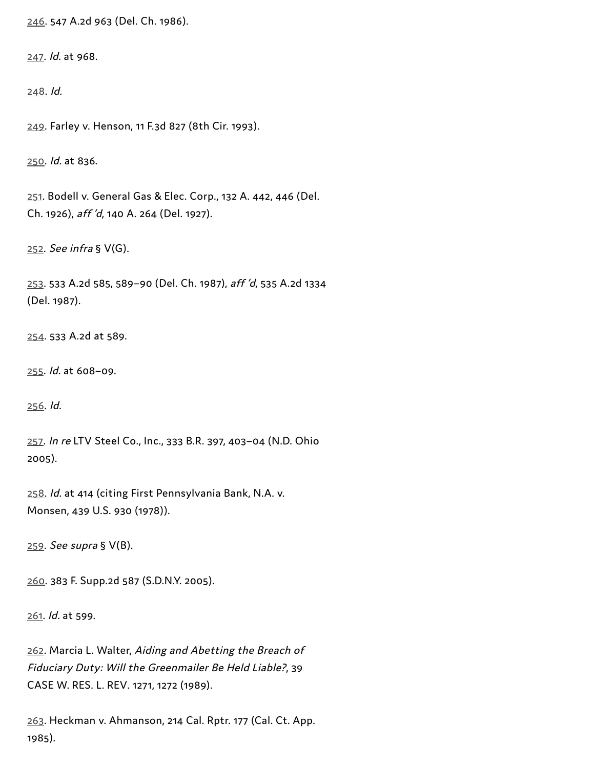[246](#page-43-5). 547 A.2d 963 (Del. Ch. 1986).

[247](#page-43-6). Id. at 968.

[248.](#page-43-7) Id.

[249.](#page-44-0) Farley v. Henson, 11 F.3d 827 (8th Cir. 1993).

[250.](#page-44-1) Id. at 836.

[251.](#page-44-2) Bodell v. General Gas & Elec. Corp., 132 A. 442, 446 (Del. Ch. 1926), aff 'd, 140 A. 264 (Del. 1927).

[252.](#page-44-3) See infra § V(G).

[253](#page-44-4). 533 A.2d 585, 589–90 (Del. Ch. 1987), aff 'd, 535 A.2d 1334 (Del. 1987).

[254](#page-44-5). 533 A.2d at 589.

[255.](#page-44-6) Id. at 608–09.

[256](#page-44-7). Id.

[257](#page-45-0). In re LTV Steel Co., Inc., 333 B.R. 397, 403–04 (N.D. Ohio 2005).

[258.](#page-45-1) Id. at 414 (citing First Pennsylvania Bank, N.A. v. Monsen, 439 U.S. 930 (1978)).

[259](#page-45-2). See supra § V(B).

[260](#page-45-3). 383 F. Supp.2d 587 (S.D.N.Y. 2005).

[261](#page-45-4). Id. at 599.

[262](#page-46-0). Marcia L. Walter, Aiding and Abetting the Breach of Fiduciary Duty: Will the Greenmailer Be Held Liable?, 39 CASE W. RES. L. REV. 1271, 1272 (1989).

[263](#page-46-1). Heckman v. Ahmanson, 214 Cal. Rptr. 177 (Cal. Ct. App. 1985).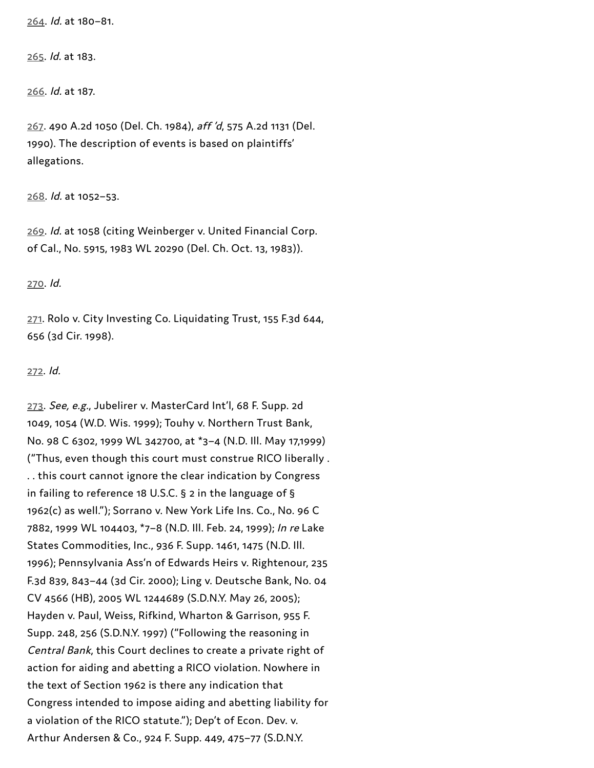[264](#page-46-2). Id. at 180–81.

[265](#page-46-3). Id. at 183.

[266.](#page-46-4) Id. at 187.

[267](#page-47-0). 490 A.2d 1050 (Del. Ch. 1984), aff 'd, 575 A.2d 1131 (Del. 1990). The description of events is based on plaintiffs' allegations.

[268](#page-47-1). Id. at 1052–53.

[269.](#page-47-2) Id. at 1058 (citing Weinberger v. United Financial Corp. of Cal., No. 5915, 1983 WL 20290 (Del. Ch. Oct. 13, 1983)).

[270](#page-47-3). Id.

[271.](#page-48-0) Rolo v. City Investing Co. Liquidating Trust, 155 F.3d 644, 656 (3d Cir. 1998).

## [272](#page-48-1). Id.

[273](#page-48-2). See, e.g., Jubelirer v. MasterCard Int'l, 68 F. Supp. 2d 1049, 1054 (W.D. Wis. 1999); Touhy v. Northern Trust Bank, No. 98 C 6302, 1999 WL 342700, at \*3–4 (N.D. Ill. May 17,1999) ("Thus, even though this court must construe RICO liberally . . . this court cannot ignore the clear indication by Congress in failing to reference 18 U.S.C. § 2 in the language of § 1962(c) as well."); Sorrano v. New York Life Ins. Co., No. 96 C 7882, 1999 WL 104403, \*7–8 (N.D. Ill. Feb. 24, 1999); In re Lake States Commodities, Inc., 936 F. Supp. 1461, 1475 (N.D. Ill. 1996); Pennsylvania Ass'n of Edwards Heirs v. Rightenour, 235 F.3d 839, 843–44 (3d Cir. 2000); Ling v. Deutsche Bank, No. 04 CV 4566 (HB), 2005 WL 1244689 (S.D.N.Y. May 26, 2005); Hayden v. Paul, Weiss, Rifkind, Wharton & Garrison, 955 F. Supp. 248, 256 (S.D.N.Y. 1997) ("Following the reasoning in Central Bank, this Court declines to create a private right of action for aiding and abetting a RICO violation. Nowhere in the text of Section 1962 is there any indication that Congress intended to impose aiding and abetting liability for a violation of the RICO statute."); Dep't of Econ. Dev. v. Arthur Andersen & Co., 924 F. Supp. 449, 475–77 (S.D.N.Y.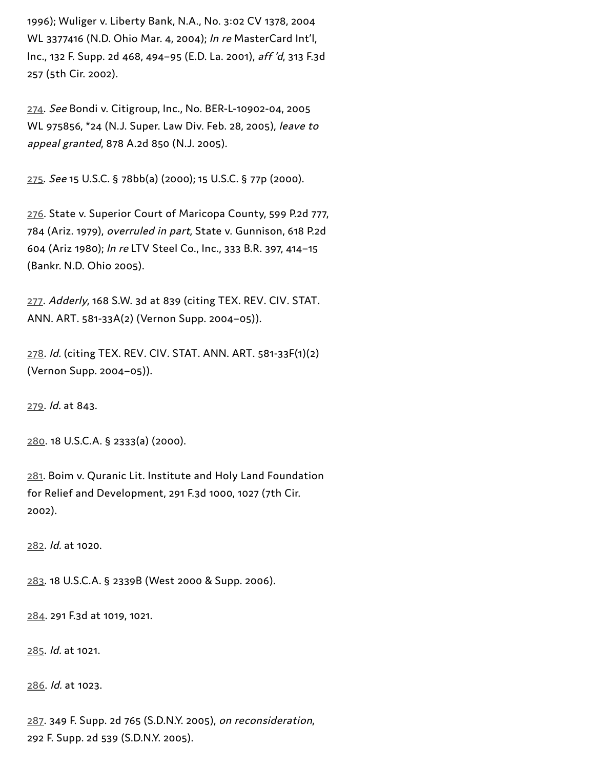1996); Wuliger v. Liberty Bank, N.A., No. 3:02 CV 1378, 2004 WL 3377416 (N.D. Ohio Mar. 4, 2004); In re MasterCard Int'l, Inc., 132 F. Supp. 2d 468, 494–95 (E.D. La. 2001), aff 'd, 313 F.3d 257 (5th Cir. 2002).

[274](#page-48-3). See Bondi v. Citigroup, Inc., No. BER-L-10902-04, 2005 WL 975856, \*24 (N.J. Super. Law Div. Feb. 28, 2005), leave to appeal granted, 878 A.2d 850 (N.J. 2005).

[275](#page-48-4). See 15 U.S.C. § 78bb(a) (2000); 15 U.S.C. § 77p (2000).

. State v. Superior Court of Maricopa County, 599 P.2d 777, (Ariz. 1979), overruled in part, State v. Gunnison, 618 P.2d (Ariz 1980); In re LTV Steel Co., Inc., 333 B.R. 397, 414–15 (Bankr. N.D. Ohio 2005).

[277](#page-48-6). Adderly, 168 S.W. 3d at 839 (citing TEX. REV. CIV. STAT. ANN. ART. 581-33A(2) (Vernon Supp. 2004–05)).

[278](#page-48-7). Id. (citing TEX. REV. CIV. STAT. ANN. ART. 581-33F(1)(2) (Vernon Supp. 2004–05)).

[279](#page-48-8). Id. at 843.

[280.](#page-49-0) 18 U.S.C.A. § 2333(a) (2000).

[281](#page-49-1). Boim v. Quranic Lit. Institute and Holy Land Foundation for Relief and Development, 291 F.3d 1000, 1027 (7th Cir. 2002).

[282](#page-49-2). Id. at 1020.

[283.](#page-49-3) 18 U.S.C.A. § 2339B (West 2000 & Supp. 2006).

[284](#page-49-4). 291 F.3d at 1019, 1021.

[285](#page-50-0). Id. at 1021.

[286](#page-50-1). Id. at 1023.

[287](#page-50-2). 349 F. Supp. 2d 765 (S.D.N.Y. 2005), on reconsideration, 292 F. Supp. 2d 539 (S.D.N.Y. 2005).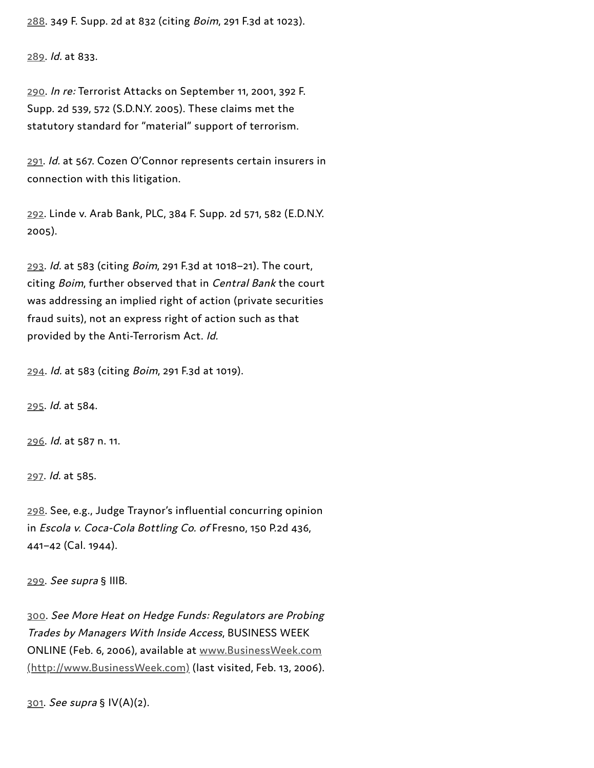[288.](#page-50-3) 349 F. Supp. 2d at 832 (citing Boim, 291 F.3d at 1023).

[289](#page-50-4). Id. at 833.

[290](#page-50-5). In re: Terrorist Attacks on September 11, 2001, 392 F. Supp. 2d 539, 572 (S.D.N.Y. 2005). These claims met the statutory standard for "material" support of terrorism.

[291](#page-50-6). Id. at 567. Cozen O'Connor represents certain insurers in connection with this litigation.

[292](#page-50-7). Linde v. Arab Bank, PLC, 384 F. Supp. 2d 571, 582 (E.D.N.Y. 2005).

[293](#page-51-0). Id. at 583 (citing Boim, 291 F.3d at 1018–21). The court, citing Boim, further observed that in Central Bank the court was addressing an implied right of action (private securities fraud suits), not an express right of action such as that provided by the Anti-Terrorism Act. Id.

[294](#page-51-1). Id. at 583 (citing Boim, 291 F.3d at 1019).

[295](#page-51-2). Id. at 584.

[296.](#page-51-3) Id. at 587 n. 11.

[297](#page-51-4). Id. at 585.

[298](#page-52-0). See, e.g., Judge Traynor's influential concurring opinion in Escola v. Coca-Cola Bottling Co. of Fresno, 150 P.2d 436, 441–42 (Cal. 1944).

[299.](#page-52-1) See supra § IIIB.

[300.](#page-52-2) See More Heat on Hedge Funds: Regulators are Probing Trades by Managers With Inside Access, BUSINESS WEEK ONLINE (Feb. 6, 2006), available at www.BusinessWeek.com [\(http://www.BusinessWeek.com\)](http://www.businessweek.com/) (last visited, Feb. 13, 2006).

[301](#page-52-3). See supra § IV(A)(2).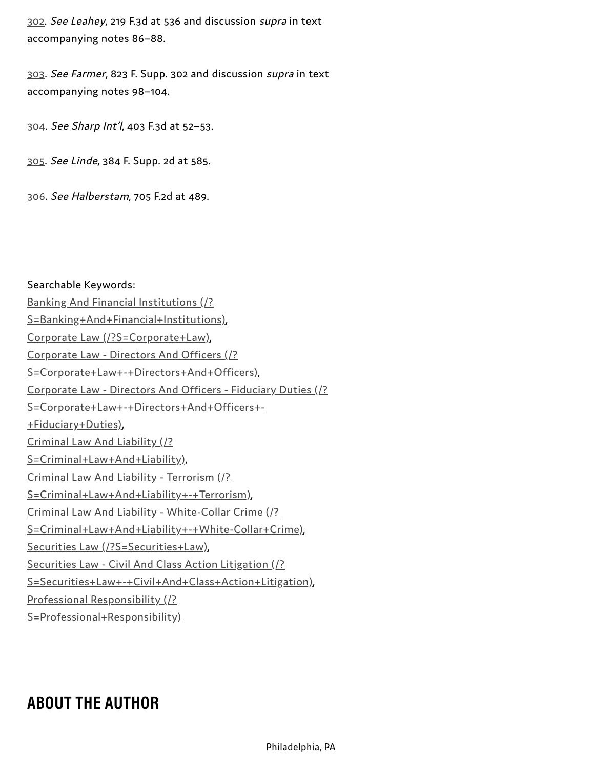[302.](#page-52-4) See Leahey, 219 F.3d at 536 and discussion supra in text accompanying notes 86–88.

[303](#page-52-5). See Farmer, 823 F. Supp. 302 and discussion supra in text accompanying notes 98–104.

[304.](#page-52-6) See Sharp Int'l, 403 F.3d at 52–53.

[305](#page-53-0). See Linde, 384 F. Supp. 2d at 585.

[306.](#page-53-1) See Halberstam, 705 F.2d at 489.

Searchable Keywords: Banking And Financial Institutions (/? [S=Banking+And+Financial+Institutions\)](https://businesslawtoday.org/?s=Banking+and+Financial+Institutions), Corporate Law [\(/?S=Corporate+Law\),](https://businesslawtoday.org/?s=Corporate+Law) Corporate Law - Directors And Officers (/? [S=Corporate+Law+-+Directors+And+Officers\)](https://businesslawtoday.org/?s=Corporate+Law+-+Directors+and+Officers), Corporate Law - Directors And Officers - Fiduciary Duties (/? [S=Corporate+Law+-+Directors+And+Officers+-](https://businesslawtoday.org/?s=Corporate+Law+-+Directors+and+Officers+-+Fiduciary+Duties) +Fiduciary+Duties), Criminal Law And Liability (/? [S=Criminal+Law+And+Liability\),](https://businesslawtoday.org/?s=Criminal+Law+and+Liability) Criminal Law And Liability - Terrorism (/? [S=Criminal+Law+And+Liability+-+Terrorism\),](https://businesslawtoday.org/?s=Criminal+Law+and+Liability+-+Terrorism) Criminal Law And Liability - White-Collar Crime (/? [S=Criminal+Law+And+Liability+-+White-Collar+Crime\),](https://businesslawtoday.org/?s=Criminal+Law+and+Liability+-+White-Collar+Crime) Securities Law [\(/?S=Securities+Law\)](https://businesslawtoday.org/?s=Securities+Law), Securities Law - Civil And Class Action Litigation (/? [S=Securities+Law+-+Civil+And+Class+Action+Litigation\),](https://businesslawtoday.org/?s=Securities+Law+-+Civil+and+Class+Action+Litigation) Professional Responsibility (/?

[S=Professional+Responsibility\)](https://businesslawtoday.org/?s=Professional+Responsibility)

## **ABOUT THE AUTHOR**